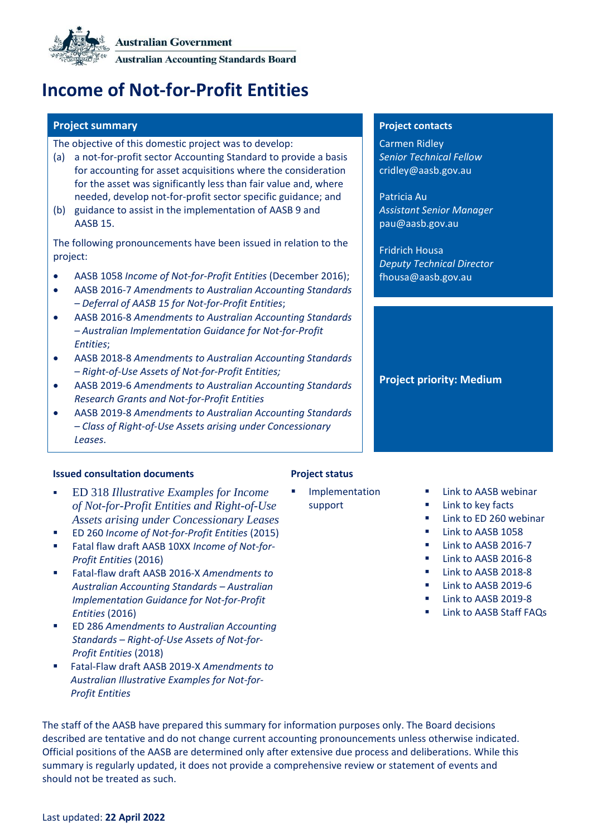**Australian Government** 

**Australian Accounting Standards Board** 

# **Income of Not-for-Profit Entities**

### **Project summary Project contacts**

The objective of this domestic project was to develop:

- (a) a not-for-profit sector Accounting Standard to provide a basis for accounting for asset acquisitions where the consideration for the asset was significantly less than fair value and, where needed, develop not-for-profit sector specific guidance; and
- (b) guidance to assist in the implementation of AASB 9 and AASB 15.

The following pronouncements have been issued in relation to the project:

- AASB 1058 *Income of Not-for-Profit Entities* (December 2016);
- AASB 2016-7 *Amendments to Australian Accounting Standards – Deferral of AASB 15 for Not-for-Profit Entities*;
- AASB 2016-8 *Amendments to Australian Accounting Standards – Australian Implementation Guidance for Not-for-Profit Entities*;
- AASB 2018-8 *Amendments to Australian Accounting Standards – Right-of-Use Assets of Not-for-Profit Entities;*
- AASB 2019-6 *Amendments to Australian Accounting Standards Research Grants and Not-for-Profit Entities*
- AASB 2019-8 *Amendments to Australian Accounting Standards – Class of Right-of-Use Assets arising under Concessionary Leases*.

### **Issued consultation documents Project status**

- ED 318 *[Illustrative Examples for Income](http://www.aasb.gov.au/admin/file/content105/c9/ACCED318_01-22.pdf)  [of Not-for-Profit Entities and Right-of-Use](http://www.aasb.gov.au/admin/file/content105/c9/ACCED318_01-22.pdf)  [Assets arising under Concessionary Leases](http://www.aasb.gov.au/admin/file/content105/c9/ACCED318_01-22.pdf)*
- [ED 260](http://www.aasb.gov.au/admin/file/content105/c9/ACCED260_04-15.pdf) *Income of Not-for-Profit Entities* (2015)
- [Fatal flaw draft AASB 10XX](http://www.aasb.gov.au/admin/file/content105/c9/FF_AASB10XX_AASB2016-X_09-16.pdf) *Income of Not-for-[Profit Entities](http://www.aasb.gov.au/admin/file/content105/c9/FF_AASB10XX_AASB2016-X_09-16.pdf)* (2016)
- [Fatal-flaw draft AASB 2016-X](http://www.aasb.gov.au/admin/file/content105/c9/FF_AASB10XX_AASB2016-X_09-16.pdf) *Amendments to [Australian Accounting Standards](http://www.aasb.gov.au/admin/file/content105/c9/FF_AASB10XX_AASB2016-X_09-16.pdf) – Australian [Implementation Guidance for Not-for-Profit](http://www.aasb.gov.au/admin/file/content105/c9/FF_AASB10XX_AASB2016-X_09-16.pdf)  [Entities](http://www.aasb.gov.au/admin/file/content105/c9/FF_AASB10XX_AASB2016-X_09-16.pdf)* (2016)
- ED 286 *Amendments to Australian Accounting Standards – Right-of-Use Assets of Not-for-Profit Entities* (2018)
- Fatal-Flaw draft AASB 2019-X *Amendments to Australian Illustrative Examples for Not-for-Profit Entities*

**Implementation** support

Carmen Ridley *Senior Technical Fellow* [cridley@aasb.gov.au](mailto:cridley@aasb.gov.au)

Patricia Au *Assistant Senior Manager* [pau@aasb.gov.au](mailto:pau@aasb.gov.au)

Fridrich Housa *Deputy Technical Director* fhousa@aasb.gov.au

# **Project priority: Medium**

## [Link to AASB webinar](https://www.youtube.com/watch?v=jbZPRI0KZqo)

- [Link to key facts](https://www.aasb.gov.au/media/hz1o1lfc/keyfacts_03mar2022.pdf)
- [Link to ED 260 webinar](http://www.aasb.gov.au/admin/file/content102/c3/Webinar_13-08-2015_Proposed_changes_to_income_recognition_for_NFP_entities.mp4)
- [Link to AASB](http://www.aasb.gov.au/admin/file/content105/c9/AASB1058_12-16.pdf) 1058
- **■** [Link to AASB](http://www.aasb.gov.au/admin/file/content105/c9/AASB2016-7_12-16.pdf) 2016-7
- **E** [Link to AASB](http://www.aasb.gov.au/admin/file/content105/c9/AASB2016-8_12-16.pdf) 2016-8
- [Link to AASB](https://www.aasb.gov.au/admin/file/content105/c9/AASB2018-8_12-18.pdf) 2018-8
- Link t[o AASB 2019-6](https://www.aasb.gov.au/admin/file/content105/c9/AASB_2019-6_12-19.pdf)
- [Link to AASB 2019-8](https://www.aasb.gov.au/admin/file/content105/c9/AASB2019-8_12-19.pdf)
- Link t[o AASB Staff FAQs](https://www.aasb.gov.au/admin/file/content102/c3/Updated_NFP_Staff_FAQs_02-20.pdf)

The staff of the AASB have prepared this summary for information purposes only. The Board decisions described are tentative and do not change current accounting pronouncements unless otherwise indicated. Official positions of the AASB are determined only after extensive due process and deliberations. While this summary is regularly updated, it does not provide a comprehensive review or statement of events and should not be treated as such.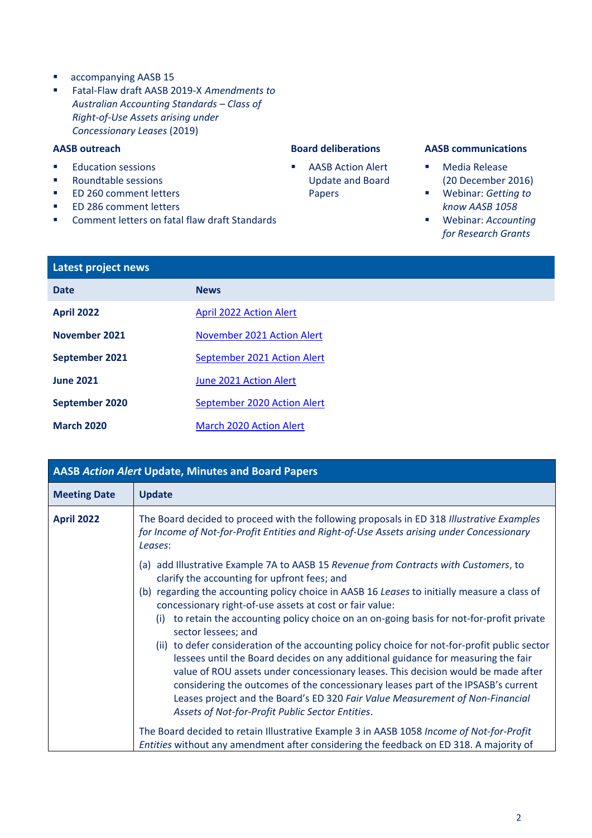- accompanying AASB 15
- Fatal-Flaw draft AASB 2019-X *Amendments to Australian Accounting Standards – Class of Right-of-Use Assets arising under Concessionary Leases* (2019)

- [Education sessions](https://aasb.gov.au/media/fpnddmeh/income-of-nfp-entities_staff-webinar_march-2022.pdf)
- [Roundtable sessions](http://www.aasb.gov.au/admin/file/content102/c3/Roundtable_notes_ED260_Income_of_NFP_Entities_for_public_distribution.pdf)
- [ED 260 comment letters](http://www.aasb.gov.au/DirectLink.aspx?id=1861)
- ED 286 comment letters
- [Comment letters on fatal flaw](http://www.aasb.gov.au/DirectLink.aspx?id=2045) draft Standards

■ AASB Action Alert [Update and Board](#page-1-0)  [Papers](#page-1-0)

### **AASB outreach Board deliberations AASB communications**

- [Media Release](http://www.aasb.gov.au/Media-Releases/Simplifying-Income-Recognition-of-Not-for-Profit-Entities?newsID=202472) (20 December 2016)
- Webinar: *[Getting to](https://www.youtube.com/watch?v=_qxBckvaQGQ&feature=youtu.be)  [know AASB](https://www.youtube.com/watch?v=_qxBckvaQGQ&feature=youtu.be) 1058*
- Webinar: *[Accounting](https://www.youtube.com/watch?v=zgC6JaZUzQg)  [for Research Grants](https://www.youtube.com/watch?v=zgC6JaZUzQg)*

| Latest project news |                                |  |
|---------------------|--------------------------------|--|
| <b>Date</b>         | <b>News</b>                    |  |
| <b>April 2022</b>   | <b>April 2022 Action Alert</b> |  |
| November 2021       | November 2021 Action Alert     |  |
| September 2021      | September 2021 Action Alert    |  |
| <b>June 2021</b>    | June 2021 Action Alert         |  |
| September 2020      | September 2020 Action Alert    |  |
| <b>March 2020</b>   | <b>March 2020 Action Alert</b> |  |

<span id="page-1-0"></span>

| <b>AASB Action Alert Update, Minutes and Board Papers</b> |                                                                                                                                                                                                                                                                                                                                                                                                                                                                                                                                                                                                                                                                                        |  |  |
|-----------------------------------------------------------|----------------------------------------------------------------------------------------------------------------------------------------------------------------------------------------------------------------------------------------------------------------------------------------------------------------------------------------------------------------------------------------------------------------------------------------------------------------------------------------------------------------------------------------------------------------------------------------------------------------------------------------------------------------------------------------|--|--|
| <b>Meeting Date</b>                                       | <b>Update</b>                                                                                                                                                                                                                                                                                                                                                                                                                                                                                                                                                                                                                                                                          |  |  |
| <b>April 2022</b>                                         | The Board decided to proceed with the following proposals in ED 318 Illustrative Examples<br>for Income of Not-for-Profit Entities and Right-of-Use Assets arising under Concessionary<br>Leases:<br>(a) add Illustrative Example 7A to AASB 15 Revenue from Contracts with Customers, to<br>clarify the accounting for upfront fees; and<br>(b) regarding the accounting policy choice in AASB 16 Leases to initially measure a class of<br>concessionary right-of-use assets at cost or fair value:<br>to retain the accounting policy choice on an on-going basis for not-for-profit private<br>(i)<br>sector lessees; and                                                          |  |  |
|                                                           | (ii) to defer consideration of the accounting policy choice for not-for-profit public sector<br>lessees until the Board decides on any additional guidance for measuring the fair<br>value of ROU assets under concessionary leases. This decision would be made after<br>considering the outcomes of the concessionary leases part of the IPSASB's current<br>Leases project and the Board's ED 320 Fair Value Measurement of Non-Financial<br>Assets of Not-for-Profit Public Sector Entities.<br>The Board decided to retain Illustrative Example 3 in AASB 1058 Income of Not-for-Profit<br>Entities without any amendment after considering the feedback on ED 318. A majority of |  |  |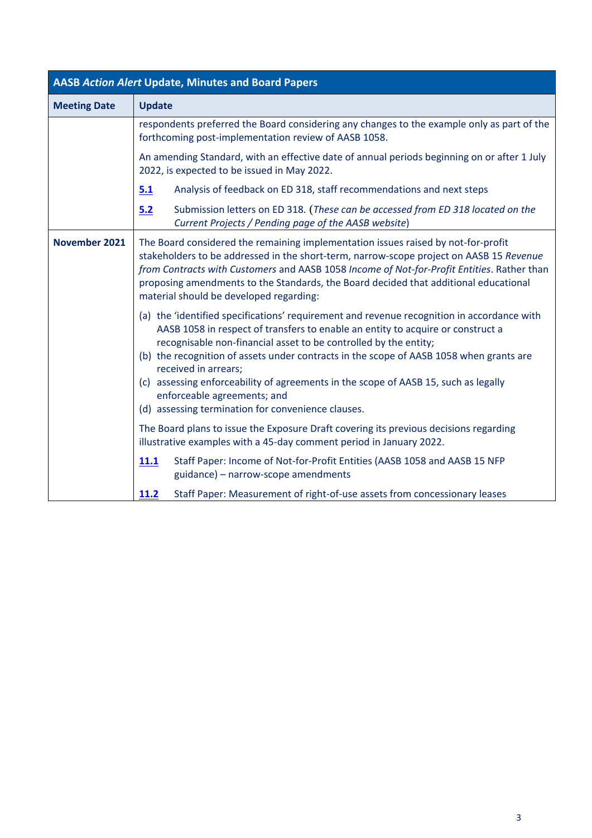<span id="page-2-0"></span>

| <b>AASB Action Alert Update, Minutes and Board Papers</b> |                                                                                                                                                                                                                                                                                                                                                                                                                                                                                                                                                  |  |  |
|-----------------------------------------------------------|--------------------------------------------------------------------------------------------------------------------------------------------------------------------------------------------------------------------------------------------------------------------------------------------------------------------------------------------------------------------------------------------------------------------------------------------------------------------------------------------------------------------------------------------------|--|--|
| <b>Meeting Date</b>                                       | <b>Update</b>                                                                                                                                                                                                                                                                                                                                                                                                                                                                                                                                    |  |  |
|                                                           | respondents preferred the Board considering any changes to the example only as part of the<br>forthcoming post-implementation review of AASB 1058.                                                                                                                                                                                                                                                                                                                                                                                               |  |  |
|                                                           | An amending Standard, with an effective date of annual periods beginning on or after 1 July<br>2022, is expected to be issued in May 2022.                                                                                                                                                                                                                                                                                                                                                                                                       |  |  |
|                                                           | 5.1<br>Analysis of feedback on ED 318, staff recommendations and next steps                                                                                                                                                                                                                                                                                                                                                                                                                                                                      |  |  |
|                                                           | Submission letters on ED 318. (These can be accessed from ED 318 located on the<br>5.2<br>Current Projects / Pending page of the AASB website)                                                                                                                                                                                                                                                                                                                                                                                                   |  |  |
| November 2021                                             | The Board considered the remaining implementation issues raised by not-for-profit<br>stakeholders to be addressed in the short-term, narrow-scope project on AASB 15 Revenue<br>from Contracts with Customers and AASB 1058 Income of Not-for-Profit Entities. Rather than<br>proposing amendments to the Standards, the Board decided that additional educational<br>material should be developed regarding:                                                                                                                                    |  |  |
|                                                           | (a) the 'identified specifications' requirement and revenue recognition in accordance with<br>AASB 1058 in respect of transfers to enable an entity to acquire or construct a<br>recognisable non-financial asset to be controlled by the entity;<br>(b) the recognition of assets under contracts in the scope of AASB 1058 when grants are<br>received in arrears;<br>(c) assessing enforceability of agreements in the scope of AASB 15, such as legally<br>enforceable agreements; and<br>(d) assessing termination for convenience clauses. |  |  |
|                                                           | The Board plans to issue the Exposure Draft covering its previous decisions regarding<br>illustrative examples with a 45-day comment period in January 2022.                                                                                                                                                                                                                                                                                                                                                                                     |  |  |
|                                                           | Staff Paper: Income of Not-for-Profit Entities (AASB 1058 and AASB 15 NFP<br>11.1<br>guidance) - narrow-scope amendments                                                                                                                                                                                                                                                                                                                                                                                                                         |  |  |
|                                                           | Staff Paper: Measurement of right-of-use assets from concessionary leases<br>11.2                                                                                                                                                                                                                                                                                                                                                                                                                                                                |  |  |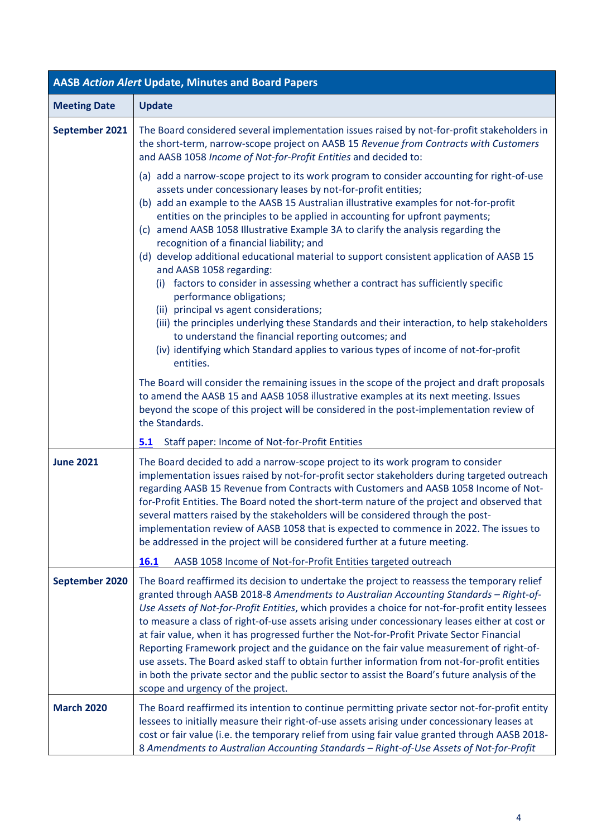<span id="page-3-2"></span><span id="page-3-1"></span><span id="page-3-0"></span>

| <b>AASB Action Alert Update, Minutes and Board Papers</b> |                                                                                                                                                                                                                                                                                                                                                                                                                                                                                                                                                                                                                                                                                                                                                                                                                                                                                                                                                                                                                       |  |  |
|-----------------------------------------------------------|-----------------------------------------------------------------------------------------------------------------------------------------------------------------------------------------------------------------------------------------------------------------------------------------------------------------------------------------------------------------------------------------------------------------------------------------------------------------------------------------------------------------------------------------------------------------------------------------------------------------------------------------------------------------------------------------------------------------------------------------------------------------------------------------------------------------------------------------------------------------------------------------------------------------------------------------------------------------------------------------------------------------------|--|--|
| <b>Meeting Date</b>                                       | <b>Update</b>                                                                                                                                                                                                                                                                                                                                                                                                                                                                                                                                                                                                                                                                                                                                                                                                                                                                                                                                                                                                         |  |  |
| September 2021                                            | The Board considered several implementation issues raised by not-for-profit stakeholders in<br>the short-term, narrow-scope project on AASB 15 Revenue from Contracts with Customers<br>and AASB 1058 Income of Not-for-Profit Entities and decided to:                                                                                                                                                                                                                                                                                                                                                                                                                                                                                                                                                                                                                                                                                                                                                               |  |  |
|                                                           | (a) add a narrow-scope project to its work program to consider accounting for right-of-use<br>assets under concessionary leases by not-for-profit entities;<br>(b) add an example to the AASB 15 Australian illustrative examples for not-for-profit<br>entities on the principles to be applied in accounting for upfront payments;<br>(c) amend AASB 1058 Illustrative Example 3A to clarify the analysis regarding the<br>recognition of a financial liability; and<br>(d) develop additional educational material to support consistent application of AASB 15<br>and AASB 1058 regarding:<br>(i) factors to consider in assessing whether a contract has sufficiently specific<br>performance obligations;<br>(ii) principal vs agent considerations;<br>(iii) the principles underlying these Standards and their interaction, to help stakeholders<br>to understand the financial reporting outcomes; and<br>(iv) identifying which Standard applies to various types of income of not-for-profit<br>entities. |  |  |
|                                                           | The Board will consider the remaining issues in the scope of the project and draft proposals<br>to amend the AASB 15 and AASB 1058 illustrative examples at its next meeting. Issues<br>beyond the scope of this project will be considered in the post-implementation review of<br>the Standards.                                                                                                                                                                                                                                                                                                                                                                                                                                                                                                                                                                                                                                                                                                                    |  |  |
|                                                           | Staff paper: Income of Not-for-Profit Entities<br>5.1                                                                                                                                                                                                                                                                                                                                                                                                                                                                                                                                                                                                                                                                                                                                                                                                                                                                                                                                                                 |  |  |
| <b>June 2021</b>                                          | The Board decided to add a narrow-scope project to its work program to consider<br>implementation issues raised by not-for-profit sector stakeholders during targeted outreach<br>regarding AASB 15 Revenue from Contracts with Customers and AASB 1058 Income of Not-<br>for-Profit Entities. The Board noted the short-term nature of the project and observed that<br>several matters raised by the stakeholders will be considered through the post-<br>implementation review of AASB 1058 that is expected to commence in 2022. The issues to<br>be addressed in the project will be considered further at a future meeting.                                                                                                                                                                                                                                                                                                                                                                                     |  |  |
|                                                           | 16.1<br>AASB 1058 Income of Not-for-Profit Entities targeted outreach                                                                                                                                                                                                                                                                                                                                                                                                                                                                                                                                                                                                                                                                                                                                                                                                                                                                                                                                                 |  |  |
| September 2020                                            | The Board reaffirmed its decision to undertake the project to reassess the temporary relief<br>granted through AASB 2018-8 Amendments to Australian Accounting Standards - Right-of-<br>Use Assets of Not-for-Profit Entities, which provides a choice for not-for-profit entity lessees<br>to measure a class of right-of-use assets arising under concessionary leases either at cost or<br>at fair value, when it has progressed further the Not-for-Profit Private Sector Financial<br>Reporting Framework project and the guidance on the fair value measurement of right-of-<br>use assets. The Board asked staff to obtain further information from not-for-profit entities<br>in both the private sector and the public sector to assist the Board's future analysis of the<br>scope and urgency of the project.                                                                                                                                                                                              |  |  |
| <b>March 2020</b>                                         | The Board reaffirmed its intention to continue permitting private sector not-for-profit entity<br>lessees to initially measure their right-of-use assets arising under concessionary leases at<br>cost or fair value (i.e. the temporary relief from using fair value granted through AASB 2018-<br>8 Amendments to Australian Accounting Standards - Right-of-Use Assets of Not-for-Profit                                                                                                                                                                                                                                                                                                                                                                                                                                                                                                                                                                                                                           |  |  |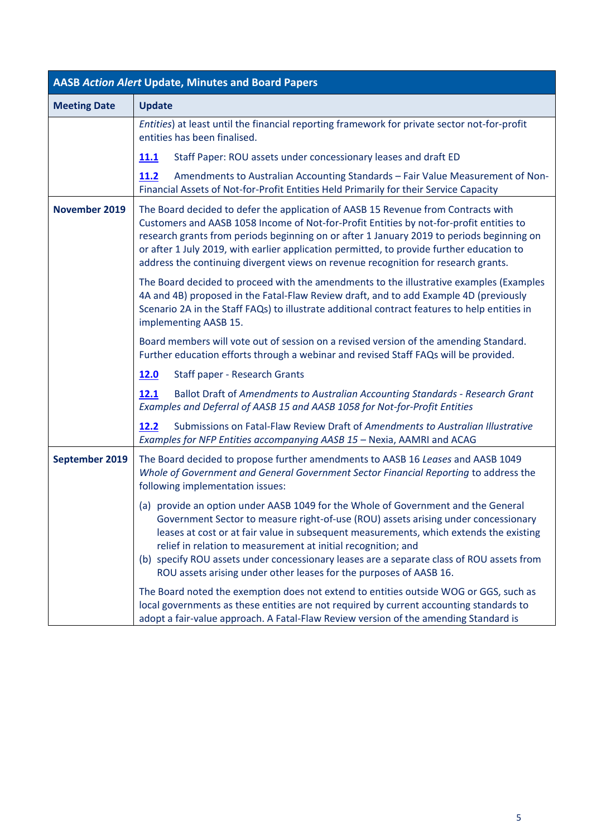<span id="page-4-0"></span>

| <b>AASB Action Alert Update, Minutes and Board Papers</b> |                                                                                                                                                                                                                                                                                                                                                                                                                                                                                                       |  |  |
|-----------------------------------------------------------|-------------------------------------------------------------------------------------------------------------------------------------------------------------------------------------------------------------------------------------------------------------------------------------------------------------------------------------------------------------------------------------------------------------------------------------------------------------------------------------------------------|--|--|
| <b>Meeting Date</b>                                       | <b>Update</b>                                                                                                                                                                                                                                                                                                                                                                                                                                                                                         |  |  |
|                                                           | Entities) at least until the financial reporting framework for private sector not-for-profit<br>entities has been finalised.                                                                                                                                                                                                                                                                                                                                                                          |  |  |
|                                                           | Staff Paper: ROU assets under concessionary leases and draft ED<br><b>11.1</b>                                                                                                                                                                                                                                                                                                                                                                                                                        |  |  |
|                                                           | Amendments to Australian Accounting Standards - Fair Value Measurement of Non-<br>11.2<br>Financial Assets of Not-for-Profit Entities Held Primarily for their Service Capacity                                                                                                                                                                                                                                                                                                                       |  |  |
| November 2019                                             | The Board decided to defer the application of AASB 15 Revenue from Contracts with<br>Customers and AASB 1058 Income of Not-for-Profit Entities by not-for-profit entities to<br>research grants from periods beginning on or after 1 January 2019 to periods beginning on<br>or after 1 July 2019, with earlier application permitted, to provide further education to<br>address the continuing divergent views on revenue recognition for research grants.                                          |  |  |
|                                                           | The Board decided to proceed with the amendments to the illustrative examples (Examples<br>4A and 4B) proposed in the Fatal-Flaw Review draft, and to add Example 4D (previously<br>Scenario 2A in the Staff FAQs) to illustrate additional contract features to help entities in<br>implementing AASB 15.                                                                                                                                                                                            |  |  |
|                                                           | Board members will vote out of session on a revised version of the amending Standard.<br>Further education efforts through a webinar and revised Staff FAQs will be provided.                                                                                                                                                                                                                                                                                                                         |  |  |
|                                                           | 12.0<br>Staff paper - Research Grants                                                                                                                                                                                                                                                                                                                                                                                                                                                                 |  |  |
|                                                           | 12.1<br>Ballot Draft of Amendments to Australian Accounting Standards - Research Grant<br>Examples and Deferral of AASB 15 and AASB 1058 for Not-for-Profit Entities                                                                                                                                                                                                                                                                                                                                  |  |  |
|                                                           | Submissions on Fatal-Flaw Review Draft of Amendments to Australian Illustrative<br>12.2<br>Examples for NFP Entities accompanying AASB 15 - Nexia, AAMRI and ACAG                                                                                                                                                                                                                                                                                                                                     |  |  |
| September 2019                                            | The Board decided to propose further amendments to AASB 16 Leases and AASB 1049<br>Whole of Government and General Government Sector Financial Reporting to address the<br>following implementation issues:                                                                                                                                                                                                                                                                                           |  |  |
|                                                           | (a) provide an option under AASB 1049 for the Whole of Government and the General<br>Government Sector to measure right-of-use (ROU) assets arising under concessionary<br>leases at cost or at fair value in subsequent measurements, which extends the existing<br>relief in relation to measurement at initial recognition; and<br>(b) specify ROU assets under concessionary leases are a separate class of ROU assets from<br>ROU assets arising under other leases for the purposes of AASB 16. |  |  |
|                                                           | The Board noted the exemption does not extend to entities outside WOG or GGS, such as<br>local governments as these entities are not required by current accounting standards to<br>adopt a fair-value approach. A Fatal-Flaw Review version of the amending Standard is                                                                                                                                                                                                                              |  |  |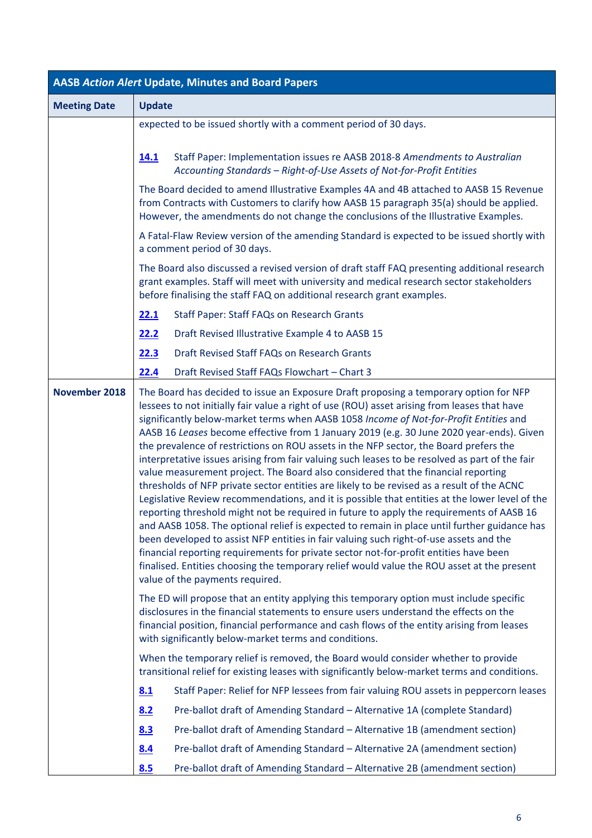| <b>AASB Action Alert Update, Minutes and Board Papers</b> |                                                                                                                                                                                                                                                                                                                                                                                                                                                                                                                                                                                                                                                                                                                                                                                                                                                                                                                                                                                                                                                                                                                                                                                                                                                                                                                                                                            |  |  |
|-----------------------------------------------------------|----------------------------------------------------------------------------------------------------------------------------------------------------------------------------------------------------------------------------------------------------------------------------------------------------------------------------------------------------------------------------------------------------------------------------------------------------------------------------------------------------------------------------------------------------------------------------------------------------------------------------------------------------------------------------------------------------------------------------------------------------------------------------------------------------------------------------------------------------------------------------------------------------------------------------------------------------------------------------------------------------------------------------------------------------------------------------------------------------------------------------------------------------------------------------------------------------------------------------------------------------------------------------------------------------------------------------------------------------------------------------|--|--|
| <b>Meeting Date</b>                                       | <b>Update</b>                                                                                                                                                                                                                                                                                                                                                                                                                                                                                                                                                                                                                                                                                                                                                                                                                                                                                                                                                                                                                                                                                                                                                                                                                                                                                                                                                              |  |  |
|                                                           | expected to be issued shortly with a comment period of 30 days.                                                                                                                                                                                                                                                                                                                                                                                                                                                                                                                                                                                                                                                                                                                                                                                                                                                                                                                                                                                                                                                                                                                                                                                                                                                                                                            |  |  |
|                                                           | Staff Paper: Implementation issues re AASB 2018-8 Amendments to Australian<br>14.1<br>Accounting Standards - Right-of-Use Assets of Not-for-Profit Entities                                                                                                                                                                                                                                                                                                                                                                                                                                                                                                                                                                                                                                                                                                                                                                                                                                                                                                                                                                                                                                                                                                                                                                                                                |  |  |
|                                                           | The Board decided to amend Illustrative Examples 4A and 4B attached to AASB 15 Revenue<br>from Contracts with Customers to clarify how AASB 15 paragraph 35(a) should be applied.<br>However, the amendments do not change the conclusions of the Illustrative Examples.                                                                                                                                                                                                                                                                                                                                                                                                                                                                                                                                                                                                                                                                                                                                                                                                                                                                                                                                                                                                                                                                                                   |  |  |
|                                                           | A Fatal-Flaw Review version of the amending Standard is expected to be issued shortly with<br>a comment period of 30 days.                                                                                                                                                                                                                                                                                                                                                                                                                                                                                                                                                                                                                                                                                                                                                                                                                                                                                                                                                                                                                                                                                                                                                                                                                                                 |  |  |
|                                                           | The Board also discussed a revised version of draft staff FAQ presenting additional research<br>grant examples. Staff will meet with university and medical research sector stakeholders<br>before finalising the staff FAQ on additional research grant examples.                                                                                                                                                                                                                                                                                                                                                                                                                                                                                                                                                                                                                                                                                                                                                                                                                                                                                                                                                                                                                                                                                                         |  |  |
|                                                           | 22.1<br><b>Staff Paper: Staff FAQs on Research Grants</b>                                                                                                                                                                                                                                                                                                                                                                                                                                                                                                                                                                                                                                                                                                                                                                                                                                                                                                                                                                                                                                                                                                                                                                                                                                                                                                                  |  |  |
|                                                           | 22.2<br>Draft Revised Illustrative Example 4 to AASB 15                                                                                                                                                                                                                                                                                                                                                                                                                                                                                                                                                                                                                                                                                                                                                                                                                                                                                                                                                                                                                                                                                                                                                                                                                                                                                                                    |  |  |
|                                                           | Draft Revised Staff FAQs on Research Grants<br>22.3                                                                                                                                                                                                                                                                                                                                                                                                                                                                                                                                                                                                                                                                                                                                                                                                                                                                                                                                                                                                                                                                                                                                                                                                                                                                                                                        |  |  |
|                                                           | 22.4<br>Draft Revised Staff FAQs Flowchart - Chart 3                                                                                                                                                                                                                                                                                                                                                                                                                                                                                                                                                                                                                                                                                                                                                                                                                                                                                                                                                                                                                                                                                                                                                                                                                                                                                                                       |  |  |
| November 2018                                             | The Board has decided to issue an Exposure Draft proposing a temporary option for NFP<br>lessees to not initially fair value a right of use (ROU) asset arising from leases that have<br>significantly below-market terms when AASB 1058 Income of Not-for-Profit Entities and<br>AASB 16 Leases become effective from 1 January 2019 (e.g. 30 June 2020 year-ends). Given<br>the prevalence of restrictions on ROU assets in the NFP sector, the Board prefers the<br>interpretative issues arising from fair valuing such leases to be resolved as part of the fair<br>value measurement project. The Board also considered that the financial reporting<br>thresholds of NFP private sector entities are likely to be revised as a result of the ACNC<br>Legislative Review recommendations, and it is possible that entities at the lower level of the<br>reporting threshold might not be required in future to apply the requirements of AASB 16<br>and AASB 1058. The optional relief is expected to remain in place until further guidance has<br>been developed to assist NFP entities in fair valuing such right-of-use assets and the<br>financial reporting requirements for private sector not-for-profit entities have been<br>finalised. Entities choosing the temporary relief would value the ROU asset at the present<br>value of the payments required. |  |  |
|                                                           | The ED will propose that an entity applying this temporary option must include specific<br>disclosures in the financial statements to ensure users understand the effects on the<br>financial position, financial performance and cash flows of the entity arising from leases<br>with significantly below-market terms and conditions.                                                                                                                                                                                                                                                                                                                                                                                                                                                                                                                                                                                                                                                                                                                                                                                                                                                                                                                                                                                                                                    |  |  |
|                                                           | When the temporary relief is removed, the Board would consider whether to provide<br>transitional relief for existing leases with significantly below-market terms and conditions.                                                                                                                                                                                                                                                                                                                                                                                                                                                                                                                                                                                                                                                                                                                                                                                                                                                                                                                                                                                                                                                                                                                                                                                         |  |  |
|                                                           | Staff Paper: Relief for NFP lessees from fair valuing ROU assets in peppercorn leases<br>8.1                                                                                                                                                                                                                                                                                                                                                                                                                                                                                                                                                                                                                                                                                                                                                                                                                                                                                                                                                                                                                                                                                                                                                                                                                                                                               |  |  |
|                                                           | 8.2<br>Pre-ballot draft of Amending Standard - Alternative 1A (complete Standard)                                                                                                                                                                                                                                                                                                                                                                                                                                                                                                                                                                                                                                                                                                                                                                                                                                                                                                                                                                                                                                                                                                                                                                                                                                                                                          |  |  |
|                                                           | 8.3<br>Pre-ballot draft of Amending Standard - Alternative 1B (amendment section)                                                                                                                                                                                                                                                                                                                                                                                                                                                                                                                                                                                                                                                                                                                                                                                                                                                                                                                                                                                                                                                                                                                                                                                                                                                                                          |  |  |
|                                                           | Pre-ballot draft of Amending Standard - Alternative 2A (amendment section)<br>8.4                                                                                                                                                                                                                                                                                                                                                                                                                                                                                                                                                                                                                                                                                                                                                                                                                                                                                                                                                                                                                                                                                                                                                                                                                                                                                          |  |  |
|                                                           | 8.5<br>Pre-ballot draft of Amending Standard - Alternative 2B (amendment section)                                                                                                                                                                                                                                                                                                                                                                                                                                                                                                                                                                                                                                                                                                                                                                                                                                                                                                                                                                                                                                                                                                                                                                                                                                                                                          |  |  |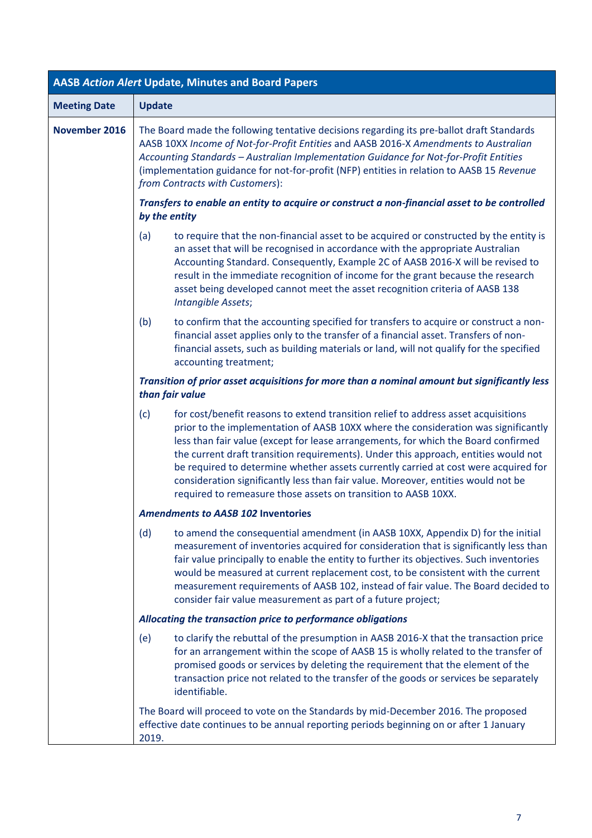| <b>AASB Action Alert Update, Minutes and Board Papers</b> |                                                                                                                                                                                                                                                                                                                                                                                                                                                                                                                                                                                                            |  |  |
|-----------------------------------------------------------|------------------------------------------------------------------------------------------------------------------------------------------------------------------------------------------------------------------------------------------------------------------------------------------------------------------------------------------------------------------------------------------------------------------------------------------------------------------------------------------------------------------------------------------------------------------------------------------------------------|--|--|
| <b>Meeting Date</b>                                       | <b>Update</b>                                                                                                                                                                                                                                                                                                                                                                                                                                                                                                                                                                                              |  |  |
| November 2016                                             | The Board made the following tentative decisions regarding its pre-ballot draft Standards<br>AASB 10XX Income of Not-for-Profit Entities and AASB 2016-X Amendments to Australian<br>Accounting Standards - Australian Implementation Guidance for Not-for-Profit Entities<br>(implementation guidance for not-for-profit (NFP) entities in relation to AASB 15 Revenue<br>from Contracts with Customers):                                                                                                                                                                                                 |  |  |
|                                                           | Transfers to enable an entity to acquire or construct a non-financial asset to be controlled<br>by the entity                                                                                                                                                                                                                                                                                                                                                                                                                                                                                              |  |  |
|                                                           | to require that the non-financial asset to be acquired or constructed by the entity is<br>(a)<br>an asset that will be recognised in accordance with the appropriate Australian<br>Accounting Standard. Consequently, Example 2C of AASB 2016-X will be revised to<br>result in the immediate recognition of income for the grant because the research<br>asset being developed cannot meet the asset recognition criteria of AASB 138<br>Intangible Assets;                                                                                                                                               |  |  |
|                                                           | (b)<br>to confirm that the accounting specified for transfers to acquire or construct a non-<br>financial asset applies only to the transfer of a financial asset. Transfers of non-<br>financial assets, such as building materials or land, will not qualify for the specified<br>accounting treatment;                                                                                                                                                                                                                                                                                                  |  |  |
|                                                           | Transition of prior asset acquisitions for more than a nominal amount but significantly less<br>than fair value                                                                                                                                                                                                                                                                                                                                                                                                                                                                                            |  |  |
|                                                           | (c)<br>for cost/benefit reasons to extend transition relief to address asset acquisitions<br>prior to the implementation of AASB 10XX where the consideration was significantly<br>less than fair value (except for lease arrangements, for which the Board confirmed<br>the current draft transition requirements). Under this approach, entities would not<br>be required to determine whether assets currently carried at cost were acquired for<br>consideration significantly less than fair value. Moreover, entities would not be<br>required to remeasure those assets on transition to AASB 10XX. |  |  |
|                                                           | <b>Amendments to AASB 102 Inventories</b>                                                                                                                                                                                                                                                                                                                                                                                                                                                                                                                                                                  |  |  |
|                                                           | (d)<br>to amend the consequential amendment (in AASB 10XX, Appendix D) for the initial<br>measurement of inventories acquired for consideration that is significantly less than<br>fair value principally to enable the entity to further its objectives. Such inventories<br>would be measured at current replacement cost, to be consistent with the current<br>measurement requirements of AASB 102, instead of fair value. The Board decided to<br>consider fair value measurement as part of a future project;                                                                                        |  |  |
|                                                           | Allocating the transaction price to performance obligations                                                                                                                                                                                                                                                                                                                                                                                                                                                                                                                                                |  |  |
|                                                           | to clarify the rebuttal of the presumption in AASB 2016-X that the transaction price<br>(e)<br>for an arrangement within the scope of AASB 15 is wholly related to the transfer of<br>promised goods or services by deleting the requirement that the element of the<br>transaction price not related to the transfer of the goods or services be separately<br>identifiable.                                                                                                                                                                                                                              |  |  |
|                                                           | The Board will proceed to vote on the Standards by mid-December 2016. The proposed<br>effective date continues to be annual reporting periods beginning on or after 1 January<br>2019.                                                                                                                                                                                                                                                                                                                                                                                                                     |  |  |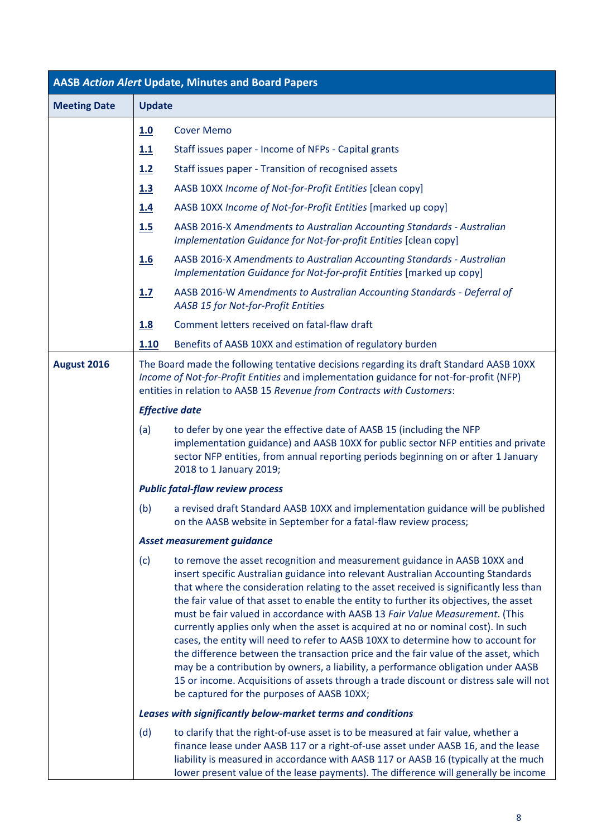| <b>AASB Action Alert Update, Minutes and Board Papers</b> |                                                                                                                                                                                                                                                             |                                                                                                                                                                                                                                                                                                                                                                                                                                                                                                                                                                                                                                                                                                                                                                                                                                                                                                                                   |  |  |
|-----------------------------------------------------------|-------------------------------------------------------------------------------------------------------------------------------------------------------------------------------------------------------------------------------------------------------------|-----------------------------------------------------------------------------------------------------------------------------------------------------------------------------------------------------------------------------------------------------------------------------------------------------------------------------------------------------------------------------------------------------------------------------------------------------------------------------------------------------------------------------------------------------------------------------------------------------------------------------------------------------------------------------------------------------------------------------------------------------------------------------------------------------------------------------------------------------------------------------------------------------------------------------------|--|--|
| <b>Meeting Date</b>                                       |                                                                                                                                                                                                                                                             | <b>Update</b>                                                                                                                                                                                                                                                                                                                                                                                                                                                                                                                                                                                                                                                                                                                                                                                                                                                                                                                     |  |  |
|                                                           | 1.0                                                                                                                                                                                                                                                         | <b>Cover Memo</b>                                                                                                                                                                                                                                                                                                                                                                                                                                                                                                                                                                                                                                                                                                                                                                                                                                                                                                                 |  |  |
|                                                           | 1.1                                                                                                                                                                                                                                                         | Staff issues paper - Income of NFPs - Capital grants                                                                                                                                                                                                                                                                                                                                                                                                                                                                                                                                                                                                                                                                                                                                                                                                                                                                              |  |  |
|                                                           | 1.2                                                                                                                                                                                                                                                         | Staff issues paper - Transition of recognised assets                                                                                                                                                                                                                                                                                                                                                                                                                                                                                                                                                                                                                                                                                                                                                                                                                                                                              |  |  |
|                                                           | 1.3                                                                                                                                                                                                                                                         | AASB 10XX Income of Not-for-Profit Entities [clean copy]                                                                                                                                                                                                                                                                                                                                                                                                                                                                                                                                                                                                                                                                                                                                                                                                                                                                          |  |  |
|                                                           | 1.4                                                                                                                                                                                                                                                         | AASB 10XX Income of Not-for-Profit Entities [marked up copy]                                                                                                                                                                                                                                                                                                                                                                                                                                                                                                                                                                                                                                                                                                                                                                                                                                                                      |  |  |
|                                                           | 1.5                                                                                                                                                                                                                                                         | AASB 2016-X Amendments to Australian Accounting Standards - Australian<br>Implementation Guidance for Not-for-profit Entities [clean copy]                                                                                                                                                                                                                                                                                                                                                                                                                                                                                                                                                                                                                                                                                                                                                                                        |  |  |
|                                                           | <u>1.6</u>                                                                                                                                                                                                                                                  | AASB 2016-X Amendments to Australian Accounting Standards - Australian<br>Implementation Guidance for Not-for-profit Entities [marked up copy]                                                                                                                                                                                                                                                                                                                                                                                                                                                                                                                                                                                                                                                                                                                                                                                    |  |  |
|                                                           | 1.7                                                                                                                                                                                                                                                         | AASB 2016-W Amendments to Australian Accounting Standards - Deferral of<br>AASB 15 for Not-for-Profit Entities                                                                                                                                                                                                                                                                                                                                                                                                                                                                                                                                                                                                                                                                                                                                                                                                                    |  |  |
|                                                           | 1.8                                                                                                                                                                                                                                                         | Comment letters received on fatal-flaw draft                                                                                                                                                                                                                                                                                                                                                                                                                                                                                                                                                                                                                                                                                                                                                                                                                                                                                      |  |  |
|                                                           | 1.10                                                                                                                                                                                                                                                        | Benefits of AASB 10XX and estimation of regulatory burden                                                                                                                                                                                                                                                                                                                                                                                                                                                                                                                                                                                                                                                                                                                                                                                                                                                                         |  |  |
| August 2016                                               | The Board made the following tentative decisions regarding its draft Standard AASB 10XX<br>Income of Not-for-Profit Entities and implementation guidance for not-for-profit (NFP)<br>entities in relation to AASB 15 Revenue from Contracts with Customers: |                                                                                                                                                                                                                                                                                                                                                                                                                                                                                                                                                                                                                                                                                                                                                                                                                                                                                                                                   |  |  |
|                                                           |                                                                                                                                                                                                                                                             | <b>Effective date</b>                                                                                                                                                                                                                                                                                                                                                                                                                                                                                                                                                                                                                                                                                                                                                                                                                                                                                                             |  |  |
|                                                           | (a)                                                                                                                                                                                                                                                         | to defer by one year the effective date of AASB 15 (including the NFP<br>implementation guidance) and AASB 10XX for public sector NFP entities and private<br>sector NFP entities, from annual reporting periods beginning on or after 1 January<br>2018 to 1 January 2019;                                                                                                                                                                                                                                                                                                                                                                                                                                                                                                                                                                                                                                                       |  |  |
|                                                           |                                                                                                                                                                                                                                                             | <b>Public fatal-flaw review process</b>                                                                                                                                                                                                                                                                                                                                                                                                                                                                                                                                                                                                                                                                                                                                                                                                                                                                                           |  |  |
|                                                           | (b)                                                                                                                                                                                                                                                         | a revised draft Standard AASB 10XX and implementation guidance will be published<br>on the AASB website in September for a fatal-flaw review process;                                                                                                                                                                                                                                                                                                                                                                                                                                                                                                                                                                                                                                                                                                                                                                             |  |  |
|                                                           |                                                                                                                                                                                                                                                             | Asset measurement guidance                                                                                                                                                                                                                                                                                                                                                                                                                                                                                                                                                                                                                                                                                                                                                                                                                                                                                                        |  |  |
|                                                           | (c)                                                                                                                                                                                                                                                         | to remove the asset recognition and measurement guidance in AASB 10XX and<br>insert specific Australian guidance into relevant Australian Accounting Standards<br>that where the consideration relating to the asset received is significantly less than<br>the fair value of that asset to enable the entity to further its objectives, the asset<br>must be fair valued in accordance with AASB 13 Fair Value Measurement. (This<br>currently applies only when the asset is acquired at no or nominal cost). In such<br>cases, the entity will need to refer to AASB 10XX to determine how to account for<br>the difference between the transaction price and the fair value of the asset, which<br>may be a contribution by owners, a liability, a performance obligation under AASB<br>15 or income. Acquisitions of assets through a trade discount or distress sale will not<br>be captured for the purposes of AASB 10XX; |  |  |
|                                                           |                                                                                                                                                                                                                                                             | Leases with significantly below-market terms and conditions                                                                                                                                                                                                                                                                                                                                                                                                                                                                                                                                                                                                                                                                                                                                                                                                                                                                       |  |  |
|                                                           | (d)                                                                                                                                                                                                                                                         | to clarify that the right-of-use asset is to be measured at fair value, whether a<br>finance lease under AASB 117 or a right-of-use asset under AASB 16, and the lease<br>liability is measured in accordance with AASB 117 or AASB 16 (typically at the much<br>lower present value of the lease payments). The difference will generally be income                                                                                                                                                                                                                                                                                                                                                                                                                                                                                                                                                                              |  |  |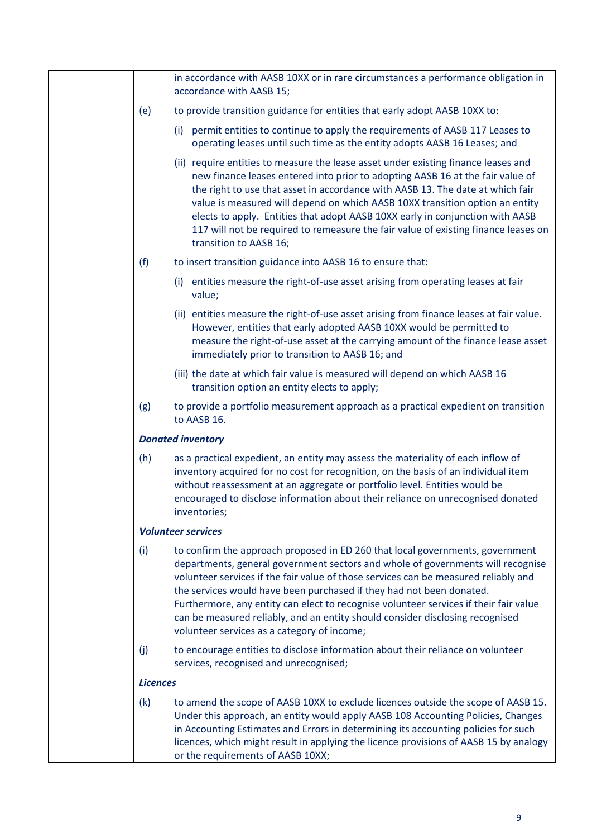|                 | in accordance with AASB 10XX or in rare circumstances a performance obligation in<br>accordance with AASB 15;                                                                                                                                                                                                                                                                                                                                                                                                                                            |
|-----------------|----------------------------------------------------------------------------------------------------------------------------------------------------------------------------------------------------------------------------------------------------------------------------------------------------------------------------------------------------------------------------------------------------------------------------------------------------------------------------------------------------------------------------------------------------------|
| (e)             | to provide transition guidance for entities that early adopt AASB 10XX to:                                                                                                                                                                                                                                                                                                                                                                                                                                                                               |
|                 | (i) permit entities to continue to apply the requirements of AASB 117 Leases to<br>operating leases until such time as the entity adopts AASB 16 Leases; and                                                                                                                                                                                                                                                                                                                                                                                             |
|                 | (ii) require entities to measure the lease asset under existing finance leases and<br>new finance leases entered into prior to adopting AASB 16 at the fair value of<br>the right to use that asset in accordance with AASB 13. The date at which fair<br>value is measured will depend on which AASB 10XX transition option an entity<br>elects to apply. Entities that adopt AASB 10XX early in conjunction with AASB<br>117 will not be required to remeasure the fair value of existing finance leases on<br>transition to AASB 16;                  |
| (f)             | to insert transition guidance into AASB 16 to ensure that:                                                                                                                                                                                                                                                                                                                                                                                                                                                                                               |
|                 | (i) entities measure the right-of-use asset arising from operating leases at fair<br>value;                                                                                                                                                                                                                                                                                                                                                                                                                                                              |
|                 | (ii) entities measure the right-of-use asset arising from finance leases at fair value.<br>However, entities that early adopted AASB 10XX would be permitted to<br>measure the right-of-use asset at the carrying amount of the finance lease asset<br>immediately prior to transition to AASB 16; and                                                                                                                                                                                                                                                   |
|                 | (iii) the date at which fair value is measured will depend on which AASB 16<br>transition option an entity elects to apply;                                                                                                                                                                                                                                                                                                                                                                                                                              |
| (g)             | to provide a portfolio measurement approach as a practical expedient on transition<br>to AASB 16.                                                                                                                                                                                                                                                                                                                                                                                                                                                        |
|                 | <b>Donated inventory</b>                                                                                                                                                                                                                                                                                                                                                                                                                                                                                                                                 |
| (h)             | as a practical expedient, an entity may assess the materiality of each inflow of<br>inventory acquired for no cost for recognition, on the basis of an individual item<br>without reassessment at an aggregate or portfolio level. Entities would be<br>encouraged to disclose information about their reliance on unrecognised donated<br>inventories;                                                                                                                                                                                                  |
|                 | <b>Volunteer services</b>                                                                                                                                                                                                                                                                                                                                                                                                                                                                                                                                |
| (i)             | to confirm the approach proposed in ED 260 that local governments, government<br>departments, general government sectors and whole of governments will recognise<br>volunteer services if the fair value of those services can be measured reliably and<br>the services would have been purchased if they had not been donated.<br>Furthermore, any entity can elect to recognise volunteer services if their fair value<br>can be measured reliably, and an entity should consider disclosing recognised<br>volunteer services as a category of income; |
| (j)             | to encourage entities to disclose information about their reliance on volunteer<br>services, recognised and unrecognised;                                                                                                                                                                                                                                                                                                                                                                                                                                |
| <b>Licences</b> |                                                                                                                                                                                                                                                                                                                                                                                                                                                                                                                                                          |
| (k)             | to amend the scope of AASB 10XX to exclude licences outside the scope of AASB 15.<br>Under this approach, an entity would apply AASB 108 Accounting Policies, Changes<br>in Accounting Estimates and Errors in determining its accounting policies for such<br>licences, which might result in applying the licence provisions of AASB 15 by analogy<br>or the requirements of AASB 10XX;                                                                                                                                                                |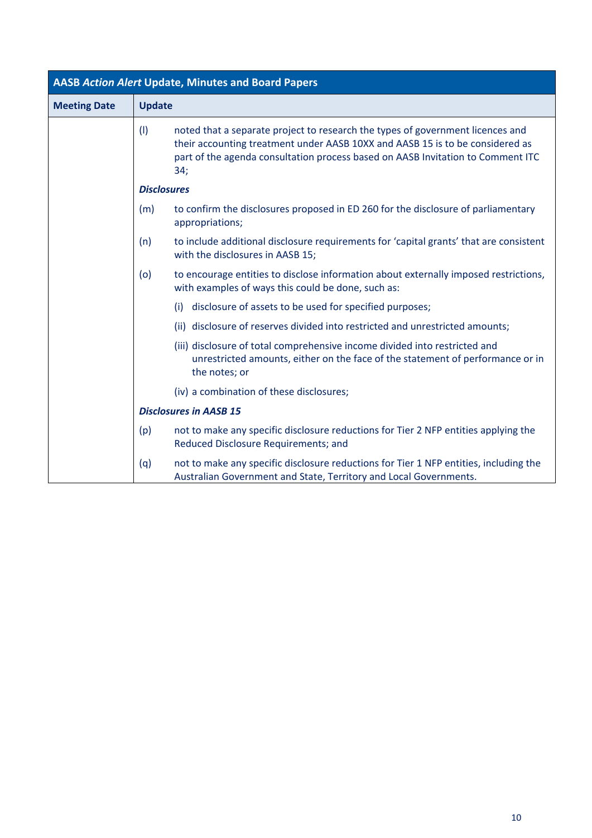| <b>AASB Action Alert Update, Minutes and Board Papers</b> |                               |                                                                                                                                                                                                                                                           |  |
|-----------------------------------------------------------|-------------------------------|-----------------------------------------------------------------------------------------------------------------------------------------------------------------------------------------------------------------------------------------------------------|--|
| <b>Meeting Date</b>                                       | <b>Update</b>                 |                                                                                                                                                                                                                                                           |  |
|                                                           | (1)                           | noted that a separate project to research the types of government licences and<br>their accounting treatment under AASB 10XX and AASB 15 is to be considered as<br>part of the agenda consultation process based on AASB Invitation to Comment ITC<br>34; |  |
|                                                           | <b>Disclosures</b>            |                                                                                                                                                                                                                                                           |  |
|                                                           | (m)                           | to confirm the disclosures proposed in ED 260 for the disclosure of parliamentary<br>appropriations;                                                                                                                                                      |  |
|                                                           | (n)                           | to include additional disclosure requirements for 'capital grants' that are consistent<br>with the disclosures in AASB 15;                                                                                                                                |  |
|                                                           | (o)                           | to encourage entities to disclose information about externally imposed restrictions,<br>with examples of ways this could be done, such as:                                                                                                                |  |
|                                                           |                               | disclosure of assets to be used for specified purposes;<br>(i)                                                                                                                                                                                            |  |
|                                                           |                               | (ii) disclosure of reserves divided into restricted and unrestricted amounts;                                                                                                                                                                             |  |
|                                                           |                               | (iii) disclosure of total comprehensive income divided into restricted and<br>unrestricted amounts, either on the face of the statement of performance or in<br>the notes; or                                                                             |  |
|                                                           |                               | (iv) a combination of these disclosures;                                                                                                                                                                                                                  |  |
|                                                           | <b>Disclosures in AASB 15</b> |                                                                                                                                                                                                                                                           |  |
|                                                           | (p)                           | not to make any specific disclosure reductions for Tier 2 NFP entities applying the<br>Reduced Disclosure Requirements; and                                                                                                                               |  |
|                                                           | (q)                           | not to make any specific disclosure reductions for Tier 1 NFP entities, including the<br>Australian Government and State, Territory and Local Governments.                                                                                                |  |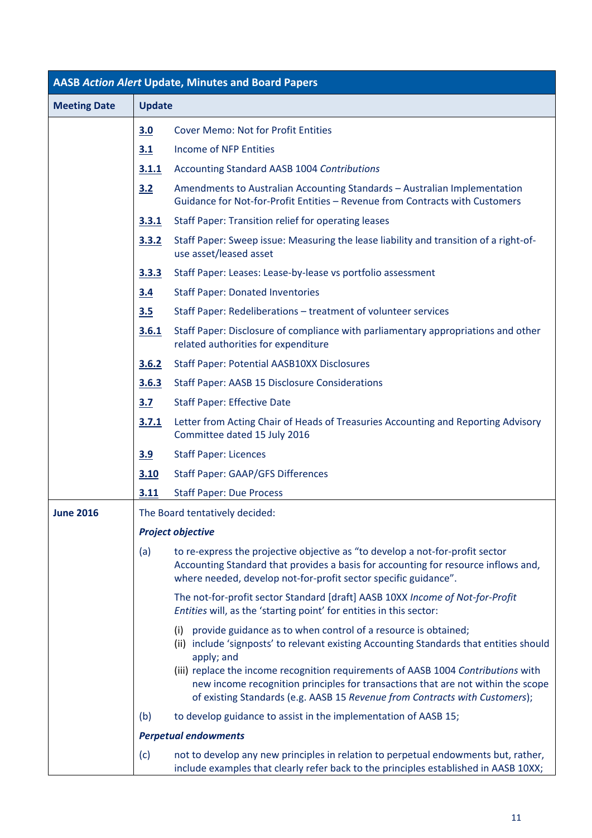| <b>AASB Action Alert Update, Minutes and Board Papers</b> |                                |                                                                                                                                                                                                                                                      |  |
|-----------------------------------------------------------|--------------------------------|------------------------------------------------------------------------------------------------------------------------------------------------------------------------------------------------------------------------------------------------------|--|
| <b>Meeting Date</b>                                       | <b>Update</b>                  |                                                                                                                                                                                                                                                      |  |
|                                                           | 3.0                            | <b>Cover Memo: Not for Profit Entities</b>                                                                                                                                                                                                           |  |
|                                                           | 3.1                            | <b>Income of NFP Entities</b>                                                                                                                                                                                                                        |  |
|                                                           | 3.1.1                          | Accounting Standard AASB 1004 Contributions                                                                                                                                                                                                          |  |
|                                                           | 3.2                            | Amendments to Australian Accounting Standards - Australian Implementation<br>Guidance for Not-for-Profit Entities - Revenue from Contracts with Customers                                                                                            |  |
|                                                           | 3.3.1                          | <b>Staff Paper: Transition relief for operating leases</b>                                                                                                                                                                                           |  |
|                                                           | 3.3.2                          | Staff Paper: Sweep issue: Measuring the lease liability and transition of a right-of-<br>use asset/leased asset                                                                                                                                      |  |
|                                                           | 3.3.3                          | Staff Paper: Leases: Lease-by-lease vs portfolio assessment                                                                                                                                                                                          |  |
|                                                           | 3.4                            | <b>Staff Paper: Donated Inventories</b>                                                                                                                                                                                                              |  |
|                                                           | 3.5                            | Staff Paper: Redeliberations - treatment of volunteer services                                                                                                                                                                                       |  |
|                                                           | 3.6.1                          | Staff Paper: Disclosure of compliance with parliamentary appropriations and other<br>related authorities for expenditure                                                                                                                             |  |
|                                                           | 3.6.2                          | <b>Staff Paper: Potential AASB10XX Disclosures</b>                                                                                                                                                                                                   |  |
|                                                           | 3.6.3                          | <b>Staff Paper: AASB 15 Disclosure Considerations</b>                                                                                                                                                                                                |  |
|                                                           | 3.7                            | <b>Staff Paper: Effective Date</b>                                                                                                                                                                                                                   |  |
|                                                           | 3.7.1                          | Letter from Acting Chair of Heads of Treasuries Accounting and Reporting Advisory<br>Committee dated 15 July 2016                                                                                                                                    |  |
|                                                           | 3.9                            | <b>Staff Paper: Licences</b>                                                                                                                                                                                                                         |  |
|                                                           | 3.10                           | <b>Staff Paper: GAAP/GFS Differences</b>                                                                                                                                                                                                             |  |
|                                                           | 3.11                           | <b>Staff Paper: Due Process</b>                                                                                                                                                                                                                      |  |
| <b>June 2016</b>                                          | The Board tentatively decided: |                                                                                                                                                                                                                                                      |  |
|                                                           |                                | <b>Project objective</b>                                                                                                                                                                                                                             |  |
|                                                           | (a)                            | to re-express the projective objective as "to develop a not-for-profit sector<br>Accounting Standard that provides a basis for accounting for resource inflows and,<br>where needed, develop not-for-profit sector specific guidance".               |  |
|                                                           |                                | The not-for-profit sector Standard [draft] AASB 10XX Income of Not-for-Profit<br>Entities will, as the 'starting point' for entities in this sector:                                                                                                 |  |
|                                                           |                                | (i) provide guidance as to when control of a resource is obtained;<br>(ii) include 'signposts' to relevant existing Accounting Standards that entities should<br>apply; and                                                                          |  |
|                                                           |                                | (iii) replace the income recognition requirements of AASB 1004 Contributions with<br>new income recognition principles for transactions that are not within the scope<br>of existing Standards (e.g. AASB 15 Revenue from Contracts with Customers); |  |
|                                                           | (b)                            | to develop guidance to assist in the implementation of AASB 15;                                                                                                                                                                                      |  |
|                                                           |                                | <b>Perpetual endowments</b>                                                                                                                                                                                                                          |  |
|                                                           | (c)                            | not to develop any new principles in relation to perpetual endowments but, rather,<br>include examples that clearly refer back to the principles established in AASB 10XX;                                                                           |  |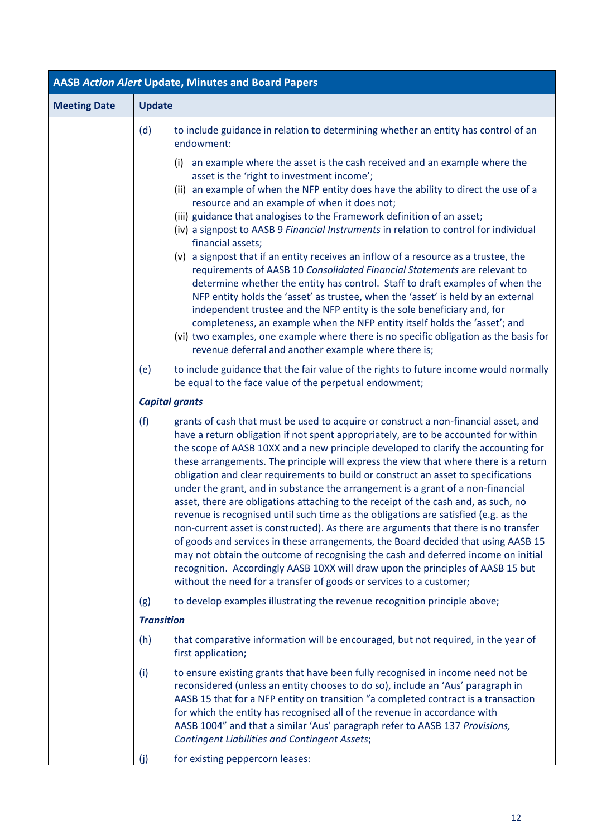| <b>AASB Action Alert Update, Minutes and Board Papers</b> |                       |                                                                                                                                                                                                                                                                                                                                                                                                                                                                                                                                                                                                                                                                                                                                                                                                                                                                                                                                                                                                                                                                                                                                           |  |
|-----------------------------------------------------------|-----------------------|-------------------------------------------------------------------------------------------------------------------------------------------------------------------------------------------------------------------------------------------------------------------------------------------------------------------------------------------------------------------------------------------------------------------------------------------------------------------------------------------------------------------------------------------------------------------------------------------------------------------------------------------------------------------------------------------------------------------------------------------------------------------------------------------------------------------------------------------------------------------------------------------------------------------------------------------------------------------------------------------------------------------------------------------------------------------------------------------------------------------------------------------|--|
| <b>Meeting Date</b>                                       | <b>Update</b>         |                                                                                                                                                                                                                                                                                                                                                                                                                                                                                                                                                                                                                                                                                                                                                                                                                                                                                                                                                                                                                                                                                                                                           |  |
|                                                           | (d)                   | to include guidance in relation to determining whether an entity has control of an<br>endowment:                                                                                                                                                                                                                                                                                                                                                                                                                                                                                                                                                                                                                                                                                                                                                                                                                                                                                                                                                                                                                                          |  |
|                                                           |                       | an example where the asset is the cash received and an example where the<br>(i)<br>asset is the 'right to investment income';<br>(ii) an example of when the NFP entity does have the ability to direct the use of a<br>resource and an example of when it does not;<br>(iii) guidance that analogises to the Framework definition of an asset;<br>(iv) a signpost to AASB 9 Financial Instruments in relation to control for individual<br>financial assets;<br>(v) a signpost that if an entity receives an inflow of a resource as a trustee, the<br>requirements of AASB 10 Consolidated Financial Statements are relevant to<br>determine whether the entity has control. Staff to draft examples of when the<br>NFP entity holds the 'asset' as trustee, when the 'asset' is held by an external<br>independent trustee and the NFP entity is the sole beneficiary and, for<br>completeness, an example when the NFP entity itself holds the 'asset'; and<br>(vi) two examples, one example where there is no specific obligation as the basis for<br>revenue deferral and another example where there is;                          |  |
|                                                           | (e)                   | to include guidance that the fair value of the rights to future income would normally<br>be equal to the face value of the perpetual endowment;                                                                                                                                                                                                                                                                                                                                                                                                                                                                                                                                                                                                                                                                                                                                                                                                                                                                                                                                                                                           |  |
|                                                           | <b>Capital grants</b> |                                                                                                                                                                                                                                                                                                                                                                                                                                                                                                                                                                                                                                                                                                                                                                                                                                                                                                                                                                                                                                                                                                                                           |  |
|                                                           | (f)                   | grants of cash that must be used to acquire or construct a non-financial asset, and<br>have a return obligation if not spent appropriately, are to be accounted for within<br>the scope of AASB 10XX and a new principle developed to clarify the accounting for<br>these arrangements. The principle will express the view that where there is a return<br>obligation and clear requirements to build or construct an asset to specifications<br>under the grant, and in substance the arrangement is a grant of a non-financial<br>asset, there are obligations attaching to the receipt of the cash and, as such, no<br>revenue is recognised until such time as the obligations are satisfied (e.g. as the<br>non-current asset is constructed). As there are arguments that there is no transfer<br>of goods and services in these arrangements, the Board decided that using AASB 15<br>may not obtain the outcome of recognising the cash and deferred income on initial<br>recognition. Accordingly AASB 10XX will draw upon the principles of AASB 15 but<br>without the need for a transfer of goods or services to a customer; |  |
|                                                           | (g)                   | to develop examples illustrating the revenue recognition principle above;                                                                                                                                                                                                                                                                                                                                                                                                                                                                                                                                                                                                                                                                                                                                                                                                                                                                                                                                                                                                                                                                 |  |
|                                                           | <b>Transition</b>     |                                                                                                                                                                                                                                                                                                                                                                                                                                                                                                                                                                                                                                                                                                                                                                                                                                                                                                                                                                                                                                                                                                                                           |  |
|                                                           | (h)                   | that comparative information will be encouraged, but not required, in the year of<br>first application;                                                                                                                                                                                                                                                                                                                                                                                                                                                                                                                                                                                                                                                                                                                                                                                                                                                                                                                                                                                                                                   |  |
|                                                           | (i)                   | to ensure existing grants that have been fully recognised in income need not be<br>reconsidered (unless an entity chooses to do so), include an 'Aus' paragraph in<br>AASB 15 that for a NFP entity on transition "a completed contract is a transaction<br>for which the entity has recognised all of the revenue in accordance with<br>AASB 1004" and that a similar 'Aus' paragraph refer to AASB 137 Provisions,<br><b>Contingent Liabilities and Contingent Assets;</b>                                                                                                                                                                                                                                                                                                                                                                                                                                                                                                                                                                                                                                                              |  |
|                                                           | (j)                   | for existing peppercorn leases:                                                                                                                                                                                                                                                                                                                                                                                                                                                                                                                                                                                                                                                                                                                                                                                                                                                                                                                                                                                                                                                                                                           |  |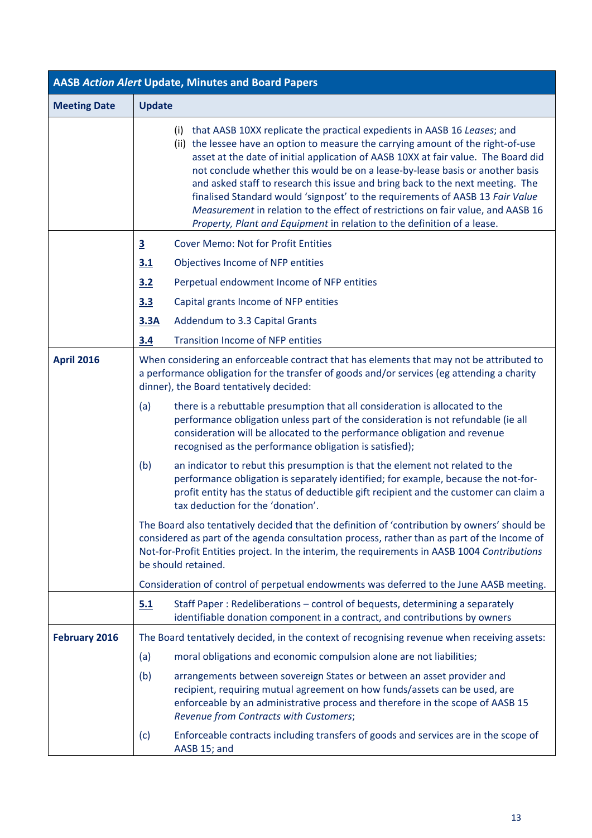| <b>AASB Action Alert Update, Minutes and Board Papers</b> |                                                                                                                                                                                                                                   |                                                                                                                                                                                                                                                                                                                                                                                                                                                                                                                                                                                                                                                                            |  |
|-----------------------------------------------------------|-----------------------------------------------------------------------------------------------------------------------------------------------------------------------------------------------------------------------------------|----------------------------------------------------------------------------------------------------------------------------------------------------------------------------------------------------------------------------------------------------------------------------------------------------------------------------------------------------------------------------------------------------------------------------------------------------------------------------------------------------------------------------------------------------------------------------------------------------------------------------------------------------------------------------|--|
| <b>Meeting Date</b>                                       | <b>Update</b>                                                                                                                                                                                                                     |                                                                                                                                                                                                                                                                                                                                                                                                                                                                                                                                                                                                                                                                            |  |
|                                                           |                                                                                                                                                                                                                                   | (i) that AASB 10XX replicate the practical expedients in AASB 16 Leases; and<br>(ii) the lessee have an option to measure the carrying amount of the right-of-use<br>asset at the date of initial application of AASB 10XX at fair value. The Board did<br>not conclude whether this would be on a lease-by-lease basis or another basis<br>and asked staff to research this issue and bring back to the next meeting. The<br>finalised Standard would 'signpost' to the requirements of AASB 13 Fair Value<br>Measurement in relation to the effect of restrictions on fair value, and AASB 16<br>Property, Plant and Equipment in relation to the definition of a lease. |  |
|                                                           | $\overline{\mathbf{3}}$                                                                                                                                                                                                           | <b>Cover Memo: Not for Profit Entities</b>                                                                                                                                                                                                                                                                                                                                                                                                                                                                                                                                                                                                                                 |  |
|                                                           | 3.1                                                                                                                                                                                                                               | Objectives Income of NFP entities                                                                                                                                                                                                                                                                                                                                                                                                                                                                                                                                                                                                                                          |  |
|                                                           | 3.2                                                                                                                                                                                                                               | Perpetual endowment Income of NFP entities                                                                                                                                                                                                                                                                                                                                                                                                                                                                                                                                                                                                                                 |  |
|                                                           | 3.3                                                                                                                                                                                                                               | Capital grants Income of NFP entities                                                                                                                                                                                                                                                                                                                                                                                                                                                                                                                                                                                                                                      |  |
|                                                           | 3.3A                                                                                                                                                                                                                              | Addendum to 3.3 Capital Grants                                                                                                                                                                                                                                                                                                                                                                                                                                                                                                                                                                                                                                             |  |
|                                                           | 3.4                                                                                                                                                                                                                               | <b>Transition Income of NFP entities</b>                                                                                                                                                                                                                                                                                                                                                                                                                                                                                                                                                                                                                                   |  |
| <b>April 2016</b>                                         | When considering an enforceable contract that has elements that may not be attributed to<br>a performance obligation for the transfer of goods and/or services (eg attending a charity<br>dinner), the Board tentatively decided: |                                                                                                                                                                                                                                                                                                                                                                                                                                                                                                                                                                                                                                                                            |  |
|                                                           | (a)                                                                                                                                                                                                                               | there is a rebuttable presumption that all consideration is allocated to the<br>performance obligation unless part of the consideration is not refundable (ie all<br>consideration will be allocated to the performance obligation and revenue<br>recognised as the performance obligation is satisfied);                                                                                                                                                                                                                                                                                                                                                                  |  |
|                                                           | (b)                                                                                                                                                                                                                               | an indicator to rebut this presumption is that the element not related to the<br>performance obligation is separately identified; for example, because the not-for-<br>profit entity has the status of deductible gift recipient and the customer can claim a<br>tax deduction for the 'donation'.                                                                                                                                                                                                                                                                                                                                                                         |  |
|                                                           |                                                                                                                                                                                                                                   | The Board also tentatively decided that the definition of 'contribution by owners' should be<br>considered as part of the agenda consultation process, rather than as part of the Income of<br>Not-for-Profit Entities project. In the interim, the requirements in AASB 1004 Contributions<br>be should retained.                                                                                                                                                                                                                                                                                                                                                         |  |
|                                                           |                                                                                                                                                                                                                                   | Consideration of control of perpetual endowments was deferred to the June AASB meeting.                                                                                                                                                                                                                                                                                                                                                                                                                                                                                                                                                                                    |  |
|                                                           | 5.1                                                                                                                                                                                                                               | Staff Paper: Redeliberations - control of bequests, determining a separately<br>identifiable donation component in a contract, and contributions by owners                                                                                                                                                                                                                                                                                                                                                                                                                                                                                                                 |  |
| <b>February 2016</b>                                      |                                                                                                                                                                                                                                   | The Board tentatively decided, in the context of recognising revenue when receiving assets:                                                                                                                                                                                                                                                                                                                                                                                                                                                                                                                                                                                |  |
|                                                           | (a)                                                                                                                                                                                                                               | moral obligations and economic compulsion alone are not liabilities;                                                                                                                                                                                                                                                                                                                                                                                                                                                                                                                                                                                                       |  |
|                                                           | (b)                                                                                                                                                                                                                               | arrangements between sovereign States or between an asset provider and<br>recipient, requiring mutual agreement on how funds/assets can be used, are<br>enforceable by an administrative process and therefore in the scope of AASB 15<br>Revenue from Contracts with Customers;                                                                                                                                                                                                                                                                                                                                                                                           |  |
|                                                           | (c)                                                                                                                                                                                                                               | Enforceable contracts including transfers of goods and services are in the scope of<br>AASB 15; and                                                                                                                                                                                                                                                                                                                                                                                                                                                                                                                                                                        |  |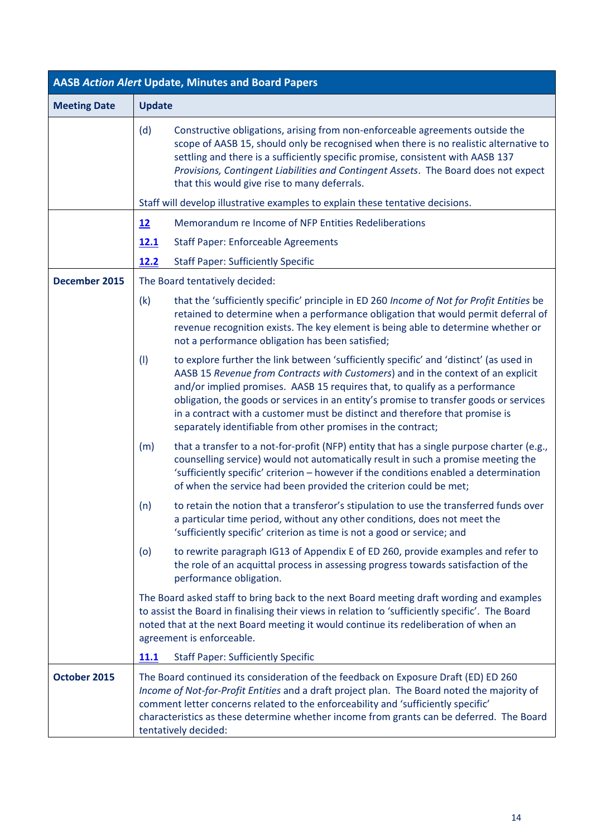| <b>AASB Action Alert Update, Minutes and Board Papers</b> |                                                                                                                                                                                                                                                                                                                                                                                                                                                                                                            |  |  |
|-----------------------------------------------------------|------------------------------------------------------------------------------------------------------------------------------------------------------------------------------------------------------------------------------------------------------------------------------------------------------------------------------------------------------------------------------------------------------------------------------------------------------------------------------------------------------------|--|--|
| <b>Meeting Date</b>                                       | <b>Update</b>                                                                                                                                                                                                                                                                                                                                                                                                                                                                                              |  |  |
|                                                           | Constructive obligations, arising from non-enforceable agreements outside the<br>(d)<br>scope of AASB 15, should only be recognised when there is no realistic alternative to<br>settling and there is a sufficiently specific promise, consistent with AASB 137<br>Provisions, Contingent Liabilities and Contingent Assets. The Board does not expect<br>that this would give rise to many deferrals.<br>Staff will develop illustrative examples to explain these tentative decisions.                  |  |  |
|                                                           | Memorandum re Income of NFP Entities Redeliberations<br>12                                                                                                                                                                                                                                                                                                                                                                                                                                                 |  |  |
|                                                           | <b>Staff Paper: Enforceable Agreements</b><br><u>12.1</u>                                                                                                                                                                                                                                                                                                                                                                                                                                                  |  |  |
|                                                           | 12.2<br><b>Staff Paper: Sufficiently Specific</b>                                                                                                                                                                                                                                                                                                                                                                                                                                                          |  |  |
| December 2015                                             | The Board tentatively decided:                                                                                                                                                                                                                                                                                                                                                                                                                                                                             |  |  |
|                                                           | (k)<br>that the 'sufficiently specific' principle in ED 260 Income of Not for Profit Entities be<br>retained to determine when a performance obligation that would permit deferral of<br>revenue recognition exists. The key element is being able to determine whether or<br>not a performance obligation has been satisfied;                                                                                                                                                                             |  |  |
|                                                           | to explore further the link between 'sufficiently specific' and 'distinct' (as used in<br>(1)<br>AASB 15 Revenue from Contracts with Customers) and in the context of an explicit<br>and/or implied promises. AASB 15 requires that, to qualify as a performance<br>obligation, the goods or services in an entity's promise to transfer goods or services<br>in a contract with a customer must be distinct and therefore that promise is<br>separately identifiable from other promises in the contract; |  |  |
|                                                           | that a transfer to a not-for-profit (NFP) entity that has a single purpose charter (e.g.,<br>(m)<br>counselling service) would not automatically result in such a promise meeting the<br>'sufficiently specific' criterion - however if the conditions enabled a determination<br>of when the service had been provided the criterion could be met;                                                                                                                                                        |  |  |
|                                                           | to retain the notion that a transferor's stipulation to use the transferred funds over<br>(n)<br>a particular time period, without any other conditions, does not meet the<br>'sufficiently specific' criterion as time is not a good or service; and                                                                                                                                                                                                                                                      |  |  |
|                                                           | to rewrite paragraph IG13 of Appendix E of ED 260, provide examples and refer to<br>(o)<br>the role of an acquittal process in assessing progress towards satisfaction of the<br>performance obligation.                                                                                                                                                                                                                                                                                                   |  |  |
|                                                           | The Board asked staff to bring back to the next Board meeting draft wording and examples<br>to assist the Board in finalising their views in relation to 'sufficiently specific'. The Board<br>noted that at the next Board meeting it would continue its redeliberation of when an<br>agreement is enforceable.                                                                                                                                                                                           |  |  |
|                                                           | 11.1<br><b>Staff Paper: Sufficiently Specific</b>                                                                                                                                                                                                                                                                                                                                                                                                                                                          |  |  |
| October 2015                                              | The Board continued its consideration of the feedback on Exposure Draft (ED) ED 260<br>Income of Not-for-Profit Entities and a draft project plan. The Board noted the majority of<br>comment letter concerns related to the enforceability and 'sufficiently specific'<br>characteristics as these determine whether income from grants can be deferred. The Board<br>tentatively decided:                                                                                                                |  |  |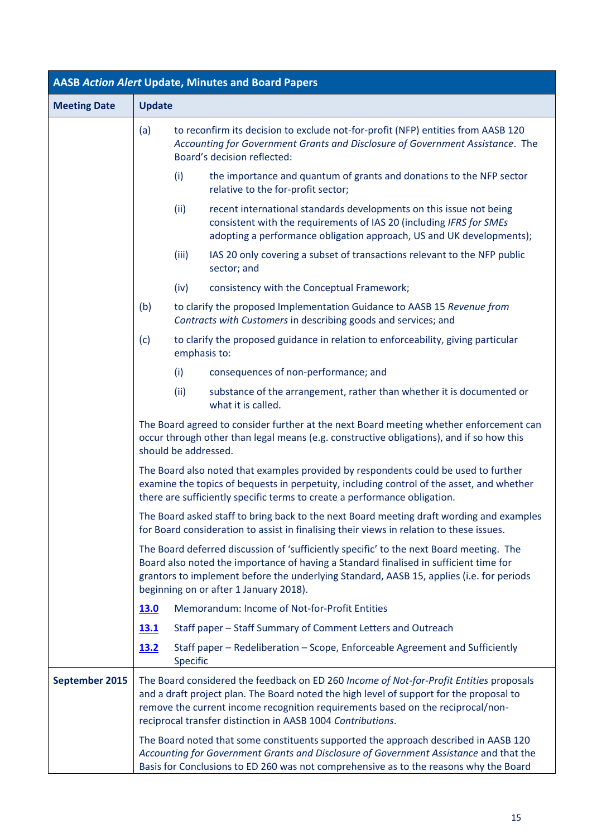| <b>AASB Action Alert Update, Minutes and Board Papers</b> |               |                      |                                                                                                                                                                                                                                                                                                                                      |
|-----------------------------------------------------------|---------------|----------------------|--------------------------------------------------------------------------------------------------------------------------------------------------------------------------------------------------------------------------------------------------------------------------------------------------------------------------------------|
| <b>Meeting Date</b>                                       | <b>Update</b> |                      |                                                                                                                                                                                                                                                                                                                                      |
|                                                           | (a)           |                      | to reconfirm its decision to exclude not-for-profit (NFP) entities from AASB 120<br>Accounting for Government Grants and Disclosure of Government Assistance. The<br>Board's decision reflected:                                                                                                                                     |
|                                                           |               | (i)                  | the importance and quantum of grants and donations to the NFP sector<br>relative to the for-profit sector;                                                                                                                                                                                                                           |
|                                                           |               | (ii)                 | recent international standards developments on this issue not being<br>consistent with the requirements of IAS 20 (including IFRS for SMEs<br>adopting a performance obligation approach, US and UK developments);                                                                                                                   |
|                                                           |               | (iii)                | IAS 20 only covering a subset of transactions relevant to the NFP public<br>sector; and                                                                                                                                                                                                                                              |
|                                                           |               | (iv)                 | consistency with the Conceptual Framework;                                                                                                                                                                                                                                                                                           |
|                                                           | (b)           |                      | to clarify the proposed Implementation Guidance to AASB 15 Revenue from<br>Contracts with Customers in describing goods and services; and                                                                                                                                                                                            |
|                                                           | (c)           | emphasis to:         | to clarify the proposed guidance in relation to enforceability, giving particular                                                                                                                                                                                                                                                    |
|                                                           |               | (i)                  | consequences of non-performance; and                                                                                                                                                                                                                                                                                                 |
|                                                           |               | (ii)                 | substance of the arrangement, rather than whether it is documented or<br>what it is called.                                                                                                                                                                                                                                          |
|                                                           |               | should be addressed. | The Board agreed to consider further at the next Board meeting whether enforcement can<br>occur through other than legal means (e.g. constructive obligations), and if so how this                                                                                                                                                   |
|                                                           |               |                      | The Board also noted that examples provided by respondents could be used to further<br>examine the topics of bequests in perpetuity, including control of the asset, and whether<br>there are sufficiently specific terms to create a performance obligation.                                                                        |
|                                                           |               |                      | The Board asked staff to bring back to the next Board meeting draft wording and examples<br>for Board consideration to assist in finalising their views in relation to these issues.                                                                                                                                                 |
|                                                           |               |                      | The Board deferred discussion of 'sufficiently specific' to the next Board meeting. The<br>Board also noted the importance of having a Standard finalised in sufficient time for<br>grantors to implement before the underlying Standard, AASB 15, applies (i.e. for periods<br>beginning on or after 1 January 2018).               |
|                                                           | 13.0          |                      | Memorandum: Income of Not-for-Profit Entities                                                                                                                                                                                                                                                                                        |
|                                                           | <b>13.1</b>   |                      | Staff paper - Staff Summary of Comment Letters and Outreach                                                                                                                                                                                                                                                                          |
|                                                           | <u>13.2</u>   | Specific             | Staff paper - Redeliberation - Scope, Enforceable Agreement and Sufficiently                                                                                                                                                                                                                                                         |
| September 2015                                            |               |                      | The Board considered the feedback on ED 260 Income of Not-for-Profit Entities proposals<br>and a draft project plan. The Board noted the high level of support for the proposal to<br>remove the current income recognition requirements based on the reciprocal/non-<br>reciprocal transfer distinction in AASB 1004 Contributions. |
|                                                           |               |                      | The Board noted that some constituents supported the approach described in AASB 120<br>Accounting for Government Grants and Disclosure of Government Assistance and that the<br>Basis for Conclusions to ED 260 was not comprehensive as to the reasons why the Board                                                                |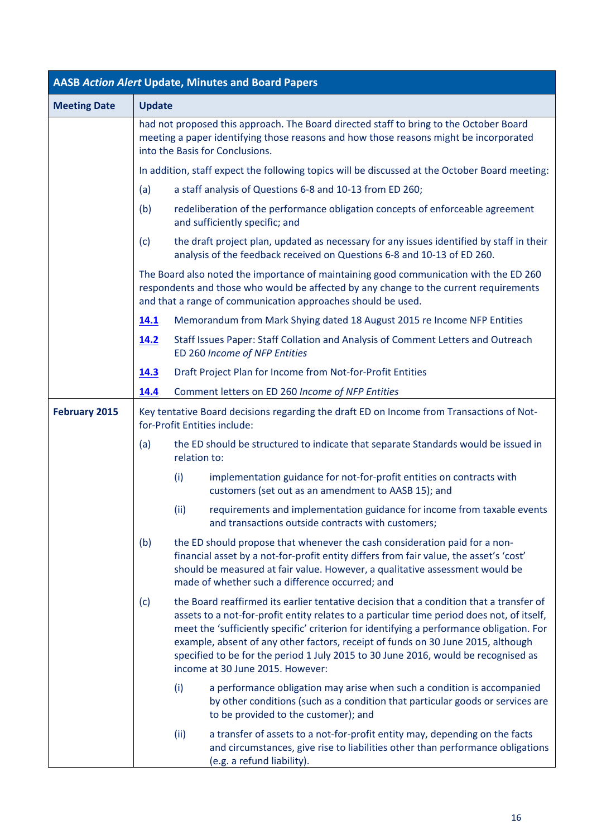| <b>AASB Action Alert Update, Minutes and Board Papers</b> |               |                                                                                                                                                                                                                                                                                                                                                                                                                                                                                                 |  |  |  |
|-----------------------------------------------------------|---------------|-------------------------------------------------------------------------------------------------------------------------------------------------------------------------------------------------------------------------------------------------------------------------------------------------------------------------------------------------------------------------------------------------------------------------------------------------------------------------------------------------|--|--|--|
| <b>Meeting Date</b>                                       | <b>Update</b> |                                                                                                                                                                                                                                                                                                                                                                                                                                                                                                 |  |  |  |
|                                                           |               | had not proposed this approach. The Board directed staff to bring to the October Board<br>meeting a paper identifying those reasons and how those reasons might be incorporated<br>into the Basis for Conclusions.                                                                                                                                                                                                                                                                              |  |  |  |
|                                                           |               | In addition, staff expect the following topics will be discussed at the October Board meeting:                                                                                                                                                                                                                                                                                                                                                                                                  |  |  |  |
|                                                           | (a)           | a staff analysis of Questions 6-8 and 10-13 from ED 260;                                                                                                                                                                                                                                                                                                                                                                                                                                        |  |  |  |
|                                                           | (b)           | redeliberation of the performance obligation concepts of enforceable agreement<br>and sufficiently specific; and                                                                                                                                                                                                                                                                                                                                                                                |  |  |  |
|                                                           | (c)           | the draft project plan, updated as necessary for any issues identified by staff in their<br>analysis of the feedback received on Questions 6-8 and 10-13 of ED 260.                                                                                                                                                                                                                                                                                                                             |  |  |  |
|                                                           |               | The Board also noted the importance of maintaining good communication with the ED 260<br>respondents and those who would be affected by any change to the current requirements<br>and that a range of communication approaches should be used.                                                                                                                                                                                                                                                  |  |  |  |
|                                                           | 14.1          | Memorandum from Mark Shying dated 18 August 2015 re Income NFP Entities                                                                                                                                                                                                                                                                                                                                                                                                                         |  |  |  |
|                                                           | 14.2          | Staff Issues Paper: Staff Collation and Analysis of Comment Letters and Outreach<br>ED 260 Income of NFP Entities                                                                                                                                                                                                                                                                                                                                                                               |  |  |  |
|                                                           | <u>14.3</u>   | Draft Project Plan for Income from Not-for-Profit Entities                                                                                                                                                                                                                                                                                                                                                                                                                                      |  |  |  |
|                                                           | 14.4          | Comment letters on ED 260 Income of NFP Entities                                                                                                                                                                                                                                                                                                                                                                                                                                                |  |  |  |
| <b>February 2015</b>                                      |               | Key tentative Board decisions regarding the draft ED on Income from Transactions of Not-<br>for-Profit Entities include:                                                                                                                                                                                                                                                                                                                                                                        |  |  |  |
|                                                           | (a)           | the ED should be structured to indicate that separate Standards would be issued in<br>relation to:                                                                                                                                                                                                                                                                                                                                                                                              |  |  |  |
|                                                           |               | (i)<br>implementation guidance for not-for-profit entities on contracts with<br>customers (set out as an amendment to AASB 15); and                                                                                                                                                                                                                                                                                                                                                             |  |  |  |
|                                                           |               | requirements and implementation guidance for income from taxable events<br>(iii)<br>and transactions outside contracts with customers;                                                                                                                                                                                                                                                                                                                                                          |  |  |  |
|                                                           | (b)           | the ED should propose that whenever the cash consideration paid for a non-<br>financial asset by a not-for-profit entity differs from fair value, the asset's 'cost'<br>should be measured at fair value. However, a qualitative assessment would be<br>made of whether such a difference occurred; and                                                                                                                                                                                         |  |  |  |
|                                                           | (c)           | the Board reaffirmed its earlier tentative decision that a condition that a transfer of<br>assets to a not-for-profit entity relates to a particular time period does not, of itself,<br>meet the 'sufficiently specific' criterion for identifying a performance obligation. For<br>example, absent of any other factors, receipt of funds on 30 June 2015, although<br>specified to be for the period 1 July 2015 to 30 June 2016, would be recognised as<br>income at 30 June 2015. However: |  |  |  |
|                                                           |               | (i)<br>a performance obligation may arise when such a condition is accompanied<br>by other conditions (such as a condition that particular goods or services are<br>to be provided to the customer); and                                                                                                                                                                                                                                                                                        |  |  |  |
|                                                           |               | a transfer of assets to a not-for-profit entity may, depending on the facts<br>(ii)<br>and circumstances, give rise to liabilities other than performance obligations<br>(e.g. a refund liability).                                                                                                                                                                                                                                                                                             |  |  |  |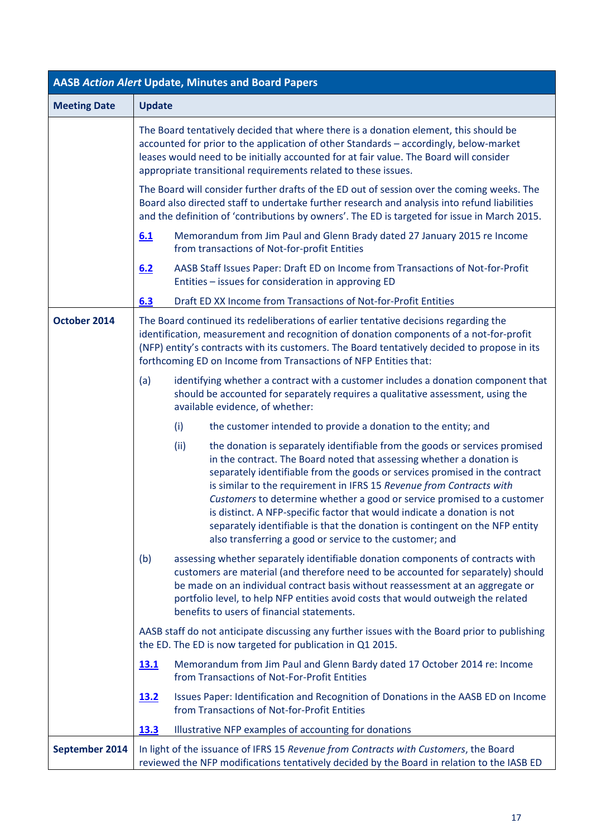| <b>AASB Action Alert Update, Minutes and Board Papers</b> |                                                                                                                                                                                                                                                                                            |                                                                                                                                                                                                                                                                                                                                                                                                                                                                                                                                                                                                                |  |  |
|-----------------------------------------------------------|--------------------------------------------------------------------------------------------------------------------------------------------------------------------------------------------------------------------------------------------------------------------------------------------|----------------------------------------------------------------------------------------------------------------------------------------------------------------------------------------------------------------------------------------------------------------------------------------------------------------------------------------------------------------------------------------------------------------------------------------------------------------------------------------------------------------------------------------------------------------------------------------------------------------|--|--|
| <b>Meeting Date</b>                                       | <b>Update</b>                                                                                                                                                                                                                                                                              |                                                                                                                                                                                                                                                                                                                                                                                                                                                                                                                                                                                                                |  |  |
|                                                           |                                                                                                                                                                                                                                                                                            | The Board tentatively decided that where there is a donation element, this should be<br>accounted for prior to the application of other Standards - accordingly, below-market<br>leases would need to be initially accounted for at fair value. The Board will consider<br>appropriate transitional requirements related to these issues.                                                                                                                                                                                                                                                                      |  |  |
|                                                           | The Board will consider further drafts of the ED out of session over the coming weeks. The<br>Board also directed staff to undertake further research and analysis into refund liabilities<br>and the definition of 'contributions by owners'. The ED is targeted for issue in March 2015. |                                                                                                                                                                                                                                                                                                                                                                                                                                                                                                                                                                                                                |  |  |
|                                                           | 6.1                                                                                                                                                                                                                                                                                        | Memorandum from Jim Paul and Glenn Brady dated 27 January 2015 re Income<br>from transactions of Not-for-profit Entities                                                                                                                                                                                                                                                                                                                                                                                                                                                                                       |  |  |
|                                                           | 6.2                                                                                                                                                                                                                                                                                        | AASB Staff Issues Paper: Draft ED on Income from Transactions of Not-for-Profit<br>Entities - issues for consideration in approving ED                                                                                                                                                                                                                                                                                                                                                                                                                                                                         |  |  |
|                                                           | 6.3                                                                                                                                                                                                                                                                                        | Draft ED XX Income from Transactions of Not-for-Profit Entities                                                                                                                                                                                                                                                                                                                                                                                                                                                                                                                                                |  |  |
| October 2014                                              |                                                                                                                                                                                                                                                                                            | The Board continued its redeliberations of earlier tentative decisions regarding the<br>identification, measurement and recognition of donation components of a not-for-profit<br>(NFP) entity's contracts with its customers. The Board tentatively decided to propose in its<br>forthcoming ED on Income from Transactions of NFP Entities that:                                                                                                                                                                                                                                                             |  |  |
|                                                           | (a)                                                                                                                                                                                                                                                                                        | identifying whether a contract with a customer includes a donation component that<br>should be accounted for separately requires a qualitative assessment, using the<br>available evidence, of whether:                                                                                                                                                                                                                                                                                                                                                                                                        |  |  |
|                                                           | (i)                                                                                                                                                                                                                                                                                        | the customer intended to provide a donation to the entity; and                                                                                                                                                                                                                                                                                                                                                                                                                                                                                                                                                 |  |  |
|                                                           | (ii)                                                                                                                                                                                                                                                                                       | the donation is separately identifiable from the goods or services promised<br>in the contract. The Board noted that assessing whether a donation is<br>separately identifiable from the goods or services promised in the contract<br>is similar to the requirement in IFRS 15 Revenue from Contracts with<br>Customers to determine whether a good or service promised to a customer<br>is distinct. A NFP-specific factor that would indicate a donation is not<br>separately identifiable is that the donation is contingent on the NFP entity<br>also transferring a good or service to the customer; and |  |  |
|                                                           | (b)                                                                                                                                                                                                                                                                                        | assessing whether separately identifiable donation components of contracts with<br>customers are material (and therefore need to be accounted for separately) should<br>be made on an individual contract basis without reassessment at an aggregate or<br>portfolio level, to help NFP entities avoid costs that would outweigh the related<br>benefits to users of financial statements.                                                                                                                                                                                                                     |  |  |
|                                                           |                                                                                                                                                                                                                                                                                            | AASB staff do not anticipate discussing any further issues with the Board prior to publishing<br>the ED. The ED is now targeted for publication in Q1 2015.                                                                                                                                                                                                                                                                                                                                                                                                                                                    |  |  |
|                                                           | <u>13.1</u>                                                                                                                                                                                                                                                                                | Memorandum from Jim Paul and Glenn Bardy dated 17 October 2014 re: Income<br>from Transactions of Not-For-Profit Entities                                                                                                                                                                                                                                                                                                                                                                                                                                                                                      |  |  |
|                                                           | <u>13.2</u>                                                                                                                                                                                                                                                                                | Issues Paper: Identification and Recognition of Donations in the AASB ED on Income<br>from Transactions of Not-for-Profit Entities                                                                                                                                                                                                                                                                                                                                                                                                                                                                             |  |  |
|                                                           | <b>13.3</b>                                                                                                                                                                                                                                                                                | Illustrative NFP examples of accounting for donations                                                                                                                                                                                                                                                                                                                                                                                                                                                                                                                                                          |  |  |
| September 2014                                            |                                                                                                                                                                                                                                                                                            | In light of the issuance of IFRS 15 Revenue from Contracts with Customers, the Board<br>reviewed the NFP modifications tentatively decided by the Board in relation to the IASB ED                                                                                                                                                                                                                                                                                                                                                                                                                             |  |  |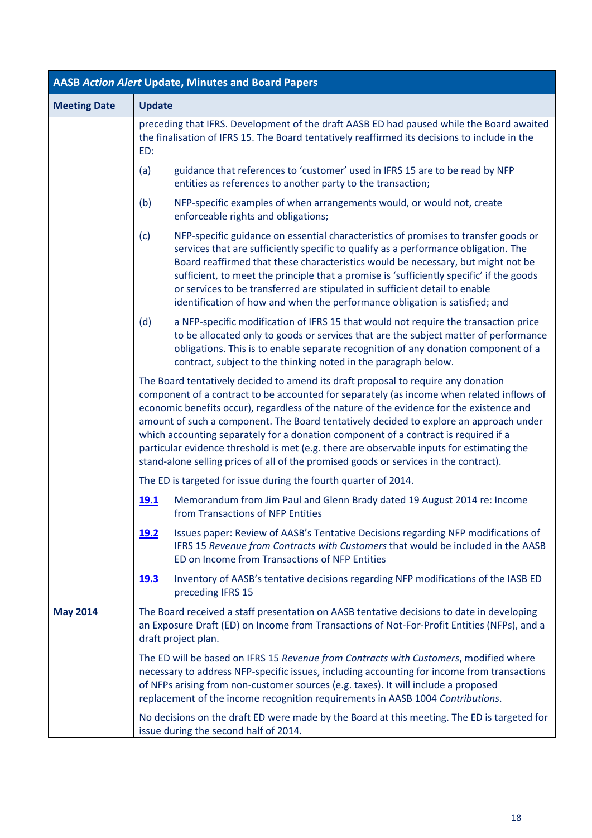| <b>AASB Action Alert Update, Minutes and Board Papers</b> |               |                                                                                                                                                                                                                                                                                                                                                                                                                                                                                                                                                                                                                                                   |  |
|-----------------------------------------------------------|---------------|---------------------------------------------------------------------------------------------------------------------------------------------------------------------------------------------------------------------------------------------------------------------------------------------------------------------------------------------------------------------------------------------------------------------------------------------------------------------------------------------------------------------------------------------------------------------------------------------------------------------------------------------------|--|
| <b>Meeting Date</b>                                       | <b>Update</b> |                                                                                                                                                                                                                                                                                                                                                                                                                                                                                                                                                                                                                                                   |  |
|                                                           | ED:           | preceding that IFRS. Development of the draft AASB ED had paused while the Board awaited<br>the finalisation of IFRS 15. The Board tentatively reaffirmed its decisions to include in the                                                                                                                                                                                                                                                                                                                                                                                                                                                         |  |
|                                                           | (a)           | guidance that references to 'customer' used in IFRS 15 are to be read by NFP<br>entities as references to another party to the transaction;                                                                                                                                                                                                                                                                                                                                                                                                                                                                                                       |  |
|                                                           | (b)           | NFP-specific examples of when arrangements would, or would not, create<br>enforceable rights and obligations;                                                                                                                                                                                                                                                                                                                                                                                                                                                                                                                                     |  |
|                                                           | (c)           | NFP-specific guidance on essential characteristics of promises to transfer goods or<br>services that are sufficiently specific to qualify as a performance obligation. The<br>Board reaffirmed that these characteristics would be necessary, but might not be<br>sufficient, to meet the principle that a promise is 'sufficiently specific' if the goods<br>or services to be transferred are stipulated in sufficient detail to enable<br>identification of how and when the performance obligation is satisfied; and                                                                                                                          |  |
|                                                           | (d)           | a NFP-specific modification of IFRS 15 that would not require the transaction price<br>to be allocated only to goods or services that are the subject matter of performance<br>obligations. This is to enable separate recognition of any donation component of a<br>contract, subject to the thinking noted in the paragraph below.                                                                                                                                                                                                                                                                                                              |  |
|                                                           |               | The Board tentatively decided to amend its draft proposal to require any donation<br>component of a contract to be accounted for separately (as income when related inflows of<br>economic benefits occur), regardless of the nature of the evidence for the existence and<br>amount of such a component. The Board tentatively decided to explore an approach under<br>which accounting separately for a donation component of a contract is required if a<br>particular evidence threshold is met (e.g. there are observable inputs for estimating the<br>stand-alone selling prices of all of the promised goods or services in the contract). |  |
|                                                           |               | The ED is targeted for issue during the fourth quarter of 2014.                                                                                                                                                                                                                                                                                                                                                                                                                                                                                                                                                                                   |  |
|                                                           | <u>19.1</u>   | Memorandum from Jim Paul and Glenn Brady dated 19 August 2014 re: Income<br>from Transactions of NFP Entities                                                                                                                                                                                                                                                                                                                                                                                                                                                                                                                                     |  |
|                                                           | <u>19.2</u>   | Issues paper: Review of AASB's Tentative Decisions regarding NFP modifications of<br>IFRS 15 Revenue from Contracts with Customers that would be included in the AASB<br>ED on Income from Transactions of NFP Entities                                                                                                                                                                                                                                                                                                                                                                                                                           |  |
|                                                           | <u>19.3</u>   | Inventory of AASB's tentative decisions regarding NFP modifications of the IASB ED<br>preceding IFRS 15                                                                                                                                                                                                                                                                                                                                                                                                                                                                                                                                           |  |
| <b>May 2014</b>                                           |               | The Board received a staff presentation on AASB tentative decisions to date in developing<br>an Exposure Draft (ED) on Income from Transactions of Not-For-Profit Entities (NFPs), and a<br>draft project plan.                                                                                                                                                                                                                                                                                                                                                                                                                                   |  |
|                                                           |               | The ED will be based on IFRS 15 Revenue from Contracts with Customers, modified where<br>necessary to address NFP-specific issues, including accounting for income from transactions<br>of NFPs arising from non-customer sources (e.g. taxes). It will include a proposed<br>replacement of the income recognition requirements in AASB 1004 Contributions.                                                                                                                                                                                                                                                                                      |  |
|                                                           |               | No decisions on the draft ED were made by the Board at this meeting. The ED is targeted for<br>issue during the second half of 2014.                                                                                                                                                                                                                                                                                                                                                                                                                                                                                                              |  |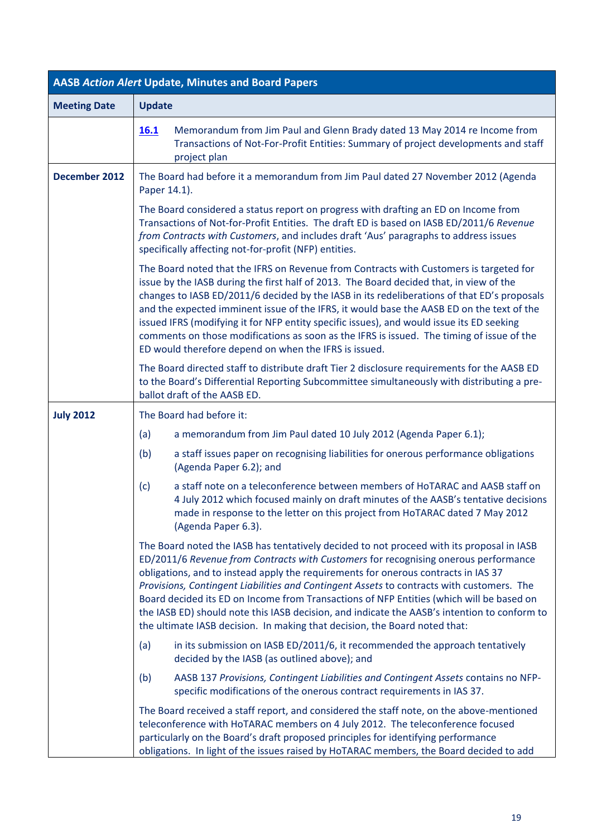|                     | <b>AASB Action Alert Update, Minutes and Board Papers</b>                                                                                                                                                                                                                                                                                                                                                                                                                                                                                                                                                                                     |
|---------------------|-----------------------------------------------------------------------------------------------------------------------------------------------------------------------------------------------------------------------------------------------------------------------------------------------------------------------------------------------------------------------------------------------------------------------------------------------------------------------------------------------------------------------------------------------------------------------------------------------------------------------------------------------|
| <b>Meeting Date</b> | <b>Update</b>                                                                                                                                                                                                                                                                                                                                                                                                                                                                                                                                                                                                                                 |
|                     | Memorandum from Jim Paul and Glenn Brady dated 13 May 2014 re Income from<br><b>16.1</b><br>Transactions of Not-For-Profit Entities: Summary of project developments and staff<br>project plan                                                                                                                                                                                                                                                                                                                                                                                                                                                |
| December 2012       | The Board had before it a memorandum from Jim Paul dated 27 November 2012 (Agenda<br>Paper 14.1).                                                                                                                                                                                                                                                                                                                                                                                                                                                                                                                                             |
|                     | The Board considered a status report on progress with drafting an ED on Income from<br>Transactions of Not-for-Profit Entities. The draft ED is based on IASB ED/2011/6 Revenue<br>from Contracts with Customers, and includes draft 'Aus' paragraphs to address issues<br>specifically affecting not-for-profit (NFP) entities.                                                                                                                                                                                                                                                                                                              |
|                     | The Board noted that the IFRS on Revenue from Contracts with Customers is targeted for<br>issue by the IASB during the first half of 2013. The Board decided that, in view of the<br>changes to IASB ED/2011/6 decided by the IASB in its redeliberations of that ED's proposals<br>and the expected imminent issue of the IFRS, it would base the AASB ED on the text of the<br>issued IFRS (modifying it for NFP entity specific issues), and would issue its ED seeking<br>comments on those modifications as soon as the IFRS is issued. The timing of issue of the<br>ED would therefore depend on when the IFRS is issued.              |
|                     | The Board directed staff to distribute draft Tier 2 disclosure requirements for the AASB ED<br>to the Board's Differential Reporting Subcommittee simultaneously with distributing a pre-<br>ballot draft of the AASB ED.                                                                                                                                                                                                                                                                                                                                                                                                                     |
| <b>July 2012</b>    | The Board had before it:                                                                                                                                                                                                                                                                                                                                                                                                                                                                                                                                                                                                                      |
|                     | a memorandum from Jim Paul dated 10 July 2012 (Agenda Paper 6.1);<br>(a)                                                                                                                                                                                                                                                                                                                                                                                                                                                                                                                                                                      |
|                     | a staff issues paper on recognising liabilities for onerous performance obligations<br>(b)<br>(Agenda Paper 6.2); and                                                                                                                                                                                                                                                                                                                                                                                                                                                                                                                         |
|                     | a staff note on a teleconference between members of HoTARAC and AASB staff on<br>(c)<br>4 July 2012 which focused mainly on draft minutes of the AASB's tentative decisions<br>made in response to the letter on this project from HoTARAC dated 7 May 2012<br>(Agenda Paper 6.3).                                                                                                                                                                                                                                                                                                                                                            |
|                     | The Board noted the IASB has tentatively decided to not proceed with its proposal in IASB<br>ED/2011/6 Revenue from Contracts with Customers for recognising onerous performance<br>obligations, and to instead apply the requirements for onerous contracts in IAS 37<br>Provisions, Contingent Liabilities and Contingent Assets to contracts with customers. The<br>Board decided its ED on Income from Transactions of NFP Entities (which will be based on<br>the IASB ED) should note this IASB decision, and indicate the AASB's intention to conform to<br>the ultimate IASB decision. In making that decision, the Board noted that: |
|                     | (a)<br>in its submission on IASB ED/2011/6, it recommended the approach tentatively<br>decided by the IASB (as outlined above); and                                                                                                                                                                                                                                                                                                                                                                                                                                                                                                           |
|                     | AASB 137 Provisions, Contingent Liabilities and Contingent Assets contains no NFP-<br>(b)<br>specific modifications of the onerous contract requirements in IAS 37.                                                                                                                                                                                                                                                                                                                                                                                                                                                                           |
|                     | The Board received a staff report, and considered the staff note, on the above-mentioned<br>teleconference with HoTARAC members on 4 July 2012. The teleconference focused<br>particularly on the Board's draft proposed principles for identifying performance<br>obligations. In light of the issues raised by HoTARAC members, the Board decided to add                                                                                                                                                                                                                                                                                    |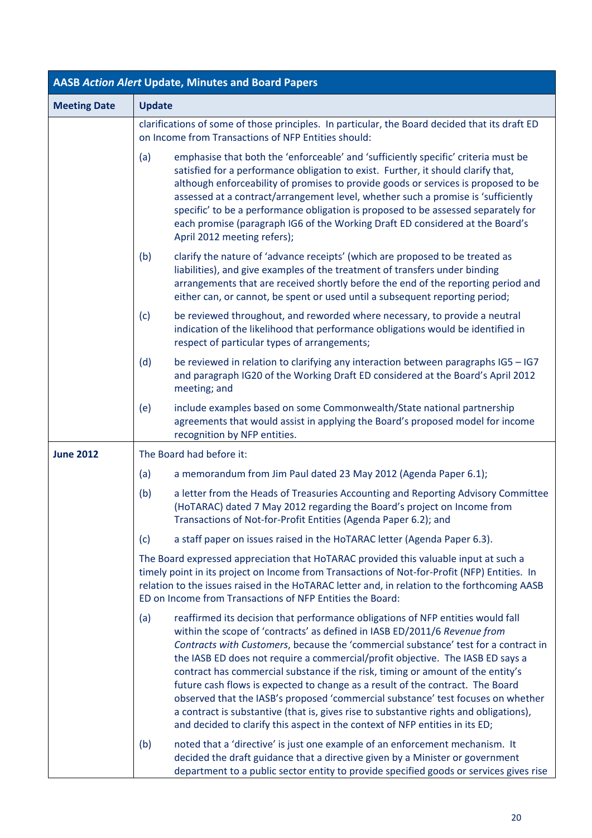| <b>AASB Action Alert Update, Minutes and Board Papers</b> |                                                                                                                                                                                                                                                                                                                                                                                                                                                                                                                                                                                                                                                                                                                                                                                 |  |  |
|-----------------------------------------------------------|---------------------------------------------------------------------------------------------------------------------------------------------------------------------------------------------------------------------------------------------------------------------------------------------------------------------------------------------------------------------------------------------------------------------------------------------------------------------------------------------------------------------------------------------------------------------------------------------------------------------------------------------------------------------------------------------------------------------------------------------------------------------------------|--|--|
| <b>Meeting Date</b>                                       | <b>Update</b>                                                                                                                                                                                                                                                                                                                                                                                                                                                                                                                                                                                                                                                                                                                                                                   |  |  |
|                                                           | clarifications of some of those principles. In particular, the Board decided that its draft ED<br>on Income from Transactions of NFP Entities should:                                                                                                                                                                                                                                                                                                                                                                                                                                                                                                                                                                                                                           |  |  |
|                                                           | emphasise that both the 'enforceable' and 'sufficiently specific' criteria must be<br>(a)<br>satisfied for a performance obligation to exist. Further, it should clarify that,<br>although enforceability of promises to provide goods or services is proposed to be<br>assessed at a contract/arrangement level, whether such a promise is 'sufficiently<br>specific' to be a performance obligation is proposed to be assessed separately for<br>each promise (paragraph IG6 of the Working Draft ED considered at the Board's<br>April 2012 meeting refers);                                                                                                                                                                                                                 |  |  |
|                                                           | (b)<br>clarify the nature of 'advance receipts' (which are proposed to be treated as<br>liabilities), and give examples of the treatment of transfers under binding<br>arrangements that are received shortly before the end of the reporting period and<br>either can, or cannot, be spent or used until a subsequent reporting period;                                                                                                                                                                                                                                                                                                                                                                                                                                        |  |  |
|                                                           | be reviewed throughout, and reworded where necessary, to provide a neutral<br>(c)<br>indication of the likelihood that performance obligations would be identified in<br>respect of particular types of arrangements;                                                                                                                                                                                                                                                                                                                                                                                                                                                                                                                                                           |  |  |
|                                                           | be reviewed in relation to clarifying any interaction between paragraphs IG5 - IG7<br>(d)<br>and paragraph IG20 of the Working Draft ED considered at the Board's April 2012<br>meeting; and                                                                                                                                                                                                                                                                                                                                                                                                                                                                                                                                                                                    |  |  |
|                                                           | include examples based on some Commonwealth/State national partnership<br>(e)<br>agreements that would assist in applying the Board's proposed model for income<br>recognition by NFP entities.                                                                                                                                                                                                                                                                                                                                                                                                                                                                                                                                                                                 |  |  |
| <b>June 2012</b>                                          | The Board had before it:                                                                                                                                                                                                                                                                                                                                                                                                                                                                                                                                                                                                                                                                                                                                                        |  |  |
|                                                           | a memorandum from Jim Paul dated 23 May 2012 (Agenda Paper 6.1);<br>(a)                                                                                                                                                                                                                                                                                                                                                                                                                                                                                                                                                                                                                                                                                                         |  |  |
|                                                           | (b)<br>a letter from the Heads of Treasuries Accounting and Reporting Advisory Committee<br>(HoTARAC) dated 7 May 2012 regarding the Board's project on Income from<br>Transactions of Not-for-Profit Entities (Agenda Paper 6.2); and                                                                                                                                                                                                                                                                                                                                                                                                                                                                                                                                          |  |  |
|                                                           | a staff paper on issues raised in the HoTARAC letter (Agenda Paper 6.3).<br>(c)                                                                                                                                                                                                                                                                                                                                                                                                                                                                                                                                                                                                                                                                                                 |  |  |
|                                                           | The Board expressed appreciation that HoTARAC provided this valuable input at such a<br>timely point in its project on Income from Transactions of Not-for-Profit (NFP) Entities. In<br>relation to the issues raised in the HoTARAC letter and, in relation to the forthcoming AASB<br>ED on Income from Transactions of NFP Entities the Board:                                                                                                                                                                                                                                                                                                                                                                                                                               |  |  |
|                                                           | reaffirmed its decision that performance obligations of NFP entities would fall<br>(a)<br>within the scope of 'contracts' as defined in IASB ED/2011/6 Revenue from<br>Contracts with Customers, because the 'commercial substance' test for a contract in<br>the IASB ED does not require a commercial/profit objective. The IASB ED says a<br>contract has commercial substance if the risk, timing or amount of the entity's<br>future cash flows is expected to change as a result of the contract. The Board<br>observed that the IASB's proposed 'commercial substance' test focuses on whether<br>a contract is substantive (that is, gives rise to substantive rights and obligations),<br>and decided to clarify this aspect in the context of NFP entities in its ED; |  |  |
|                                                           | noted that a 'directive' is just one example of an enforcement mechanism. It<br>(b)<br>decided the draft guidance that a directive given by a Minister or government<br>department to a public sector entity to provide specified goods or services gives rise                                                                                                                                                                                                                                                                                                                                                                                                                                                                                                                  |  |  |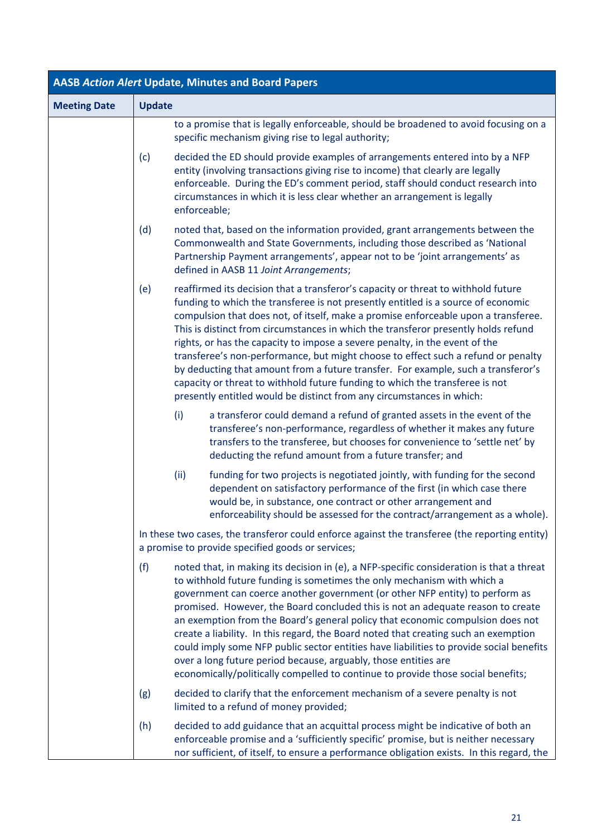| <b>AASB Action Alert Update, Minutes and Board Papers</b> |               |                                                                                                                                                                                                                                                                                                                                                                                                                                                                                                                                                                                                                                                                                                                                                                      |  |
|-----------------------------------------------------------|---------------|----------------------------------------------------------------------------------------------------------------------------------------------------------------------------------------------------------------------------------------------------------------------------------------------------------------------------------------------------------------------------------------------------------------------------------------------------------------------------------------------------------------------------------------------------------------------------------------------------------------------------------------------------------------------------------------------------------------------------------------------------------------------|--|
| <b>Meeting Date</b>                                       | <b>Update</b> |                                                                                                                                                                                                                                                                                                                                                                                                                                                                                                                                                                                                                                                                                                                                                                      |  |
|                                                           |               | to a promise that is legally enforceable, should be broadened to avoid focusing on a<br>specific mechanism giving rise to legal authority;                                                                                                                                                                                                                                                                                                                                                                                                                                                                                                                                                                                                                           |  |
|                                                           | (c)           | decided the ED should provide examples of arrangements entered into by a NFP<br>entity (involving transactions giving rise to income) that clearly are legally<br>enforceable. During the ED's comment period, staff should conduct research into<br>circumstances in which it is less clear whether an arrangement is legally<br>enforceable;                                                                                                                                                                                                                                                                                                                                                                                                                       |  |
|                                                           | (d)           | noted that, based on the information provided, grant arrangements between the<br>Commonwealth and State Governments, including those described as 'National<br>Partnership Payment arrangements', appear not to be 'joint arrangements' as<br>defined in AASB 11 Joint Arrangements;                                                                                                                                                                                                                                                                                                                                                                                                                                                                                 |  |
|                                                           | (e)           | reaffirmed its decision that a transferor's capacity or threat to withhold future<br>funding to which the transferee is not presently entitled is a source of economic<br>compulsion that does not, of itself, make a promise enforceable upon a transferee.<br>This is distinct from circumstances in which the transferor presently holds refund<br>rights, or has the capacity to impose a severe penalty, in the event of the<br>transferee's non-performance, but might choose to effect such a refund or penalty<br>by deducting that amount from a future transfer. For example, such a transferor's<br>capacity or threat to withhold future funding to which the transferee is not<br>presently entitled would be distinct from any circumstances in which: |  |
|                                                           |               | (i)<br>a transferor could demand a refund of granted assets in the event of the<br>transferee's non-performance, regardless of whether it makes any future<br>transfers to the transferee, but chooses for convenience to 'settle net' by<br>deducting the refund amount from a future transfer; and                                                                                                                                                                                                                                                                                                                                                                                                                                                                 |  |
|                                                           |               | (ii)<br>funding for two projects is negotiated jointly, with funding for the second<br>dependent on satisfactory performance of the first (in which case there<br>would be, in substance, one contract or other arrangement and<br>enforceability should be assessed for the contract/arrangement as a whole).                                                                                                                                                                                                                                                                                                                                                                                                                                                       |  |
|                                                           |               | In these two cases, the transferor could enforce against the transferee (the reporting entity)<br>a promise to provide specified goods or services;                                                                                                                                                                                                                                                                                                                                                                                                                                                                                                                                                                                                                  |  |
|                                                           | (f)           | noted that, in making its decision in (e), a NFP-specific consideration is that a threat<br>to withhold future funding is sometimes the only mechanism with which a<br>government can coerce another government (or other NFP entity) to perform as<br>promised. However, the Board concluded this is not an adequate reason to create<br>an exemption from the Board's general policy that economic compulsion does not<br>create a liability. In this regard, the Board noted that creating such an exemption<br>could imply some NFP public sector entities have liabilities to provide social benefits<br>over a long future period because, arguably, those entities are<br>economically/politically compelled to continue to provide those social benefits;    |  |
|                                                           | (g)           | decided to clarify that the enforcement mechanism of a severe penalty is not<br>limited to a refund of money provided;                                                                                                                                                                                                                                                                                                                                                                                                                                                                                                                                                                                                                                               |  |
|                                                           | (h)           | decided to add guidance that an acquittal process might be indicative of both an<br>enforceable promise and a 'sufficiently specific' promise, but is neither necessary<br>nor sufficient, of itself, to ensure a performance obligation exists. In this regard, the                                                                                                                                                                                                                                                                                                                                                                                                                                                                                                 |  |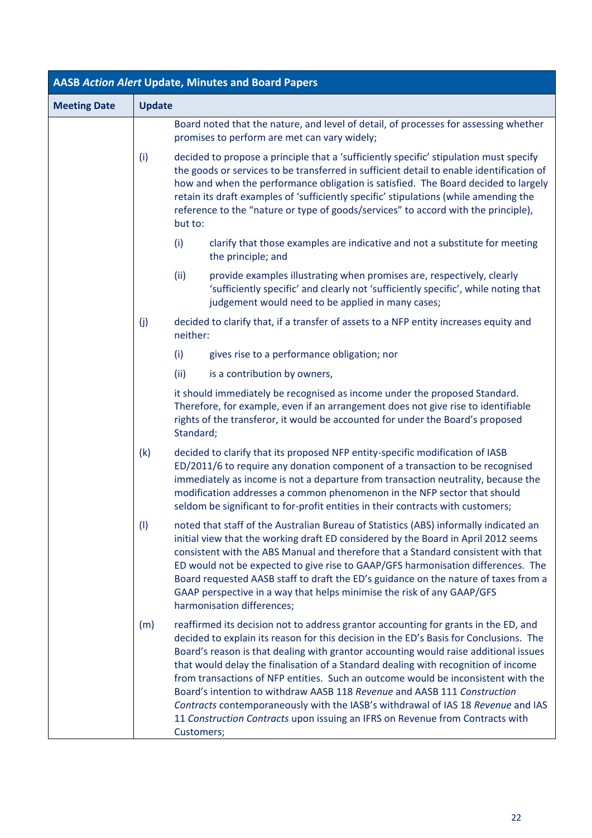| <b>AASB Action Alert Update, Minutes and Board Papers</b> |               |            |                                                                                                                                                                                                                                                                                                                                                                                                                                                                                                                                                                                                                                                                                                   |
|-----------------------------------------------------------|---------------|------------|---------------------------------------------------------------------------------------------------------------------------------------------------------------------------------------------------------------------------------------------------------------------------------------------------------------------------------------------------------------------------------------------------------------------------------------------------------------------------------------------------------------------------------------------------------------------------------------------------------------------------------------------------------------------------------------------------|
| <b>Meeting Date</b>                                       | <b>Update</b> |            |                                                                                                                                                                                                                                                                                                                                                                                                                                                                                                                                                                                                                                                                                                   |
|                                                           |               |            | Board noted that the nature, and level of detail, of processes for assessing whether<br>promises to perform are met can vary widely;                                                                                                                                                                                                                                                                                                                                                                                                                                                                                                                                                              |
|                                                           | (i)           | but to:    | decided to propose a principle that a 'sufficiently specific' stipulation must specify<br>the goods or services to be transferred in sufficient detail to enable identification of<br>how and when the performance obligation is satisfied. The Board decided to largely<br>retain its draft examples of 'sufficiently specific' stipulations (while amending the<br>reference to the "nature or type of goods/services" to accord with the principle),                                                                                                                                                                                                                                           |
|                                                           |               | (i)        | clarify that those examples are indicative and not a substitute for meeting<br>the principle; and                                                                                                                                                                                                                                                                                                                                                                                                                                                                                                                                                                                                 |
|                                                           |               | (ii)       | provide examples illustrating when promises are, respectively, clearly<br>'sufficiently specific' and clearly not 'sufficiently specific', while noting that<br>judgement would need to be applied in many cases;                                                                                                                                                                                                                                                                                                                                                                                                                                                                                 |
|                                                           | (j)           | neither:   | decided to clarify that, if a transfer of assets to a NFP entity increases equity and                                                                                                                                                                                                                                                                                                                                                                                                                                                                                                                                                                                                             |
|                                                           |               | (i)        | gives rise to a performance obligation; nor                                                                                                                                                                                                                                                                                                                                                                                                                                                                                                                                                                                                                                                       |
|                                                           |               | (ii)       | is a contribution by owners,                                                                                                                                                                                                                                                                                                                                                                                                                                                                                                                                                                                                                                                                      |
|                                                           |               | Standard;  | it should immediately be recognised as income under the proposed Standard.<br>Therefore, for example, even if an arrangement does not give rise to identifiable<br>rights of the transferor, it would be accounted for under the Board's proposed                                                                                                                                                                                                                                                                                                                                                                                                                                                 |
|                                                           | (k)           |            | decided to clarify that its proposed NFP entity-specific modification of IASB<br>ED/2011/6 to require any donation component of a transaction to be recognised<br>immediately as income is not a departure from transaction neutrality, because the<br>modification addresses a common phenomenon in the NFP sector that should<br>seldom be significant to for-profit entities in their contracts with customers;                                                                                                                                                                                                                                                                                |
|                                                           | (1)           |            | noted that staff of the Australian Bureau of Statistics (ABS) informally indicated an<br>initial view that the working draft ED considered by the Board in April 2012 seems<br>consistent with the ABS Manual and therefore that a Standard consistent with that<br>ED would not be expected to give rise to GAAP/GFS harmonisation differences. The<br>Board requested AASB staff to draft the ED's guidance on the nature of taxes from a<br>GAAP perspective in a way that helps minimise the risk of any GAAP/GFS<br>harmonisation differences;                                                                                                                                               |
|                                                           | (m)           | Customers; | reaffirmed its decision not to address grantor accounting for grants in the ED, and<br>decided to explain its reason for this decision in the ED's Basis for Conclusions. The<br>Board's reason is that dealing with grantor accounting would raise additional issues<br>that would delay the finalisation of a Standard dealing with recognition of income<br>from transactions of NFP entities. Such an outcome would be inconsistent with the<br>Board's intention to withdraw AASB 118 Revenue and AASB 111 Construction<br>Contracts contemporaneously with the IASB's withdrawal of IAS 18 Revenue and IAS<br>11 Construction Contracts upon issuing an IFRS on Revenue from Contracts with |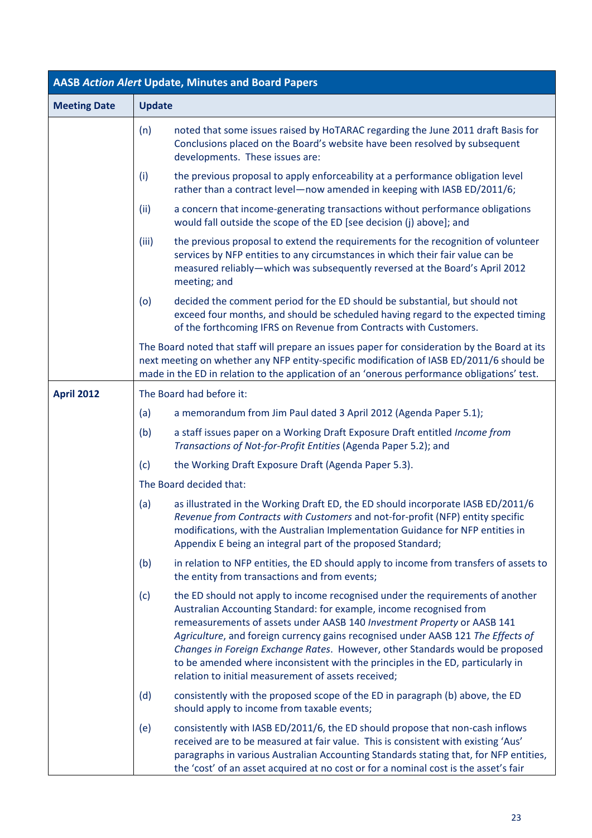|                     |               | <b>AASB Action Alert Update, Minutes and Board Papers</b>                                                                                                                                                                                                                                                                                                                                                                                                                                                                                       |
|---------------------|---------------|-------------------------------------------------------------------------------------------------------------------------------------------------------------------------------------------------------------------------------------------------------------------------------------------------------------------------------------------------------------------------------------------------------------------------------------------------------------------------------------------------------------------------------------------------|
| <b>Meeting Date</b> | <b>Update</b> |                                                                                                                                                                                                                                                                                                                                                                                                                                                                                                                                                 |
|                     | (n)           | noted that some issues raised by HoTARAC regarding the June 2011 draft Basis for<br>Conclusions placed on the Board's website have been resolved by subsequent<br>developments. These issues are:                                                                                                                                                                                                                                                                                                                                               |
|                     | (i)           | the previous proposal to apply enforceability at a performance obligation level<br>rather than a contract level-now amended in keeping with IASB ED/2011/6;                                                                                                                                                                                                                                                                                                                                                                                     |
|                     | (ii)          | a concern that income-generating transactions without performance obligations<br>would fall outside the scope of the ED [see decision (j) above]; and                                                                                                                                                                                                                                                                                                                                                                                           |
|                     | (iii)         | the previous proposal to extend the requirements for the recognition of volunteer<br>services by NFP entities to any circumstances in which their fair value can be<br>measured reliably-which was subsequently reversed at the Board's April 2012<br>meeting; and                                                                                                                                                                                                                                                                              |
|                     | (o)           | decided the comment period for the ED should be substantial, but should not<br>exceed four months, and should be scheduled having regard to the expected timing<br>of the forthcoming IFRS on Revenue from Contracts with Customers.                                                                                                                                                                                                                                                                                                            |
|                     |               | The Board noted that staff will prepare an issues paper for consideration by the Board at its<br>next meeting on whether any NFP entity-specific modification of IASB ED/2011/6 should be<br>made in the ED in relation to the application of an 'onerous performance obligations' test.                                                                                                                                                                                                                                                        |
| <b>April 2012</b>   |               | The Board had before it:                                                                                                                                                                                                                                                                                                                                                                                                                                                                                                                        |
|                     | (a)           | a memorandum from Jim Paul dated 3 April 2012 (Agenda Paper 5.1);                                                                                                                                                                                                                                                                                                                                                                                                                                                                               |
|                     | (b)           | a staff issues paper on a Working Draft Exposure Draft entitled Income from<br>Transactions of Not-for-Profit Entities (Agenda Paper 5.2); and                                                                                                                                                                                                                                                                                                                                                                                                  |
|                     | (c)           | the Working Draft Exposure Draft (Agenda Paper 5.3).                                                                                                                                                                                                                                                                                                                                                                                                                                                                                            |
|                     |               | The Board decided that:                                                                                                                                                                                                                                                                                                                                                                                                                                                                                                                         |
|                     | (a)           | as illustrated in the Working Draft ED, the ED should incorporate IASB ED/2011/6<br>Revenue from Contracts with Customers and not-for-profit (NFP) entity specific<br>modifications, with the Australian Implementation Guidance for NFP entities in<br>Appendix E being an integral part of the proposed Standard;                                                                                                                                                                                                                             |
|                     | (b)           | in relation to NFP entities, the ED should apply to income from transfers of assets to<br>the entity from transactions and from events;                                                                                                                                                                                                                                                                                                                                                                                                         |
|                     | (c)           | the ED should not apply to income recognised under the requirements of another<br>Australian Accounting Standard: for example, income recognised from<br>remeasurements of assets under AASB 140 Investment Property or AASB 141<br>Agriculture, and foreign currency gains recognised under AASB 121 The Effects of<br>Changes in Foreign Exchange Rates. However, other Standards would be proposed<br>to be amended where inconsistent with the principles in the ED, particularly in<br>relation to initial measurement of assets received; |
|                     | (d)           | consistently with the proposed scope of the ED in paragraph (b) above, the ED<br>should apply to income from taxable events;                                                                                                                                                                                                                                                                                                                                                                                                                    |
|                     | (e)           | consistently with IASB ED/2011/6, the ED should propose that non-cash inflows<br>received are to be measured at fair value. This is consistent with existing 'Aus'<br>paragraphs in various Australian Accounting Standards stating that, for NFP entities,<br>the 'cost' of an asset acquired at no cost or for a nominal cost is the asset's fair                                                                                                                                                                                             |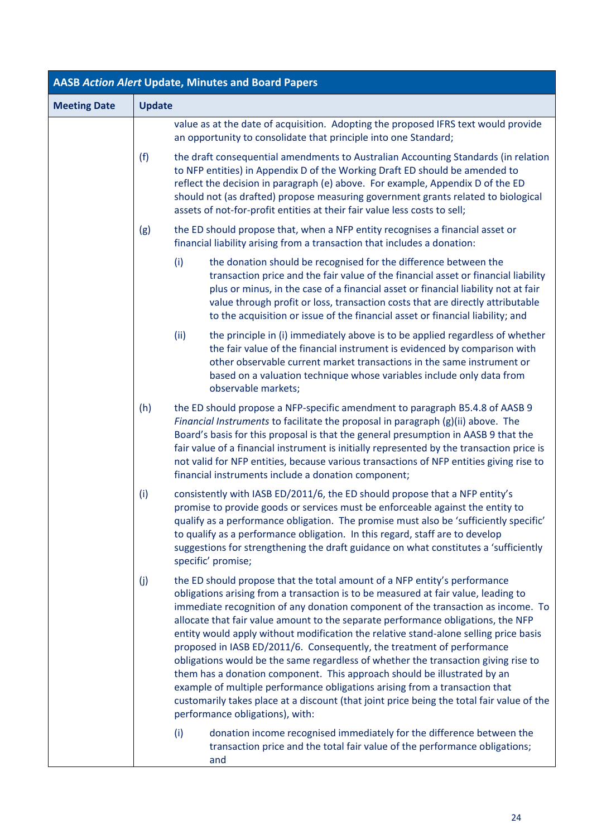| <b>AASB Action Alert Update, Minutes and Board Papers</b> |               |                                                                                                                                                                                                                                                                                                                                                                                                                                                                                                                                                                                                                                                                                                                                                                                                                                                                                            |  |
|-----------------------------------------------------------|---------------|--------------------------------------------------------------------------------------------------------------------------------------------------------------------------------------------------------------------------------------------------------------------------------------------------------------------------------------------------------------------------------------------------------------------------------------------------------------------------------------------------------------------------------------------------------------------------------------------------------------------------------------------------------------------------------------------------------------------------------------------------------------------------------------------------------------------------------------------------------------------------------------------|--|
| <b>Meeting Date</b>                                       | <b>Update</b> |                                                                                                                                                                                                                                                                                                                                                                                                                                                                                                                                                                                                                                                                                                                                                                                                                                                                                            |  |
|                                                           |               | value as at the date of acquisition. Adopting the proposed IFRS text would provide<br>an opportunity to consolidate that principle into one Standard;                                                                                                                                                                                                                                                                                                                                                                                                                                                                                                                                                                                                                                                                                                                                      |  |
|                                                           | (f)           | the draft consequential amendments to Australian Accounting Standards (in relation<br>to NFP entities) in Appendix D of the Working Draft ED should be amended to<br>reflect the decision in paragraph (e) above. For example, Appendix D of the ED<br>should not (as drafted) propose measuring government grants related to biological<br>assets of not-for-profit entities at their fair value less costs to sell;                                                                                                                                                                                                                                                                                                                                                                                                                                                                      |  |
|                                                           | (g)           | the ED should propose that, when a NFP entity recognises a financial asset or<br>financial liability arising from a transaction that includes a donation:                                                                                                                                                                                                                                                                                                                                                                                                                                                                                                                                                                                                                                                                                                                                  |  |
|                                                           |               | the donation should be recognised for the difference between the<br>(i)<br>transaction price and the fair value of the financial asset or financial liability<br>plus or minus, in the case of a financial asset or financial liability not at fair<br>value through profit or loss, transaction costs that are directly attributable<br>to the acquisition or issue of the financial asset or financial liability; and                                                                                                                                                                                                                                                                                                                                                                                                                                                                    |  |
|                                                           |               | (ii)<br>the principle in (i) immediately above is to be applied regardless of whether<br>the fair value of the financial instrument is evidenced by comparison with<br>other observable current market transactions in the same instrument or<br>based on a valuation technique whose variables include only data from<br>observable markets;                                                                                                                                                                                                                                                                                                                                                                                                                                                                                                                                              |  |
|                                                           | (h)           | the ED should propose a NFP-specific amendment to paragraph B5.4.8 of AASB 9<br>Financial Instruments to facilitate the proposal in paragraph (g)(ii) above. The<br>Board's basis for this proposal is that the general presumption in AASB 9 that the<br>fair value of a financial instrument is initially represented by the transaction price is<br>not valid for NFP entities, because various transactions of NFP entities giving rise to<br>financial instruments include a donation component;                                                                                                                                                                                                                                                                                                                                                                                      |  |
|                                                           | (i)           | consistently with IASB ED/2011/6, the ED should propose that a NFP entity's<br>promise to provide goods or services must be enforceable against the entity to<br>qualify as a performance obligation. The promise must also be 'sufficiently specific'<br>to qualify as a performance obligation. In this regard, staff are to develop<br>suggestions for strengthening the draft guidance on what constitutes a 'sufficiently<br>specific' promise;                                                                                                                                                                                                                                                                                                                                                                                                                                       |  |
|                                                           | (j)           | the ED should propose that the total amount of a NFP entity's performance<br>obligations arising from a transaction is to be measured at fair value, leading to<br>immediate recognition of any donation component of the transaction as income. To<br>allocate that fair value amount to the separate performance obligations, the NFP<br>entity would apply without modification the relative stand-alone selling price basis<br>proposed in IASB ED/2011/6. Consequently, the treatment of performance<br>obligations would be the same regardless of whether the transaction giving rise to<br>them has a donation component. This approach should be illustrated by an<br>example of multiple performance obligations arising from a transaction that<br>customarily takes place at a discount (that joint price being the total fair value of the<br>performance obligations), with: |  |
|                                                           |               | donation income recognised immediately for the difference between the<br>(i)<br>transaction price and the total fair value of the performance obligations;<br>and                                                                                                                                                                                                                                                                                                                                                                                                                                                                                                                                                                                                                                                                                                                          |  |

a l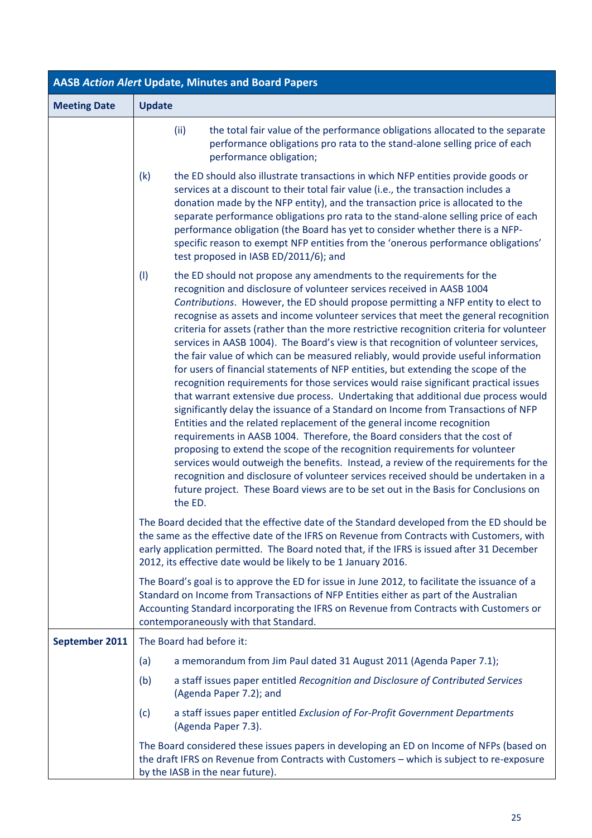| <b>AASB Action Alert Update, Minutes and Board Papers</b> |                                                                                                                                                                                                                                                                                                                                                                                                                                                                                                                                                                                                                                                                                                                                                                                                                                                                                                                                                                                                                                                                                                                                                                                                                                                                                                                                                                                                                                                                                          |  |  |  |
|-----------------------------------------------------------|------------------------------------------------------------------------------------------------------------------------------------------------------------------------------------------------------------------------------------------------------------------------------------------------------------------------------------------------------------------------------------------------------------------------------------------------------------------------------------------------------------------------------------------------------------------------------------------------------------------------------------------------------------------------------------------------------------------------------------------------------------------------------------------------------------------------------------------------------------------------------------------------------------------------------------------------------------------------------------------------------------------------------------------------------------------------------------------------------------------------------------------------------------------------------------------------------------------------------------------------------------------------------------------------------------------------------------------------------------------------------------------------------------------------------------------------------------------------------------------|--|--|--|
| <b>Meeting Date</b>                                       | <b>Update</b>                                                                                                                                                                                                                                                                                                                                                                                                                                                                                                                                                                                                                                                                                                                                                                                                                                                                                                                                                                                                                                                                                                                                                                                                                                                                                                                                                                                                                                                                            |  |  |  |
|                                                           | (ii)<br>the total fair value of the performance obligations allocated to the separate<br>performance obligations pro rata to the stand-alone selling price of each<br>performance obligation;                                                                                                                                                                                                                                                                                                                                                                                                                                                                                                                                                                                                                                                                                                                                                                                                                                                                                                                                                                                                                                                                                                                                                                                                                                                                                            |  |  |  |
|                                                           | (k)<br>the ED should also illustrate transactions in which NFP entities provide goods or<br>services at a discount to their total fair value (i.e., the transaction includes a<br>donation made by the NFP entity), and the transaction price is allocated to the<br>separate performance obligations pro rata to the stand-alone selling price of each<br>performance obligation (the Board has yet to consider whether there is a NFP-<br>specific reason to exempt NFP entities from the 'onerous performance obligations'<br>test proposed in IASB ED/2011/6); and                                                                                                                                                                                                                                                                                                                                                                                                                                                                                                                                                                                                                                                                                                                                                                                                                                                                                                                   |  |  |  |
|                                                           | (1)<br>the ED should not propose any amendments to the requirements for the<br>recognition and disclosure of volunteer services received in AASB 1004<br>Contributions. However, the ED should propose permitting a NFP entity to elect to<br>recognise as assets and income volunteer services that meet the general recognition<br>criteria for assets (rather than the more restrictive recognition criteria for volunteer<br>services in AASB 1004). The Board's view is that recognition of volunteer services,<br>the fair value of which can be measured reliably, would provide useful information<br>for users of financial statements of NFP entities, but extending the scope of the<br>recognition requirements for those services would raise significant practical issues<br>that warrant extensive due process. Undertaking that additional due process would<br>significantly delay the issuance of a Standard on Income from Transactions of NFP<br>Entities and the related replacement of the general income recognition<br>requirements in AASB 1004. Therefore, the Board considers that the cost of<br>proposing to extend the scope of the recognition requirements for volunteer<br>services would outweigh the benefits. Instead, a review of the requirements for the<br>recognition and disclosure of volunteer services received should be undertaken in a<br>future project. These Board views are to be set out in the Basis for Conclusions on<br>the ED. |  |  |  |
|                                                           | The Board decided that the effective date of the Standard developed from the ED should be<br>the same as the effective date of the IFRS on Revenue from Contracts with Customers, with<br>early application permitted. The Board noted that, if the IFRS is issued after 31 December<br>2012, its effective date would be likely to be 1 January 2016.                                                                                                                                                                                                                                                                                                                                                                                                                                                                                                                                                                                                                                                                                                                                                                                                                                                                                                                                                                                                                                                                                                                                   |  |  |  |
|                                                           | The Board's goal is to approve the ED for issue in June 2012, to facilitate the issuance of a<br>Standard on Income from Transactions of NFP Entities either as part of the Australian<br>Accounting Standard incorporating the IFRS on Revenue from Contracts with Customers or<br>contemporaneously with that Standard.                                                                                                                                                                                                                                                                                                                                                                                                                                                                                                                                                                                                                                                                                                                                                                                                                                                                                                                                                                                                                                                                                                                                                                |  |  |  |
| September 2011                                            | The Board had before it:                                                                                                                                                                                                                                                                                                                                                                                                                                                                                                                                                                                                                                                                                                                                                                                                                                                                                                                                                                                                                                                                                                                                                                                                                                                                                                                                                                                                                                                                 |  |  |  |
|                                                           | a memorandum from Jim Paul dated 31 August 2011 (Agenda Paper 7.1);<br>(a)                                                                                                                                                                                                                                                                                                                                                                                                                                                                                                                                                                                                                                                                                                                                                                                                                                                                                                                                                                                                                                                                                                                                                                                                                                                                                                                                                                                                               |  |  |  |
|                                                           | a staff issues paper entitled Recognition and Disclosure of Contributed Services<br>(b)<br>(Agenda Paper 7.2); and                                                                                                                                                                                                                                                                                                                                                                                                                                                                                                                                                                                                                                                                                                                                                                                                                                                                                                                                                                                                                                                                                                                                                                                                                                                                                                                                                                       |  |  |  |
|                                                           | a staff issues paper entitled Exclusion of For-Profit Government Departments<br>(c)<br>(Agenda Paper 7.3).                                                                                                                                                                                                                                                                                                                                                                                                                                                                                                                                                                                                                                                                                                                                                                                                                                                                                                                                                                                                                                                                                                                                                                                                                                                                                                                                                                               |  |  |  |
|                                                           | The Board considered these issues papers in developing an ED on Income of NFPs (based on<br>the draft IFRS on Revenue from Contracts with Customers - which is subject to re-exposure<br>by the IASB in the near future).                                                                                                                                                                                                                                                                                                                                                                                                                                                                                                                                                                                                                                                                                                                                                                                                                                                                                                                                                                                                                                                                                                                                                                                                                                                                |  |  |  |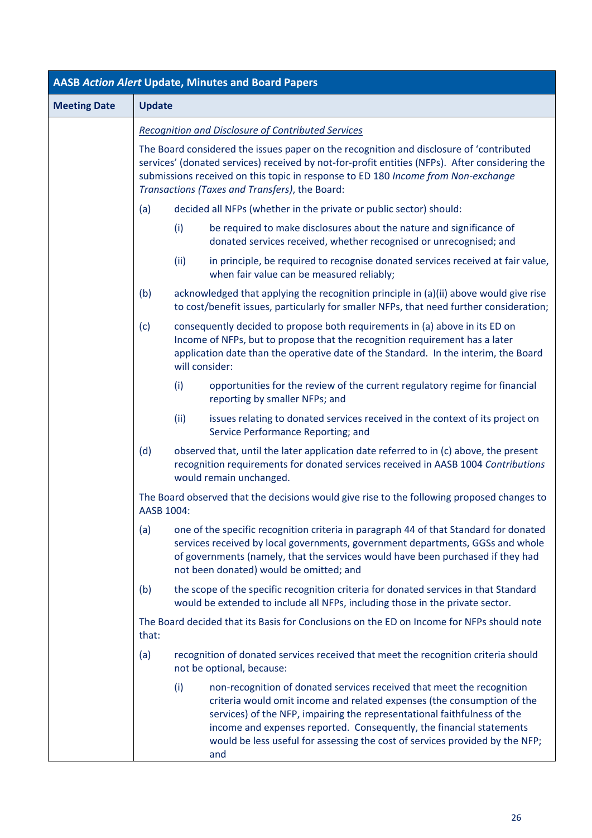| <b>AASB Action Alert Update, Minutes and Board Papers</b> |                                                                                                                                                                                                                                                                                                              |                                                                                                                                                                                                                                                                                                                                  |                                                                                                                                                                                                                                                                                                                                                                                              |  |
|-----------------------------------------------------------|--------------------------------------------------------------------------------------------------------------------------------------------------------------------------------------------------------------------------------------------------------------------------------------------------------------|----------------------------------------------------------------------------------------------------------------------------------------------------------------------------------------------------------------------------------------------------------------------------------------------------------------------------------|----------------------------------------------------------------------------------------------------------------------------------------------------------------------------------------------------------------------------------------------------------------------------------------------------------------------------------------------------------------------------------------------|--|
| <b>Meeting Date</b>                                       | <b>Update</b>                                                                                                                                                                                                                                                                                                |                                                                                                                                                                                                                                                                                                                                  |                                                                                                                                                                                                                                                                                                                                                                                              |  |
|                                                           | Recognition and Disclosure of Contributed Services                                                                                                                                                                                                                                                           |                                                                                                                                                                                                                                                                                                                                  |                                                                                                                                                                                                                                                                                                                                                                                              |  |
|                                                           |                                                                                                                                                                                                                                                                                                              | The Board considered the issues paper on the recognition and disclosure of 'contributed<br>services' (donated services) received by not-for-profit entities (NFPs). After considering the<br>submissions received on this topic in response to ED 180 Income from Non-exchange<br>Transactions (Taxes and Transfers), the Board: |                                                                                                                                                                                                                                                                                                                                                                                              |  |
|                                                           | (a)                                                                                                                                                                                                                                                                                                          |                                                                                                                                                                                                                                                                                                                                  | decided all NFPs (whether in the private or public sector) should:                                                                                                                                                                                                                                                                                                                           |  |
|                                                           |                                                                                                                                                                                                                                                                                                              | (i)                                                                                                                                                                                                                                                                                                                              | be required to make disclosures about the nature and significance of<br>donated services received, whether recognised or unrecognised; and                                                                                                                                                                                                                                                   |  |
|                                                           |                                                                                                                                                                                                                                                                                                              | (ii)                                                                                                                                                                                                                                                                                                                             | in principle, be required to recognise donated services received at fair value,<br>when fair value can be measured reliably;                                                                                                                                                                                                                                                                 |  |
|                                                           | (b)                                                                                                                                                                                                                                                                                                          |                                                                                                                                                                                                                                                                                                                                  | acknowledged that applying the recognition principle in (a)(ii) above would give rise<br>to cost/benefit issues, particularly for smaller NFPs, that need further consideration;                                                                                                                                                                                                             |  |
|                                                           | (c)                                                                                                                                                                                                                                                                                                          | will consider:                                                                                                                                                                                                                                                                                                                   | consequently decided to propose both requirements in (a) above in its ED on<br>Income of NFPs, but to propose that the recognition requirement has a later<br>application date than the operative date of the Standard. In the interim, the Board                                                                                                                                            |  |
|                                                           |                                                                                                                                                                                                                                                                                                              | (i)                                                                                                                                                                                                                                                                                                                              | opportunities for the review of the current regulatory regime for financial<br>reporting by smaller NFPs; and                                                                                                                                                                                                                                                                                |  |
|                                                           |                                                                                                                                                                                                                                                                                                              | (ii)                                                                                                                                                                                                                                                                                                                             | issues relating to donated services received in the context of its project on<br>Service Performance Reporting; and                                                                                                                                                                                                                                                                          |  |
|                                                           | (d)                                                                                                                                                                                                                                                                                                          |                                                                                                                                                                                                                                                                                                                                  | observed that, until the later application date referred to in (c) above, the present<br>recognition requirements for donated services received in AASB 1004 Contributions<br>would remain unchanged.                                                                                                                                                                                        |  |
|                                                           | AASB 1004:                                                                                                                                                                                                                                                                                                   |                                                                                                                                                                                                                                                                                                                                  | The Board observed that the decisions would give rise to the following proposed changes to                                                                                                                                                                                                                                                                                                   |  |
|                                                           | (a)<br>one of the specific recognition criteria in paragraph 44 of that Standard for donated<br>services received by local governments, government departments, GGSs and whole<br>of governments (namely, that the services would have been purchased if they had<br>not been donated) would be omitted; and |                                                                                                                                                                                                                                                                                                                                  |                                                                                                                                                                                                                                                                                                                                                                                              |  |
|                                                           | (b)                                                                                                                                                                                                                                                                                                          |                                                                                                                                                                                                                                                                                                                                  | the scope of the specific recognition criteria for donated services in that Standard<br>would be extended to include all NFPs, including those in the private sector.                                                                                                                                                                                                                        |  |
|                                                           | The Board decided that its Basis for Conclusions on the ED on Income for NFPs should note<br>that:                                                                                                                                                                                                           |                                                                                                                                                                                                                                                                                                                                  |                                                                                                                                                                                                                                                                                                                                                                                              |  |
|                                                           | (a)                                                                                                                                                                                                                                                                                                          |                                                                                                                                                                                                                                                                                                                                  | recognition of donated services received that meet the recognition criteria should<br>not be optional, because:                                                                                                                                                                                                                                                                              |  |
|                                                           |                                                                                                                                                                                                                                                                                                              | (i)                                                                                                                                                                                                                                                                                                                              | non-recognition of donated services received that meet the recognition<br>criteria would omit income and related expenses (the consumption of the<br>services) of the NFP, impairing the representational faithfulness of the<br>income and expenses reported. Consequently, the financial statements<br>would be less useful for assessing the cost of services provided by the NFP;<br>and |  |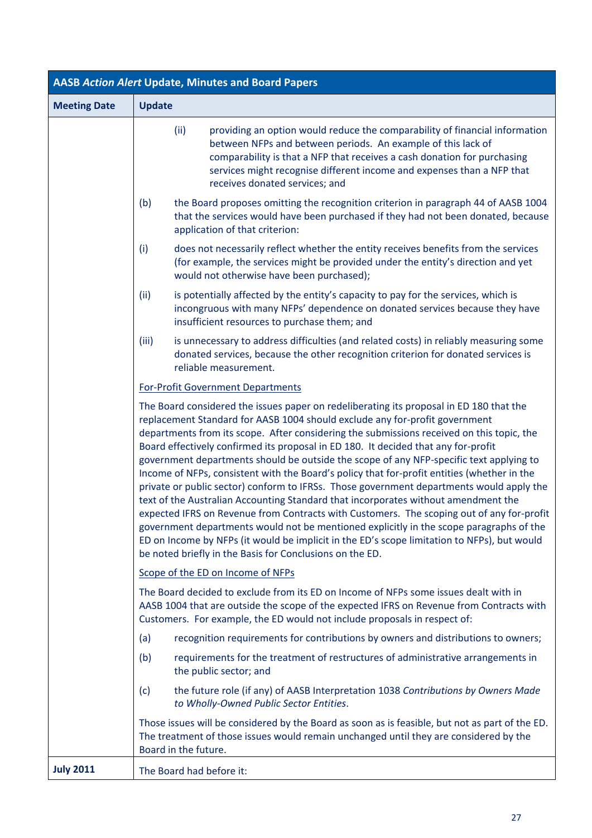| <b>AASB Action Alert Update, Minutes and Board Papers</b> |                                                                                                                                                                                                                                                                                                                                                                                                                                                                                                                                                                                                                                                                                                                                                                                                                                                                                                                                                                                                                                                                                          |  |  |  |
|-----------------------------------------------------------|------------------------------------------------------------------------------------------------------------------------------------------------------------------------------------------------------------------------------------------------------------------------------------------------------------------------------------------------------------------------------------------------------------------------------------------------------------------------------------------------------------------------------------------------------------------------------------------------------------------------------------------------------------------------------------------------------------------------------------------------------------------------------------------------------------------------------------------------------------------------------------------------------------------------------------------------------------------------------------------------------------------------------------------------------------------------------------------|--|--|--|
| <b>Meeting Date</b>                                       | <b>Update</b>                                                                                                                                                                                                                                                                                                                                                                                                                                                                                                                                                                                                                                                                                                                                                                                                                                                                                                                                                                                                                                                                            |  |  |  |
|                                                           | (ii)<br>providing an option would reduce the comparability of financial information<br>between NFPs and between periods. An example of this lack of<br>comparability is that a NFP that receives a cash donation for purchasing<br>services might recognise different income and expenses than a NFP that<br>receives donated services; and                                                                                                                                                                                                                                                                                                                                                                                                                                                                                                                                                                                                                                                                                                                                              |  |  |  |
|                                                           | the Board proposes omitting the recognition criterion in paragraph 44 of AASB 1004<br>(b)<br>that the services would have been purchased if they had not been donated, because<br>application of that criterion:                                                                                                                                                                                                                                                                                                                                                                                                                                                                                                                                                                                                                                                                                                                                                                                                                                                                         |  |  |  |
|                                                           | (i)<br>does not necessarily reflect whether the entity receives benefits from the services<br>(for example, the services might be provided under the entity's direction and yet<br>would not otherwise have been purchased);                                                                                                                                                                                                                                                                                                                                                                                                                                                                                                                                                                                                                                                                                                                                                                                                                                                             |  |  |  |
|                                                           | (iii)<br>is potentially affected by the entity's capacity to pay for the services, which is<br>incongruous with many NFPs' dependence on donated services because they have<br>insufficient resources to purchase them; and                                                                                                                                                                                                                                                                                                                                                                                                                                                                                                                                                                                                                                                                                                                                                                                                                                                              |  |  |  |
|                                                           | is unnecessary to address difficulties (and related costs) in reliably measuring some<br>(iii)<br>donated services, because the other recognition criterion for donated services is<br>reliable measurement.                                                                                                                                                                                                                                                                                                                                                                                                                                                                                                                                                                                                                                                                                                                                                                                                                                                                             |  |  |  |
|                                                           | For-Profit Government Departments                                                                                                                                                                                                                                                                                                                                                                                                                                                                                                                                                                                                                                                                                                                                                                                                                                                                                                                                                                                                                                                        |  |  |  |
|                                                           | The Board considered the issues paper on redeliberating its proposal in ED 180 that the<br>replacement Standard for AASB 1004 should exclude any for-profit government<br>departments from its scope. After considering the submissions received on this topic, the<br>Board effectively confirmed its proposal in ED 180. It decided that any for-profit<br>government departments should be outside the scope of any NFP-specific text applying to<br>Income of NFPs, consistent with the Board's policy that for-profit entities (whether in the<br>private or public sector) conform to IFRSs. Those government departments would apply the<br>text of the Australian Accounting Standard that incorporates without amendment the<br>expected IFRS on Revenue from Contracts with Customers. The scoping out of any for-profit<br>government departments would not be mentioned explicitly in the scope paragraphs of the<br>ED on Income by NFPs (it would be implicit in the ED's scope limitation to NFPs), but would<br>be noted briefly in the Basis for Conclusions on the ED. |  |  |  |
|                                                           | Scope of the ED on Income of NFPs                                                                                                                                                                                                                                                                                                                                                                                                                                                                                                                                                                                                                                                                                                                                                                                                                                                                                                                                                                                                                                                        |  |  |  |
|                                                           | The Board decided to exclude from its ED on Income of NFPs some issues dealt with in<br>AASB 1004 that are outside the scope of the expected IFRS on Revenue from Contracts with<br>Customers. For example, the ED would not include proposals in respect of:                                                                                                                                                                                                                                                                                                                                                                                                                                                                                                                                                                                                                                                                                                                                                                                                                            |  |  |  |
|                                                           | recognition requirements for contributions by owners and distributions to owners;<br>(a)                                                                                                                                                                                                                                                                                                                                                                                                                                                                                                                                                                                                                                                                                                                                                                                                                                                                                                                                                                                                 |  |  |  |
|                                                           | requirements for the treatment of restructures of administrative arrangements in<br>(b)<br>the public sector; and                                                                                                                                                                                                                                                                                                                                                                                                                                                                                                                                                                                                                                                                                                                                                                                                                                                                                                                                                                        |  |  |  |
|                                                           | the future role (if any) of AASB Interpretation 1038 Contributions by Owners Made<br>(c)<br>to Wholly-Owned Public Sector Entities.                                                                                                                                                                                                                                                                                                                                                                                                                                                                                                                                                                                                                                                                                                                                                                                                                                                                                                                                                      |  |  |  |
|                                                           | Those issues will be considered by the Board as soon as is feasible, but not as part of the ED.<br>The treatment of those issues would remain unchanged until they are considered by the<br>Board in the future.                                                                                                                                                                                                                                                                                                                                                                                                                                                                                                                                                                                                                                                                                                                                                                                                                                                                         |  |  |  |
| <b>July 2011</b>                                          | The Board had before it:                                                                                                                                                                                                                                                                                                                                                                                                                                                                                                                                                                                                                                                                                                                                                                                                                                                                                                                                                                                                                                                                 |  |  |  |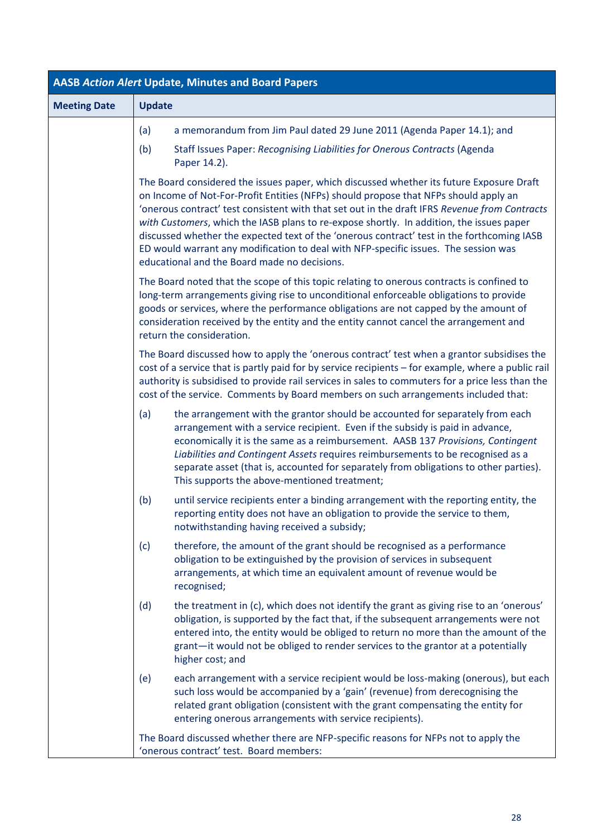| <b>AASB Action Alert Update, Minutes and Board Papers</b> |                                                                                                                                                                                                                                                                                                                                                                                                                                                                                                                                                                                                                    |  |  |  |  |
|-----------------------------------------------------------|--------------------------------------------------------------------------------------------------------------------------------------------------------------------------------------------------------------------------------------------------------------------------------------------------------------------------------------------------------------------------------------------------------------------------------------------------------------------------------------------------------------------------------------------------------------------------------------------------------------------|--|--|--|--|
| <b>Meeting Date</b>                                       | <b>Update</b>                                                                                                                                                                                                                                                                                                                                                                                                                                                                                                                                                                                                      |  |  |  |  |
|                                                           | a memorandum from Jim Paul dated 29 June 2011 (Agenda Paper 14.1); and<br>(a)                                                                                                                                                                                                                                                                                                                                                                                                                                                                                                                                      |  |  |  |  |
|                                                           | Staff Issues Paper: Recognising Liabilities for Onerous Contracts (Agenda<br>(b)<br>Paper 14.2).                                                                                                                                                                                                                                                                                                                                                                                                                                                                                                                   |  |  |  |  |
|                                                           | The Board considered the issues paper, which discussed whether its future Exposure Draft<br>on Income of Not-For-Profit Entities (NFPs) should propose that NFPs should apply an<br>'onerous contract' test consistent with that set out in the draft IFRS Revenue from Contracts<br>with Customers, which the IASB plans to re-expose shortly. In addition, the issues paper<br>discussed whether the expected text of the 'onerous contract' test in the forthcoming IASB<br>ED would warrant any modification to deal with NFP-specific issues. The session was<br>educational and the Board made no decisions. |  |  |  |  |
|                                                           | The Board noted that the scope of this topic relating to onerous contracts is confined to<br>long-term arrangements giving rise to unconditional enforceable obligations to provide<br>goods or services, where the performance obligations are not capped by the amount of<br>consideration received by the entity and the entity cannot cancel the arrangement and<br>return the consideration.                                                                                                                                                                                                                  |  |  |  |  |
|                                                           | The Board discussed how to apply the 'onerous contract' test when a grantor subsidises the<br>cost of a service that is partly paid for by service recipients - for example, where a public rail<br>authority is subsidised to provide rail services in sales to commuters for a price less than the<br>cost of the service. Comments by Board members on such arrangements included that:                                                                                                                                                                                                                         |  |  |  |  |
|                                                           | (a)<br>the arrangement with the grantor should be accounted for separately from each<br>arrangement with a service recipient. Even if the subsidy is paid in advance,<br>economically it is the same as a reimbursement. AASB 137 Provisions, Contingent<br>Liabilities and Contingent Assets requires reimbursements to be recognised as a<br>separate asset (that is, accounted for separately from obligations to other parties).<br>This supports the above-mentioned treatment;                                                                                                                               |  |  |  |  |
|                                                           | until service recipients enter a binding arrangement with the reporting entity, the<br>(b)<br>reporting entity does not have an obligation to provide the service to them,<br>notwithstanding having received a subsidy;                                                                                                                                                                                                                                                                                                                                                                                           |  |  |  |  |
|                                                           | therefore, the amount of the grant should be recognised as a performance<br>(c)<br>obligation to be extinguished by the provision of services in subsequent<br>arrangements, at which time an equivalent amount of revenue would be<br>recognised;                                                                                                                                                                                                                                                                                                                                                                 |  |  |  |  |
|                                                           | the treatment in (c), which does not identify the grant as giving rise to an 'onerous'<br>(d)<br>obligation, is supported by the fact that, if the subsequent arrangements were not<br>entered into, the entity would be obliged to return no more than the amount of the<br>grant-it would not be obliged to render services to the grantor at a potentially<br>higher cost; and                                                                                                                                                                                                                                  |  |  |  |  |
|                                                           | each arrangement with a service recipient would be loss-making (onerous), but each<br>(e)<br>such loss would be accompanied by a 'gain' (revenue) from derecognising the<br>related grant obligation (consistent with the grant compensating the entity for<br>entering onerous arrangements with service recipients).                                                                                                                                                                                                                                                                                             |  |  |  |  |
|                                                           | The Board discussed whether there are NFP-specific reasons for NFPs not to apply the<br>'onerous contract' test. Board members:                                                                                                                                                                                                                                                                                                                                                                                                                                                                                    |  |  |  |  |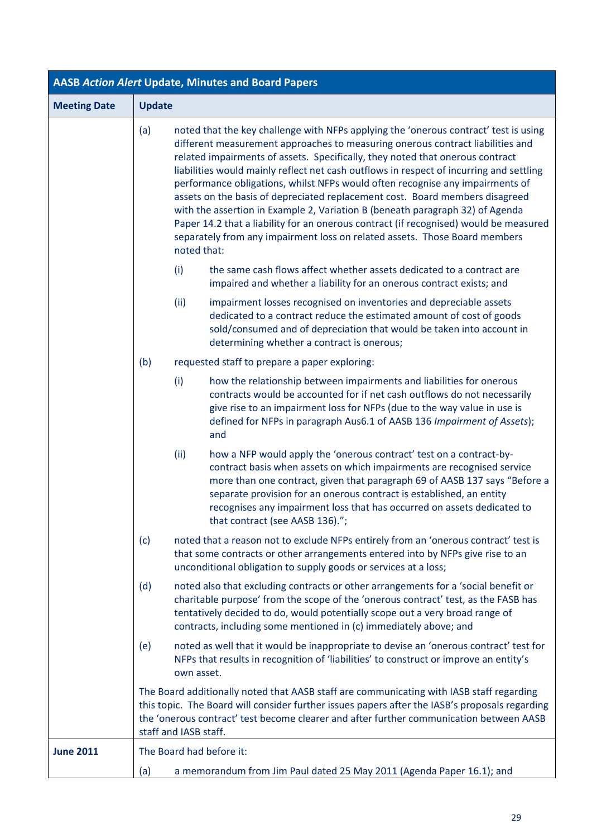| <b>AASB Action Alert Update, Minutes and Board Papers</b> |                                                                                                                                                                                                                                                                                                                                                                                                                                                                                                                                                                                                                                                                                                                                                                                                   |  |  |
|-----------------------------------------------------------|---------------------------------------------------------------------------------------------------------------------------------------------------------------------------------------------------------------------------------------------------------------------------------------------------------------------------------------------------------------------------------------------------------------------------------------------------------------------------------------------------------------------------------------------------------------------------------------------------------------------------------------------------------------------------------------------------------------------------------------------------------------------------------------------------|--|--|
| <b>Meeting Date</b>                                       | <b>Update</b>                                                                                                                                                                                                                                                                                                                                                                                                                                                                                                                                                                                                                                                                                                                                                                                     |  |  |
|                                                           | noted that the key challenge with NFPs applying the 'onerous contract' test is using<br>(a)<br>different measurement approaches to measuring onerous contract liabilities and<br>related impairments of assets. Specifically, they noted that onerous contract<br>liabilities would mainly reflect net cash outflows in respect of incurring and settling<br>performance obligations, whilst NFPs would often recognise any impairments of<br>assets on the basis of depreciated replacement cost. Board members disagreed<br>with the assertion in Example 2, Variation B (beneath paragraph 32) of Agenda<br>Paper 14.2 that a liability for an onerous contract (if recognised) would be measured<br>separately from any impairment loss on related assets. Those Board members<br>noted that: |  |  |
|                                                           | the same cash flows affect whether assets dedicated to a contract are<br>(i)<br>impaired and whether a liability for an onerous contract exists; and                                                                                                                                                                                                                                                                                                                                                                                                                                                                                                                                                                                                                                              |  |  |
|                                                           | (ii)<br>impairment losses recognised on inventories and depreciable assets<br>dedicated to a contract reduce the estimated amount of cost of goods<br>sold/consumed and of depreciation that would be taken into account in<br>determining whether a contract is onerous;                                                                                                                                                                                                                                                                                                                                                                                                                                                                                                                         |  |  |
|                                                           | (b)<br>requested staff to prepare a paper exploring:                                                                                                                                                                                                                                                                                                                                                                                                                                                                                                                                                                                                                                                                                                                                              |  |  |
|                                                           | (i)<br>how the relationship between impairments and liabilities for onerous<br>contracts would be accounted for if net cash outflows do not necessarily<br>give rise to an impairment loss for NFPs (due to the way value in use is<br>defined for NFPs in paragraph Aus6.1 of AASB 136 Impairment of Assets);<br>and                                                                                                                                                                                                                                                                                                                                                                                                                                                                             |  |  |
|                                                           | (ii)<br>how a NFP would apply the 'onerous contract' test on a contract-by-<br>contract basis when assets on which impairments are recognised service<br>more than one contract, given that paragraph 69 of AASB 137 says "Before a<br>separate provision for an onerous contract is established, an entity<br>recognises any impairment loss that has occurred on assets dedicated to<br>that contract (see AASB 136).";                                                                                                                                                                                                                                                                                                                                                                         |  |  |
|                                                           | noted that a reason not to exclude NFPs entirely from an 'onerous contract' test is<br>(c)<br>that some contracts or other arrangements entered into by NFPs give rise to an<br>unconditional obligation to supply goods or services at a loss;                                                                                                                                                                                                                                                                                                                                                                                                                                                                                                                                                   |  |  |
|                                                           | (d)<br>noted also that excluding contracts or other arrangements for a 'social benefit or<br>charitable purpose' from the scope of the 'onerous contract' test, as the FASB has<br>tentatively decided to do, would potentially scope out a very broad range of<br>contracts, including some mentioned in (c) immediately above; and                                                                                                                                                                                                                                                                                                                                                                                                                                                              |  |  |
|                                                           | noted as well that it would be inappropriate to devise an 'onerous contract' test for<br>(e)<br>NFPs that results in recognition of 'liabilities' to construct or improve an entity's<br>own asset.                                                                                                                                                                                                                                                                                                                                                                                                                                                                                                                                                                                               |  |  |
|                                                           | The Board additionally noted that AASB staff are communicating with IASB staff regarding<br>this topic. The Board will consider further issues papers after the IASB's proposals regarding<br>the 'onerous contract' test become clearer and after further communication between AASB<br>staff and IASB staff.                                                                                                                                                                                                                                                                                                                                                                                                                                                                                    |  |  |
| <b>June 2011</b>                                          | The Board had before it:                                                                                                                                                                                                                                                                                                                                                                                                                                                                                                                                                                                                                                                                                                                                                                          |  |  |
|                                                           | a memorandum from Jim Paul dated 25 May 2011 (Agenda Paper 16.1); and<br>(a)                                                                                                                                                                                                                                                                                                                                                                                                                                                                                                                                                                                                                                                                                                                      |  |  |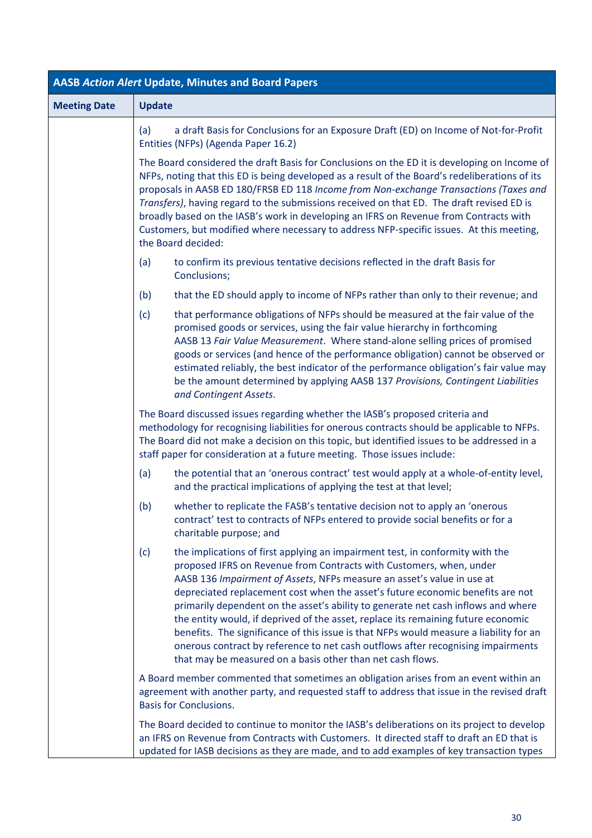| <b>AASB Action Alert Update, Minutes and Board Papers</b> |                                                                                                                                                                                                                                                                                                                                                                                                                                                                                                                                                                                                                                                                                                                                               |  |  |  |
|-----------------------------------------------------------|-----------------------------------------------------------------------------------------------------------------------------------------------------------------------------------------------------------------------------------------------------------------------------------------------------------------------------------------------------------------------------------------------------------------------------------------------------------------------------------------------------------------------------------------------------------------------------------------------------------------------------------------------------------------------------------------------------------------------------------------------|--|--|--|
| <b>Meeting Date</b>                                       | <b>Update</b>                                                                                                                                                                                                                                                                                                                                                                                                                                                                                                                                                                                                                                                                                                                                 |  |  |  |
|                                                           | a draft Basis for Conclusions for an Exposure Draft (ED) on Income of Not-for-Profit<br>(a)<br>Entities (NFPs) (Agenda Paper 16.2)                                                                                                                                                                                                                                                                                                                                                                                                                                                                                                                                                                                                            |  |  |  |
|                                                           | The Board considered the draft Basis for Conclusions on the ED it is developing on Income of<br>NFPs, noting that this ED is being developed as a result of the Board's redeliberations of its<br>proposals in AASB ED 180/FRSB ED 118 Income from Non-exchange Transactions (Taxes and<br>Transfers), having regard to the submissions received on that ED. The draft revised ED is<br>broadly based on the IASB's work in developing an IFRS on Revenue from Contracts with<br>Customers, but modified where necessary to address NFP-specific issues. At this meeting,<br>the Board decided:                                                                                                                                               |  |  |  |
|                                                           | to confirm its previous tentative decisions reflected in the draft Basis for<br>(a)<br>Conclusions;                                                                                                                                                                                                                                                                                                                                                                                                                                                                                                                                                                                                                                           |  |  |  |
|                                                           | (b)<br>that the ED should apply to income of NFPs rather than only to their revenue; and                                                                                                                                                                                                                                                                                                                                                                                                                                                                                                                                                                                                                                                      |  |  |  |
|                                                           | that performance obligations of NFPs should be measured at the fair value of the<br>(c)<br>promised goods or services, using the fair value hierarchy in forthcoming<br>AASB 13 Fair Value Measurement. Where stand-alone selling prices of promised<br>goods or services (and hence of the performance obligation) cannot be observed or<br>estimated reliably, the best indicator of the performance obligation's fair value may<br>be the amount determined by applying AASB 137 Provisions, Contingent Liabilities<br>and Contingent Assets.                                                                                                                                                                                              |  |  |  |
|                                                           | The Board discussed issues regarding whether the IASB's proposed criteria and<br>methodology for recognising liabilities for onerous contracts should be applicable to NFPs.<br>The Board did not make a decision on this topic, but identified issues to be addressed in a<br>staff paper for consideration at a future meeting. Those issues include:                                                                                                                                                                                                                                                                                                                                                                                       |  |  |  |
|                                                           | the potential that an 'onerous contract' test would apply at a whole-of-entity level,<br>(a)<br>and the practical implications of applying the test at that level;                                                                                                                                                                                                                                                                                                                                                                                                                                                                                                                                                                            |  |  |  |
|                                                           | (b)<br>whether to replicate the FASB's tentative decision not to apply an 'onerous<br>contract' test to contracts of NFPs entered to provide social benefits or for a<br>charitable purpose; and                                                                                                                                                                                                                                                                                                                                                                                                                                                                                                                                              |  |  |  |
|                                                           | (c)<br>the implications of first applying an impairment test, in conformity with the<br>proposed IFRS on Revenue from Contracts with Customers, when, under<br>AASB 136 Impairment of Assets, NFPs measure an asset's value in use at<br>depreciated replacement cost when the asset's future economic benefits are not<br>primarily dependent on the asset's ability to generate net cash inflows and where<br>the entity would, if deprived of the asset, replace its remaining future economic<br>benefits. The significance of this issue is that NFPs would measure a liability for an<br>onerous contract by reference to net cash outflows after recognising impairments<br>that may be measured on a basis other than net cash flows. |  |  |  |
|                                                           | A Board member commented that sometimes an obligation arises from an event within an<br>agreement with another party, and requested staff to address that issue in the revised draft<br><b>Basis for Conclusions.</b>                                                                                                                                                                                                                                                                                                                                                                                                                                                                                                                         |  |  |  |
|                                                           | The Board decided to continue to monitor the IASB's deliberations on its project to develop<br>an IFRS on Revenue from Contracts with Customers. It directed staff to draft an ED that is<br>updated for IASB decisions as they are made, and to add examples of key transaction types                                                                                                                                                                                                                                                                                                                                                                                                                                                        |  |  |  |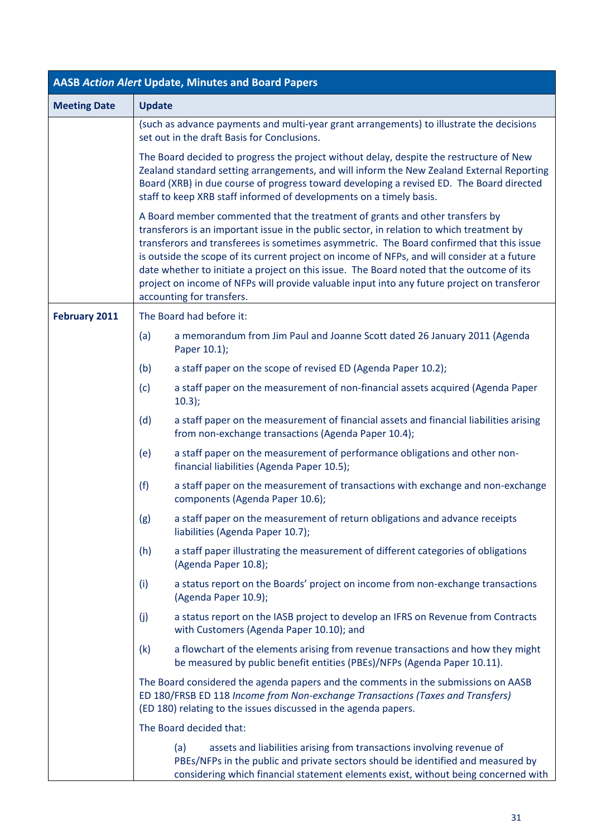| <b>AASB Action Alert Update, Minutes and Board Papers</b> |               |                                                                                                                                                                                                                                                                                                                                                                                                                                                                                                                                                                                                |  |  |
|-----------------------------------------------------------|---------------|------------------------------------------------------------------------------------------------------------------------------------------------------------------------------------------------------------------------------------------------------------------------------------------------------------------------------------------------------------------------------------------------------------------------------------------------------------------------------------------------------------------------------------------------------------------------------------------------|--|--|
| <b>Meeting Date</b>                                       | <b>Update</b> |                                                                                                                                                                                                                                                                                                                                                                                                                                                                                                                                                                                                |  |  |
|                                                           |               | (such as advance payments and multi-year grant arrangements) to illustrate the decisions<br>set out in the draft Basis for Conclusions.                                                                                                                                                                                                                                                                                                                                                                                                                                                        |  |  |
|                                                           |               | The Board decided to progress the project without delay, despite the restructure of New<br>Zealand standard setting arrangements, and will inform the New Zealand External Reporting<br>Board (XRB) in due course of progress toward developing a revised ED. The Board directed<br>staff to keep XRB staff informed of developments on a timely basis.                                                                                                                                                                                                                                        |  |  |
|                                                           |               | A Board member commented that the treatment of grants and other transfers by<br>transferors is an important issue in the public sector, in relation to which treatment by<br>transferors and transferees is sometimes asymmetric. The Board confirmed that this issue<br>is outside the scope of its current project on income of NFPs, and will consider at a future<br>date whether to initiate a project on this issue. The Board noted that the outcome of its<br>project on income of NFPs will provide valuable input into any future project on transferor<br>accounting for transfers. |  |  |
| <b>February 2011</b>                                      |               | The Board had before it:                                                                                                                                                                                                                                                                                                                                                                                                                                                                                                                                                                       |  |  |
|                                                           | (a)           | a memorandum from Jim Paul and Joanne Scott dated 26 January 2011 (Agenda<br>Paper 10.1);                                                                                                                                                                                                                                                                                                                                                                                                                                                                                                      |  |  |
|                                                           | (b)           | a staff paper on the scope of revised ED (Agenda Paper 10.2);                                                                                                                                                                                                                                                                                                                                                                                                                                                                                                                                  |  |  |
|                                                           | (c)           | a staff paper on the measurement of non-financial assets acquired (Agenda Paper<br>10.3);                                                                                                                                                                                                                                                                                                                                                                                                                                                                                                      |  |  |
|                                                           | (d)           | a staff paper on the measurement of financial assets and financial liabilities arising<br>from non-exchange transactions (Agenda Paper 10.4);                                                                                                                                                                                                                                                                                                                                                                                                                                                  |  |  |
|                                                           | (e)           | a staff paper on the measurement of performance obligations and other non-<br>financial liabilities (Agenda Paper 10.5);                                                                                                                                                                                                                                                                                                                                                                                                                                                                       |  |  |
|                                                           | (f)           | a staff paper on the measurement of transactions with exchange and non-exchange<br>components (Agenda Paper 10.6);                                                                                                                                                                                                                                                                                                                                                                                                                                                                             |  |  |
|                                                           | (g)           | a staff paper on the measurement of return obligations and advance receipts<br>liabilities (Agenda Paper 10.7);                                                                                                                                                                                                                                                                                                                                                                                                                                                                                |  |  |
|                                                           | (h)           | a staff paper illustrating the measurement of different categories of obligations<br>(Agenda Paper 10.8);                                                                                                                                                                                                                                                                                                                                                                                                                                                                                      |  |  |
|                                                           | (i)           | a status report on the Boards' project on income from non-exchange transactions<br>(Agenda Paper 10.9);                                                                                                                                                                                                                                                                                                                                                                                                                                                                                        |  |  |
|                                                           | (j)           | a status report on the IASB project to develop an IFRS on Revenue from Contracts<br>with Customers (Agenda Paper 10.10); and                                                                                                                                                                                                                                                                                                                                                                                                                                                                   |  |  |
|                                                           | (k)           | a flowchart of the elements arising from revenue transactions and how they might<br>be measured by public benefit entities (PBEs)/NFPs (Agenda Paper 10.11).                                                                                                                                                                                                                                                                                                                                                                                                                                   |  |  |
|                                                           |               | The Board considered the agenda papers and the comments in the submissions on AASB<br>ED 180/FRSB ED 118 Income from Non-exchange Transactions (Taxes and Transfers)<br>(ED 180) relating to the issues discussed in the agenda papers.                                                                                                                                                                                                                                                                                                                                                        |  |  |
|                                                           |               | The Board decided that:                                                                                                                                                                                                                                                                                                                                                                                                                                                                                                                                                                        |  |  |
|                                                           |               | assets and liabilities arising from transactions involving revenue of<br>(a)<br>PBEs/NFPs in the public and private sectors should be identified and measured by<br>considering which financial statement elements exist, without being concerned with                                                                                                                                                                                                                                                                                                                                         |  |  |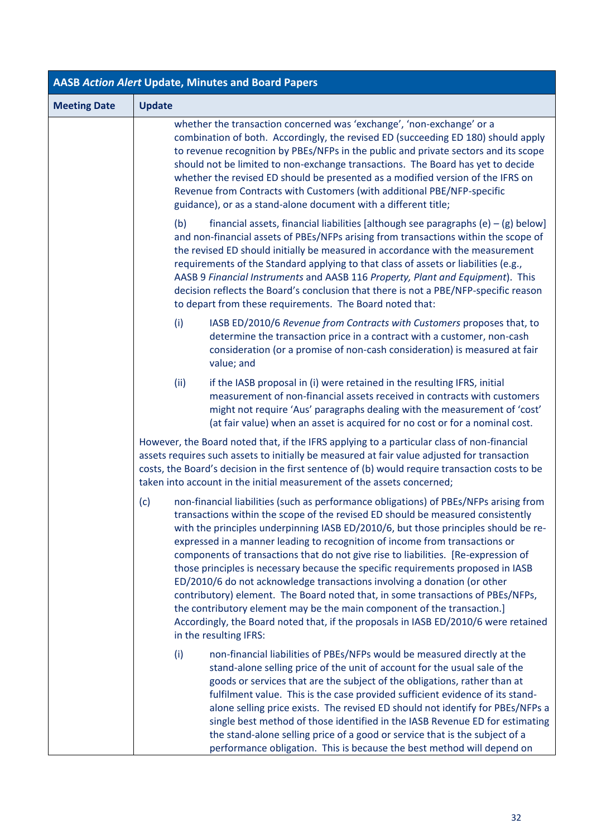| <b>AASB Action Alert Update, Minutes and Board Papers</b> |                                                                                                                                                                                                                                                                                                                                                                                                                                                                                                                                                                                                                                                                                                                                                                                                                                                                                            |  |  |  |
|-----------------------------------------------------------|--------------------------------------------------------------------------------------------------------------------------------------------------------------------------------------------------------------------------------------------------------------------------------------------------------------------------------------------------------------------------------------------------------------------------------------------------------------------------------------------------------------------------------------------------------------------------------------------------------------------------------------------------------------------------------------------------------------------------------------------------------------------------------------------------------------------------------------------------------------------------------------------|--|--|--|
| <b>Meeting Date</b>                                       | <b>Update</b>                                                                                                                                                                                                                                                                                                                                                                                                                                                                                                                                                                                                                                                                                                                                                                                                                                                                              |  |  |  |
|                                                           | whether the transaction concerned was 'exchange', 'non-exchange' or a<br>combination of both. Accordingly, the revised ED (succeeding ED 180) should apply<br>to revenue recognition by PBEs/NFPs in the public and private sectors and its scope<br>should not be limited to non-exchange transactions. The Board has yet to decide<br>whether the revised ED should be presented as a modified version of the IFRS on<br>Revenue from Contracts with Customers (with additional PBE/NFP-specific<br>guidance), or as a stand-alone document with a different title;                                                                                                                                                                                                                                                                                                                      |  |  |  |
|                                                           | financial assets, financial liabilities [although see paragraphs (e) $-$ (g) below]<br>(b)<br>and non-financial assets of PBEs/NFPs arising from transactions within the scope of<br>the revised ED should initially be measured in accordance with the measurement<br>requirements of the Standard applying to that class of assets or liabilities (e.g.,<br>AASB 9 Financial Instruments and AASB 116 Property, Plant and Equipment). This<br>decision reflects the Board's conclusion that there is not a PBE/NFP-specific reason<br>to depart from these requirements. The Board noted that:                                                                                                                                                                                                                                                                                           |  |  |  |
|                                                           | (i)<br>IASB ED/2010/6 Revenue from Contracts with Customers proposes that, to<br>determine the transaction price in a contract with a customer, non-cash<br>consideration (or a promise of non-cash consideration) is measured at fair<br>value; and                                                                                                                                                                                                                                                                                                                                                                                                                                                                                                                                                                                                                                       |  |  |  |
|                                                           | (ii)<br>if the IASB proposal in (i) were retained in the resulting IFRS, initial<br>measurement of non-financial assets received in contracts with customers<br>might not require 'Aus' paragraphs dealing with the measurement of 'cost'<br>(at fair value) when an asset is acquired for no cost or for a nominal cost.                                                                                                                                                                                                                                                                                                                                                                                                                                                                                                                                                                  |  |  |  |
|                                                           | However, the Board noted that, if the IFRS applying to a particular class of non-financial<br>assets requires such assets to initially be measured at fair value adjusted for transaction<br>costs, the Board's decision in the first sentence of (b) would require transaction costs to be<br>taken into account in the initial measurement of the assets concerned;                                                                                                                                                                                                                                                                                                                                                                                                                                                                                                                      |  |  |  |
|                                                           | non-financial liabilities (such as performance obligations) of PBEs/NFPs arising from<br>(c)<br>transactions within the scope of the revised ED should be measured consistently<br>with the principles underpinning IASB ED/2010/6, but those principles should be re-<br>expressed in a manner leading to recognition of income from transactions or<br>components of transactions that do not give rise to liabilities. [Re-expression of<br>those principles is necessary because the specific requirements proposed in IASB<br>ED/2010/6 do not acknowledge transactions involving a donation (or other<br>contributory) element. The Board noted that, in some transactions of PBEs/NFPs,<br>the contributory element may be the main component of the transaction.]<br>Accordingly, the Board noted that, if the proposals in IASB ED/2010/6 were retained<br>in the resulting IFRS: |  |  |  |
|                                                           | (i)<br>non-financial liabilities of PBEs/NFPs would be measured directly at the<br>stand-alone selling price of the unit of account for the usual sale of the<br>goods or services that are the subject of the obligations, rather than at<br>fulfilment value. This is the case provided sufficient evidence of its stand-<br>alone selling price exists. The revised ED should not identify for PBEs/NFPs a<br>single best method of those identified in the IASB Revenue ED for estimating<br>the stand-alone selling price of a good or service that is the subject of a<br>performance obligation. This is because the best method will depend on                                                                                                                                                                                                                                     |  |  |  |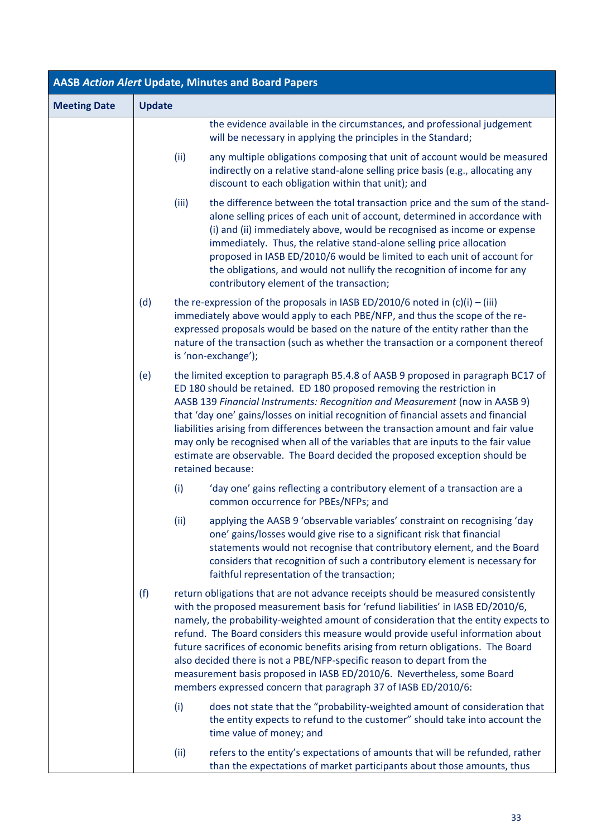| <b>AASB Action Alert Update, Minutes and Board Papers</b> |               |       |                                                                                                                                                                                                                                                                                                                                                                                                                                                                                                                                                                                                                                                          |  |
|-----------------------------------------------------------|---------------|-------|----------------------------------------------------------------------------------------------------------------------------------------------------------------------------------------------------------------------------------------------------------------------------------------------------------------------------------------------------------------------------------------------------------------------------------------------------------------------------------------------------------------------------------------------------------------------------------------------------------------------------------------------------------|--|
| <b>Meeting Date</b>                                       | <b>Update</b> |       |                                                                                                                                                                                                                                                                                                                                                                                                                                                                                                                                                                                                                                                          |  |
|                                                           |               |       | the evidence available in the circumstances, and professional judgement<br>will be necessary in applying the principles in the Standard;                                                                                                                                                                                                                                                                                                                                                                                                                                                                                                                 |  |
|                                                           |               | (ii)  | any multiple obligations composing that unit of account would be measured<br>indirectly on a relative stand-alone selling price basis (e.g., allocating any<br>discount to each obligation within that unit); and                                                                                                                                                                                                                                                                                                                                                                                                                                        |  |
|                                                           |               | (iii) | the difference between the total transaction price and the sum of the stand-<br>alone selling prices of each unit of account, determined in accordance with<br>(i) and (ii) immediately above, would be recognised as income or expense<br>immediately. Thus, the relative stand-alone selling price allocation<br>proposed in IASB ED/2010/6 would be limited to each unit of account for<br>the obligations, and would not nullify the recognition of income for any<br>contributory element of the transaction;                                                                                                                                       |  |
|                                                           | (d)           |       | the re-expression of the proposals in IASB ED/2010/6 noted in $(c)(i) - (iii)$<br>immediately above would apply to each PBE/NFP, and thus the scope of the re-<br>expressed proposals would be based on the nature of the entity rather than the<br>nature of the transaction (such as whether the transaction or a component thereof<br>is 'non-exchange');                                                                                                                                                                                                                                                                                             |  |
|                                                           | (e)           |       | the limited exception to paragraph B5.4.8 of AASB 9 proposed in paragraph BC17 of<br>ED 180 should be retained. ED 180 proposed removing the restriction in<br>AASB 139 Financial Instruments: Recognition and Measurement (now in AASB 9)<br>that 'day one' gains/losses on initial recognition of financial assets and financial<br>liabilities arising from differences between the transaction amount and fair value<br>may only be recognised when all of the variables that are inputs to the fair value<br>estimate are observable. The Board decided the proposed exception should be<br>retained because:                                       |  |
|                                                           |               | (i)   | 'day one' gains reflecting a contributory element of a transaction are a<br>common occurrence for PBEs/NFPs; and                                                                                                                                                                                                                                                                                                                                                                                                                                                                                                                                         |  |
|                                                           |               | (ii)  | applying the AASB 9 'observable variables' constraint on recognising 'day<br>one' gains/losses would give rise to a significant risk that financial<br>statements would not recognise that contributory element, and the Board<br>considers that recognition of such a contributory element is necessary for<br>faithful representation of the transaction;                                                                                                                                                                                                                                                                                              |  |
|                                                           | (f)           |       | return obligations that are not advance receipts should be measured consistently<br>with the proposed measurement basis for 'refund liabilities' in IASB ED/2010/6,<br>namely, the probability-weighted amount of consideration that the entity expects to<br>refund. The Board considers this measure would provide useful information about<br>future sacrifices of economic benefits arising from return obligations. The Board<br>also decided there is not a PBE/NFP-specific reason to depart from the<br>measurement basis proposed in IASB ED/2010/6. Nevertheless, some Board<br>members expressed concern that paragraph 37 of IASB ED/2010/6: |  |
|                                                           |               | (i)   | does not state that the "probability-weighted amount of consideration that<br>the entity expects to refund to the customer" should take into account the<br>time value of money; and                                                                                                                                                                                                                                                                                                                                                                                                                                                                     |  |
|                                                           |               | (ii)  | refers to the entity's expectations of amounts that will be refunded, rather<br>than the expectations of market participants about those amounts, thus                                                                                                                                                                                                                                                                                                                                                                                                                                                                                                   |  |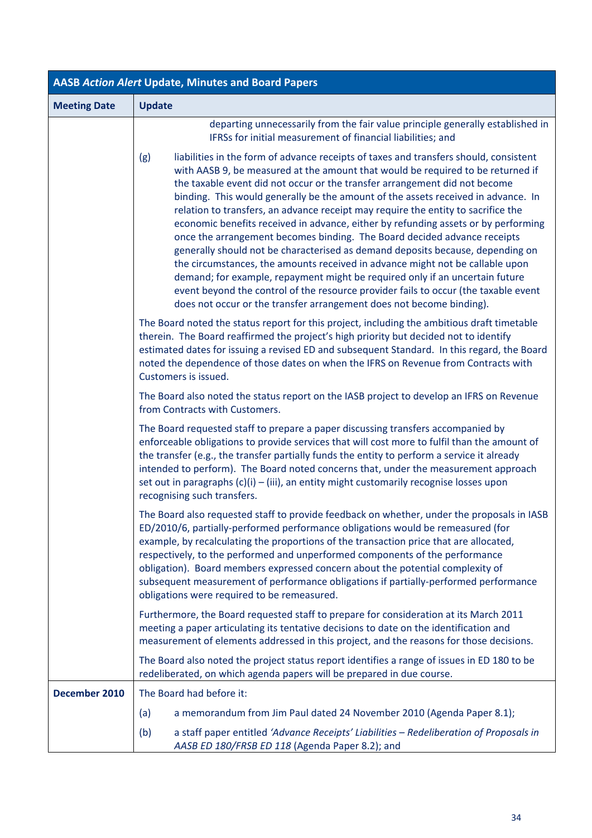| <b>AASB Action Alert Update, Minutes and Board Papers</b> |                                                                                                                                                                                                                                                                                                                                                                                                                                                                                                                                                                                                                                                                                                                                                                                                                                                                                                                                                                                                                             |  |  |  |
|-----------------------------------------------------------|-----------------------------------------------------------------------------------------------------------------------------------------------------------------------------------------------------------------------------------------------------------------------------------------------------------------------------------------------------------------------------------------------------------------------------------------------------------------------------------------------------------------------------------------------------------------------------------------------------------------------------------------------------------------------------------------------------------------------------------------------------------------------------------------------------------------------------------------------------------------------------------------------------------------------------------------------------------------------------------------------------------------------------|--|--|--|
| <b>Meeting Date</b>                                       | <b>Update</b>                                                                                                                                                                                                                                                                                                                                                                                                                                                                                                                                                                                                                                                                                                                                                                                                                                                                                                                                                                                                               |  |  |  |
|                                                           | departing unnecessarily from the fair value principle generally established in<br>IFRSs for initial measurement of financial liabilities; and                                                                                                                                                                                                                                                                                                                                                                                                                                                                                                                                                                                                                                                                                                                                                                                                                                                                               |  |  |  |
|                                                           | liabilities in the form of advance receipts of taxes and transfers should, consistent<br>(g)<br>with AASB 9, be measured at the amount that would be required to be returned if<br>the taxable event did not occur or the transfer arrangement did not become<br>binding. This would generally be the amount of the assets received in advance. In<br>relation to transfers, an advance receipt may require the entity to sacrifice the<br>economic benefits received in advance, either by refunding assets or by performing<br>once the arrangement becomes binding. The Board decided advance receipts<br>generally should not be characterised as demand deposits because, depending on<br>the circumstances, the amounts received in advance might not be callable upon<br>demand; for example, repayment might be required only if an uncertain future<br>event beyond the control of the resource provider fails to occur (the taxable event<br>does not occur or the transfer arrangement does not become binding). |  |  |  |
|                                                           | The Board noted the status report for this project, including the ambitious draft timetable<br>therein. The Board reaffirmed the project's high priority but decided not to identify<br>estimated dates for issuing a revised ED and subsequent Standard. In this regard, the Board<br>noted the dependence of those dates on when the IFRS on Revenue from Contracts with<br>Customers is issued.                                                                                                                                                                                                                                                                                                                                                                                                                                                                                                                                                                                                                          |  |  |  |
|                                                           | The Board also noted the status report on the IASB project to develop an IFRS on Revenue<br>from Contracts with Customers.                                                                                                                                                                                                                                                                                                                                                                                                                                                                                                                                                                                                                                                                                                                                                                                                                                                                                                  |  |  |  |
|                                                           | The Board requested staff to prepare a paper discussing transfers accompanied by<br>enforceable obligations to provide services that will cost more to fulfil than the amount of<br>the transfer (e.g., the transfer partially funds the entity to perform a service it already<br>intended to perform). The Board noted concerns that, under the measurement approach<br>set out in paragraphs $(c)(i) - (iii)$ , an entity might customarily recognise losses upon<br>recognising such transfers.                                                                                                                                                                                                                                                                                                                                                                                                                                                                                                                         |  |  |  |
|                                                           | The Board also requested staff to provide feedback on whether, under the proposals in IASB<br>ED/2010/6, partially-performed performance obligations would be remeasured (for<br>example, by recalculating the proportions of the transaction price that are allocated,<br>respectively, to the performed and unperformed components of the performance<br>obligation). Board members expressed concern about the potential complexity of<br>subsequent measurement of performance obligations if partially-performed performance<br>obligations were required to be remeasured.                                                                                                                                                                                                                                                                                                                                                                                                                                            |  |  |  |
|                                                           | Furthermore, the Board requested staff to prepare for consideration at its March 2011<br>meeting a paper articulating its tentative decisions to date on the identification and<br>measurement of elements addressed in this project, and the reasons for those decisions.                                                                                                                                                                                                                                                                                                                                                                                                                                                                                                                                                                                                                                                                                                                                                  |  |  |  |
|                                                           | The Board also noted the project status report identifies a range of issues in ED 180 to be<br>redeliberated, on which agenda papers will be prepared in due course.                                                                                                                                                                                                                                                                                                                                                                                                                                                                                                                                                                                                                                                                                                                                                                                                                                                        |  |  |  |
| December 2010                                             | The Board had before it:                                                                                                                                                                                                                                                                                                                                                                                                                                                                                                                                                                                                                                                                                                                                                                                                                                                                                                                                                                                                    |  |  |  |
|                                                           | a memorandum from Jim Paul dated 24 November 2010 (Agenda Paper 8.1);<br>(a)                                                                                                                                                                                                                                                                                                                                                                                                                                                                                                                                                                                                                                                                                                                                                                                                                                                                                                                                                |  |  |  |
|                                                           | (b)<br>a staff paper entitled 'Advance Receipts' Liabilities - Redeliberation of Proposals in<br>AASB ED 180/FRSB ED 118 (Agenda Paper 8.2); and                                                                                                                                                                                                                                                                                                                                                                                                                                                                                                                                                                                                                                                                                                                                                                                                                                                                            |  |  |  |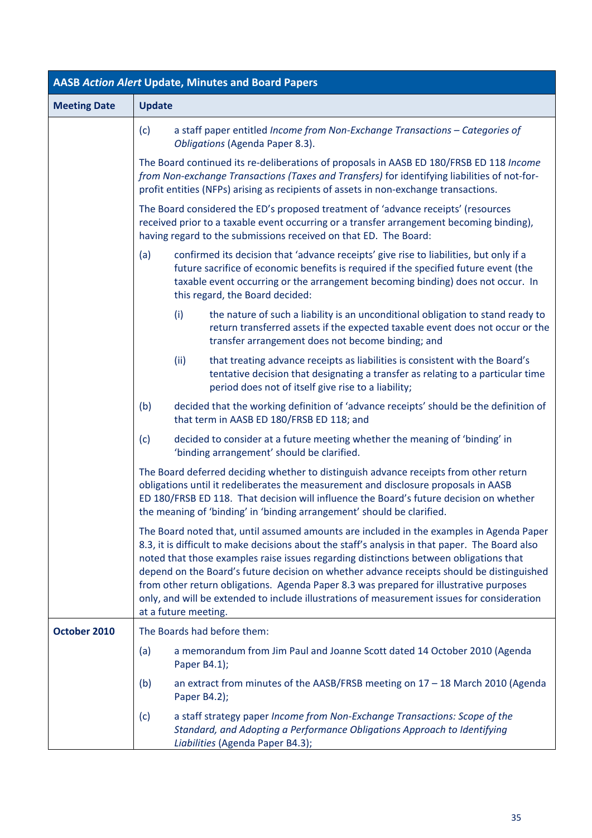| <b>AASB Action Alert Update, Minutes and Board Papers</b> |                                                                                                                                                                                                                                                                                                                                                                                                                                                                                                                                                                                                                                                                |  |  |  |
|-----------------------------------------------------------|----------------------------------------------------------------------------------------------------------------------------------------------------------------------------------------------------------------------------------------------------------------------------------------------------------------------------------------------------------------------------------------------------------------------------------------------------------------------------------------------------------------------------------------------------------------------------------------------------------------------------------------------------------------|--|--|--|
| <b>Meeting Date</b>                                       | <b>Update</b>                                                                                                                                                                                                                                                                                                                                                                                                                                                                                                                                                                                                                                                  |  |  |  |
|                                                           | a staff paper entitled Income from Non-Exchange Transactions - Categories of<br>(c)<br>Obligations (Agenda Paper 8.3).<br>The Board continued its re-deliberations of proposals in AASB ED 180/FRSB ED 118 Income<br>from Non-exchange Transactions (Taxes and Transfers) for identifying liabilities of not-for-<br>profit entities (NFPs) arising as recipients of assets in non-exchange transactions.<br>The Board considered the ED's proposed treatment of 'advance receipts' (resources<br>received prior to a taxable event occurring or a transfer arrangement becoming binding),<br>having regard to the submissions received on that ED. The Board: |  |  |  |
|                                                           |                                                                                                                                                                                                                                                                                                                                                                                                                                                                                                                                                                                                                                                                |  |  |  |
|                                                           |                                                                                                                                                                                                                                                                                                                                                                                                                                                                                                                                                                                                                                                                |  |  |  |
|                                                           | confirmed its decision that 'advance receipts' give rise to liabilities, but only if a<br>(a)<br>future sacrifice of economic benefits is required if the specified future event (the<br>taxable event occurring or the arrangement becoming binding) does not occur. In<br>this regard, the Board decided:                                                                                                                                                                                                                                                                                                                                                    |  |  |  |
|                                                           | (i)<br>the nature of such a liability is an unconditional obligation to stand ready to<br>return transferred assets if the expected taxable event does not occur or the<br>transfer arrangement does not become binding; and                                                                                                                                                                                                                                                                                                                                                                                                                                   |  |  |  |
|                                                           | (ii)<br>that treating advance receipts as liabilities is consistent with the Board's<br>tentative decision that designating a transfer as relating to a particular time<br>period does not of itself give rise to a liability;                                                                                                                                                                                                                                                                                                                                                                                                                                 |  |  |  |
|                                                           | decided that the working definition of 'advance receipts' should be the definition of<br>(b)<br>that term in AASB ED 180/FRSB ED 118; and                                                                                                                                                                                                                                                                                                                                                                                                                                                                                                                      |  |  |  |
|                                                           | decided to consider at a future meeting whether the meaning of 'binding' in<br>(c)<br>'binding arrangement' should be clarified.                                                                                                                                                                                                                                                                                                                                                                                                                                                                                                                               |  |  |  |
|                                                           | The Board deferred deciding whether to distinguish advance receipts from other return<br>obligations until it redeliberates the measurement and disclosure proposals in AASB<br>ED 180/FRSB ED 118. That decision will influence the Board's future decision on whether<br>the meaning of 'binding' in 'binding arrangement' should be clarified.                                                                                                                                                                                                                                                                                                              |  |  |  |
|                                                           | The Board noted that, until assumed amounts are included in the examples in Agenda Paper<br>8.3, it is difficult to make decisions about the staff's analysis in that paper. The Board also<br>noted that those examples raise issues regarding distinctions between obligations that<br>depend on the Board's future decision on whether advance receipts should be distinguished<br>from other return obligations. Agenda Paper 8.3 was prepared for illustrative purposes<br>only, and will be extended to include illustrations of measurement issues for consideration<br>at a future meeting.                                                            |  |  |  |
| October 2010                                              | The Boards had before them:                                                                                                                                                                                                                                                                                                                                                                                                                                                                                                                                                                                                                                    |  |  |  |
|                                                           | a memorandum from Jim Paul and Joanne Scott dated 14 October 2010 (Agenda<br>(a)<br>Paper B4.1);                                                                                                                                                                                                                                                                                                                                                                                                                                                                                                                                                               |  |  |  |
|                                                           | (b)<br>an extract from minutes of the AASB/FRSB meeting on $17 - 18$ March 2010 (Agenda<br>Paper B4.2);                                                                                                                                                                                                                                                                                                                                                                                                                                                                                                                                                        |  |  |  |
|                                                           | a staff strategy paper Income from Non-Exchange Transactions: Scope of the<br>(c)<br>Standard, and Adopting a Performance Obligations Approach to Identifying<br>Liabilities (Agenda Paper B4.3);                                                                                                                                                                                                                                                                                                                                                                                                                                                              |  |  |  |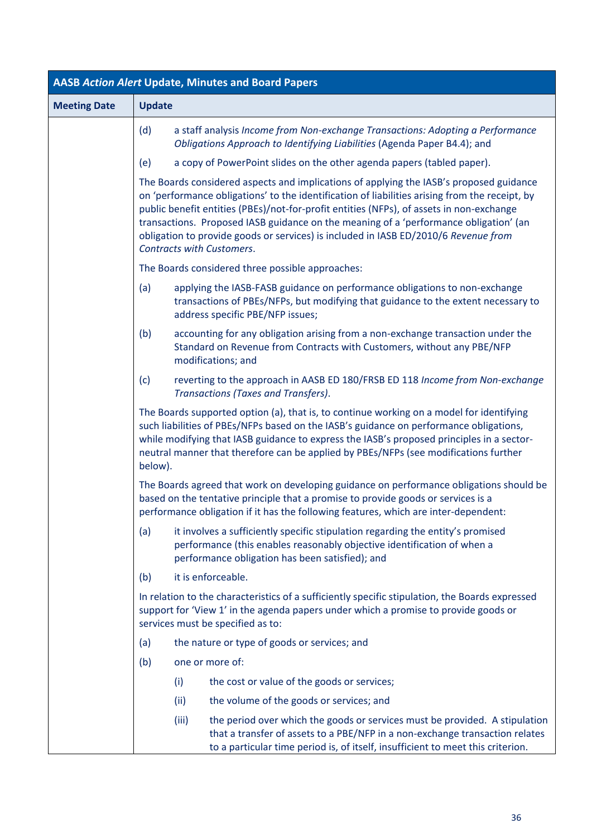| <b>AASB Action Alert Update, Minutes and Board Papers</b> |                                                                                                                                                                                                                             |                                                                                                                                                                                                                                                                                                                                                                                                                                                                                                    |                                                                                                                                                                                                                                                                                                                                                                         |  |  |
|-----------------------------------------------------------|-----------------------------------------------------------------------------------------------------------------------------------------------------------------------------------------------------------------------------|----------------------------------------------------------------------------------------------------------------------------------------------------------------------------------------------------------------------------------------------------------------------------------------------------------------------------------------------------------------------------------------------------------------------------------------------------------------------------------------------------|-------------------------------------------------------------------------------------------------------------------------------------------------------------------------------------------------------------------------------------------------------------------------------------------------------------------------------------------------------------------------|--|--|
| <b>Meeting Date</b>                                       | <b>Update</b>                                                                                                                                                                                                               |                                                                                                                                                                                                                                                                                                                                                                                                                                                                                                    |                                                                                                                                                                                                                                                                                                                                                                         |  |  |
|                                                           | (d)                                                                                                                                                                                                                         |                                                                                                                                                                                                                                                                                                                                                                                                                                                                                                    | a staff analysis Income from Non-exchange Transactions: Adopting a Performance<br>Obligations Approach to Identifying Liabilities (Agenda Paper B4.4); and                                                                                                                                                                                                              |  |  |
|                                                           | (e)                                                                                                                                                                                                                         |                                                                                                                                                                                                                                                                                                                                                                                                                                                                                                    | a copy of PowerPoint slides on the other agenda papers (tabled paper).                                                                                                                                                                                                                                                                                                  |  |  |
|                                                           |                                                                                                                                                                                                                             | The Boards considered aspects and implications of applying the IASB's proposed guidance<br>on 'performance obligations' to the identification of liabilities arising from the receipt, by<br>public benefit entities (PBEs)/not-for-profit entities (NFPs), of assets in non-exchange<br>transactions. Proposed IASB guidance on the meaning of a 'performance obligation' (an<br>obligation to provide goods or services) is included in IASB ED/2010/6 Revenue from<br>Contracts with Customers. |                                                                                                                                                                                                                                                                                                                                                                         |  |  |
|                                                           |                                                                                                                                                                                                                             |                                                                                                                                                                                                                                                                                                                                                                                                                                                                                                    | The Boards considered three possible approaches:                                                                                                                                                                                                                                                                                                                        |  |  |
|                                                           | (a)                                                                                                                                                                                                                         |                                                                                                                                                                                                                                                                                                                                                                                                                                                                                                    | applying the IASB-FASB guidance on performance obligations to non-exchange<br>transactions of PBEs/NFPs, but modifying that guidance to the extent necessary to<br>address specific PBE/NFP issues;                                                                                                                                                                     |  |  |
|                                                           | (b)                                                                                                                                                                                                                         |                                                                                                                                                                                                                                                                                                                                                                                                                                                                                                    | accounting for any obligation arising from a non-exchange transaction under the<br>Standard on Revenue from Contracts with Customers, without any PBE/NFP<br>modifications; and                                                                                                                                                                                         |  |  |
|                                                           | (c)                                                                                                                                                                                                                         |                                                                                                                                                                                                                                                                                                                                                                                                                                                                                                    | reverting to the approach in AASB ED 180/FRSB ED 118 Income from Non-exchange<br>Transactions (Taxes and Transfers).                                                                                                                                                                                                                                                    |  |  |
|                                                           | below).                                                                                                                                                                                                                     |                                                                                                                                                                                                                                                                                                                                                                                                                                                                                                    | The Boards supported option (a), that is, to continue working on a model for identifying<br>such liabilities of PBEs/NFPs based on the IASB's guidance on performance obligations,<br>while modifying that IASB guidance to express the IASB's proposed principles in a sector-<br>neutral manner that therefore can be applied by PBEs/NFPs (see modifications further |  |  |
|                                                           |                                                                                                                                                                                                                             |                                                                                                                                                                                                                                                                                                                                                                                                                                                                                                    | The Boards agreed that work on developing guidance on performance obligations should be<br>based on the tentative principle that a promise to provide goods or services is a<br>performance obligation if it has the following features, which are inter-dependent:                                                                                                     |  |  |
|                                                           | (a)                                                                                                                                                                                                                         |                                                                                                                                                                                                                                                                                                                                                                                                                                                                                                    | it involves a sufficiently specific stipulation regarding the entity's promised<br>performance (this enables reasonably objective identification of when a<br>performance obligation has been satisfied); and                                                                                                                                                           |  |  |
|                                                           | (b)                                                                                                                                                                                                                         |                                                                                                                                                                                                                                                                                                                                                                                                                                                                                                    | it is enforceable.                                                                                                                                                                                                                                                                                                                                                      |  |  |
|                                                           | In relation to the characteristics of a sufficiently specific stipulation, the Boards expressed<br>support for 'View 1' in the agenda papers under which a promise to provide goods or<br>services must be specified as to: |                                                                                                                                                                                                                                                                                                                                                                                                                                                                                                    |                                                                                                                                                                                                                                                                                                                                                                         |  |  |
|                                                           | (a)                                                                                                                                                                                                                         |                                                                                                                                                                                                                                                                                                                                                                                                                                                                                                    | the nature or type of goods or services; and                                                                                                                                                                                                                                                                                                                            |  |  |
|                                                           | (b)                                                                                                                                                                                                                         |                                                                                                                                                                                                                                                                                                                                                                                                                                                                                                    | one or more of:                                                                                                                                                                                                                                                                                                                                                         |  |  |
|                                                           |                                                                                                                                                                                                                             | (i)                                                                                                                                                                                                                                                                                                                                                                                                                                                                                                | the cost or value of the goods or services;                                                                                                                                                                                                                                                                                                                             |  |  |
|                                                           |                                                                                                                                                                                                                             | (ii)                                                                                                                                                                                                                                                                                                                                                                                                                                                                                               | the volume of the goods or services; and                                                                                                                                                                                                                                                                                                                                |  |  |
|                                                           |                                                                                                                                                                                                                             | (iii)                                                                                                                                                                                                                                                                                                                                                                                                                                                                                              | the period over which the goods or services must be provided. A stipulation<br>that a transfer of assets to a PBE/NFP in a non-exchange transaction relates<br>to a particular time period is, of itself, insufficient to meet this criterion.                                                                                                                          |  |  |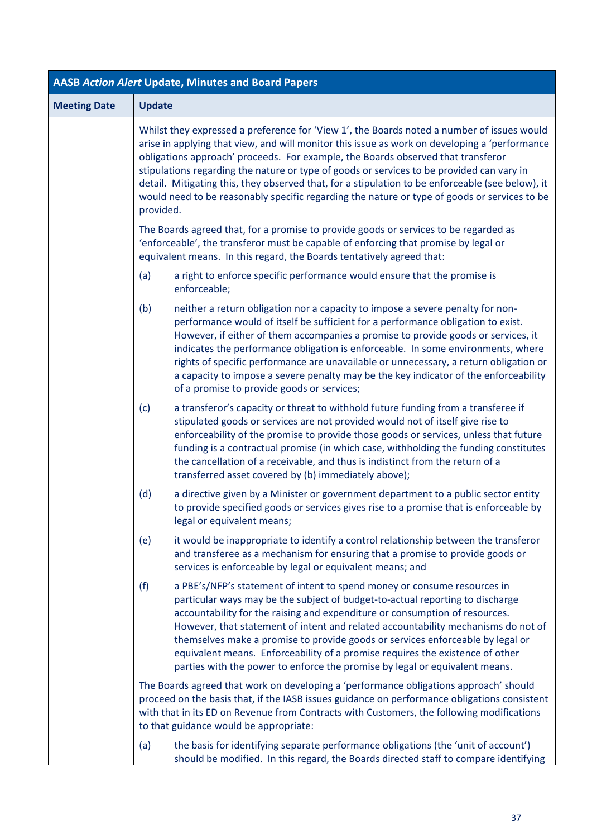| <b>AASB Action Alert Update, Minutes and Board Papers</b> |                                                                                                                                                                                                                                                                                                                                                                                                                                                                                                                                                                                               |  |  |
|-----------------------------------------------------------|-----------------------------------------------------------------------------------------------------------------------------------------------------------------------------------------------------------------------------------------------------------------------------------------------------------------------------------------------------------------------------------------------------------------------------------------------------------------------------------------------------------------------------------------------------------------------------------------------|--|--|
| <b>Meeting Date</b>                                       | <b>Update</b>                                                                                                                                                                                                                                                                                                                                                                                                                                                                                                                                                                                 |  |  |
|                                                           | Whilst they expressed a preference for 'View 1', the Boards noted a number of issues would<br>arise in applying that view, and will monitor this issue as work on developing a 'performance<br>obligations approach' proceeds. For example, the Boards observed that transferor<br>stipulations regarding the nature or type of goods or services to be provided can vary in<br>detail. Mitigating this, they observed that, for a stipulation to be enforceable (see below), it<br>would need to be reasonably specific regarding the nature or type of goods or services to be<br>provided. |  |  |
|                                                           | The Boards agreed that, for a promise to provide goods or services to be regarded as<br>'enforceable', the transferor must be capable of enforcing that promise by legal or<br>equivalent means. In this regard, the Boards tentatively agreed that:                                                                                                                                                                                                                                                                                                                                          |  |  |
|                                                           | a right to enforce specific performance would ensure that the promise is<br>(a)<br>enforceable;                                                                                                                                                                                                                                                                                                                                                                                                                                                                                               |  |  |
|                                                           | (b)<br>neither a return obligation nor a capacity to impose a severe penalty for non-<br>performance would of itself be sufficient for a performance obligation to exist.<br>However, if either of them accompanies a promise to provide goods or services, it<br>indicates the performance obligation is enforceable. In some environments, where<br>rights of specific performance are unavailable or unnecessary, a return obligation or<br>a capacity to impose a severe penalty may be the key indicator of the enforceability<br>of a promise to provide goods or services;             |  |  |
|                                                           | (c)<br>a transferor's capacity or threat to withhold future funding from a transferee if<br>stipulated goods or services are not provided would not of itself give rise to<br>enforceability of the promise to provide those goods or services, unless that future<br>funding is a contractual promise (in which case, withholding the funding constitutes<br>the cancellation of a receivable, and thus is indistinct from the return of a<br>transferred asset covered by (b) immediately above);                                                                                           |  |  |
|                                                           | (d)<br>a directive given by a Minister or government department to a public sector entity<br>to provide specified goods or services gives rise to a promise that is enforceable by<br>legal or equivalent means;                                                                                                                                                                                                                                                                                                                                                                              |  |  |
|                                                           | it would be inappropriate to identify a control relationship between the transferor<br>(e)<br>and transferee as a mechanism for ensuring that a promise to provide goods or<br>services is enforceable by legal or equivalent means; and                                                                                                                                                                                                                                                                                                                                                      |  |  |
|                                                           | a PBE's/NFP's statement of intent to spend money or consume resources in<br>(f)<br>particular ways may be the subject of budget-to-actual reporting to discharge<br>accountability for the raising and expenditure or consumption of resources.<br>However, that statement of intent and related accountability mechanisms do not of<br>themselves make a promise to provide goods or services enforceable by legal or<br>equivalent means. Enforceability of a promise requires the existence of other<br>parties with the power to enforce the promise by legal or equivalent means.        |  |  |
|                                                           | The Boards agreed that work on developing a 'performance obligations approach' should<br>proceed on the basis that, if the IASB issues guidance on performance obligations consistent<br>with that in its ED on Revenue from Contracts with Customers, the following modifications<br>to that guidance would be appropriate:                                                                                                                                                                                                                                                                  |  |  |
|                                                           | the basis for identifying separate performance obligations (the 'unit of account')<br>(a)<br>should be modified. In this regard, the Boards directed staff to compare identifying                                                                                                                                                                                                                                                                                                                                                                                                             |  |  |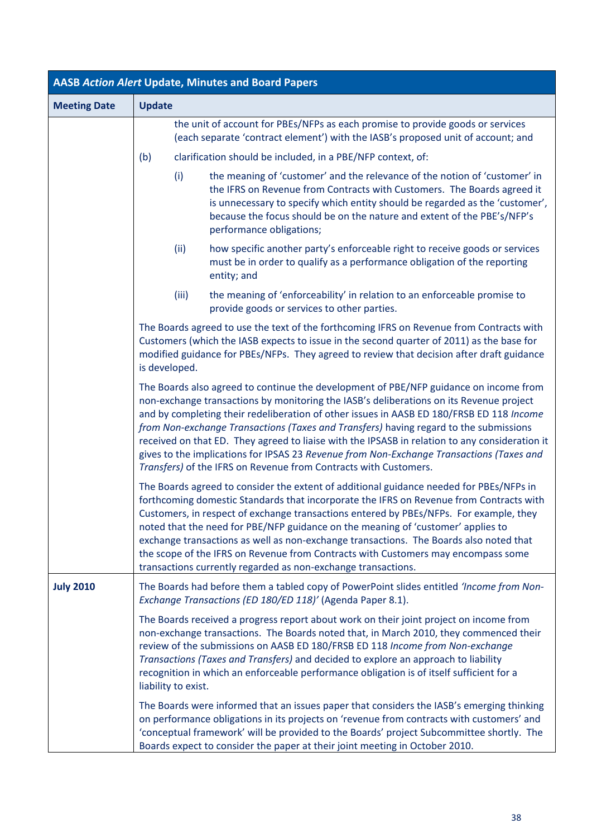| <b>AASB Action Alert Update, Minutes and Board Papers</b> |                                                                                                                                                                                                                                                                                                                                                                                                                                                                                                                                                                                                                                         |  |
|-----------------------------------------------------------|-----------------------------------------------------------------------------------------------------------------------------------------------------------------------------------------------------------------------------------------------------------------------------------------------------------------------------------------------------------------------------------------------------------------------------------------------------------------------------------------------------------------------------------------------------------------------------------------------------------------------------------------|--|
| <b>Meeting Date</b>                                       | <b>Update</b>                                                                                                                                                                                                                                                                                                                                                                                                                                                                                                                                                                                                                           |  |
|                                                           | the unit of account for PBEs/NFPs as each promise to provide goods or services<br>(each separate 'contract element') with the IASB's proposed unit of account; and                                                                                                                                                                                                                                                                                                                                                                                                                                                                      |  |
|                                                           | (b)<br>clarification should be included, in a PBE/NFP context, of:                                                                                                                                                                                                                                                                                                                                                                                                                                                                                                                                                                      |  |
|                                                           | the meaning of 'customer' and the relevance of the notion of 'customer' in<br>(i)<br>the IFRS on Revenue from Contracts with Customers. The Boards agreed it<br>is unnecessary to specify which entity should be regarded as the 'customer',<br>because the focus should be on the nature and extent of the PBE's/NFP's<br>performance obligations;                                                                                                                                                                                                                                                                                     |  |
|                                                           | (ii)<br>how specific another party's enforceable right to receive goods or services<br>must be in order to qualify as a performance obligation of the reporting<br>entity; and                                                                                                                                                                                                                                                                                                                                                                                                                                                          |  |
|                                                           | (iii)<br>the meaning of 'enforceability' in relation to an enforceable promise to<br>provide goods or services to other parties.                                                                                                                                                                                                                                                                                                                                                                                                                                                                                                        |  |
|                                                           | The Boards agreed to use the text of the forthcoming IFRS on Revenue from Contracts with<br>Customers (which the IASB expects to issue in the second quarter of 2011) as the base for<br>modified guidance for PBEs/NFPs. They agreed to review that decision after draft guidance<br>is developed.                                                                                                                                                                                                                                                                                                                                     |  |
|                                                           | The Boards also agreed to continue the development of PBE/NFP guidance on income from<br>non-exchange transactions by monitoring the IASB's deliberations on its Revenue project<br>and by completing their redeliberation of other issues in AASB ED 180/FRSB ED 118 Income<br>from Non-exchange Transactions (Taxes and Transfers) having regard to the submissions<br>received on that ED. They agreed to liaise with the IPSASB in relation to any consideration it<br>gives to the implications for IPSAS 23 Revenue from Non-Exchange Transactions (Taxes and<br>Transfers) of the IFRS on Revenue from Contracts with Customers. |  |
|                                                           | The Boards agreed to consider the extent of additional guidance needed for PBEs/NFPs in<br>forthcoming domestic Standards that incorporate the IFRS on Revenue from Contracts with<br>Customers, in respect of exchange transactions entered by PBEs/NFPs. For example, they<br>noted that the need for PBE/NFP guidance on the meaning of 'customer' applies to<br>exchange transactions as well as non-exchange transactions. The Boards also noted that<br>the scope of the IFRS on Revenue from Contracts with Customers may encompass some<br>transactions currently regarded as non-exchange transactions.                        |  |
| <b>July 2010</b>                                          | The Boards had before them a tabled copy of PowerPoint slides entitled 'Income from Non-<br>Exchange Transactions (ED 180/ED 118)' (Agenda Paper 8.1).                                                                                                                                                                                                                                                                                                                                                                                                                                                                                  |  |
|                                                           | The Boards received a progress report about work on their joint project on income from<br>non-exchange transactions. The Boards noted that, in March 2010, they commenced their<br>review of the submissions on AASB ED 180/FRSB ED 118 Income from Non-exchange<br>Transactions (Taxes and Transfers) and decided to explore an approach to liability<br>recognition in which an enforceable performance obligation is of itself sufficient for a<br>liability to exist.                                                                                                                                                               |  |
|                                                           | The Boards were informed that an issues paper that considers the IASB's emerging thinking<br>on performance obligations in its projects on 'revenue from contracts with customers' and<br>'conceptual framework' will be provided to the Boards' project Subcommittee shortly. The<br>Boards expect to consider the paper at their joint meeting in October 2010.                                                                                                                                                                                                                                                                       |  |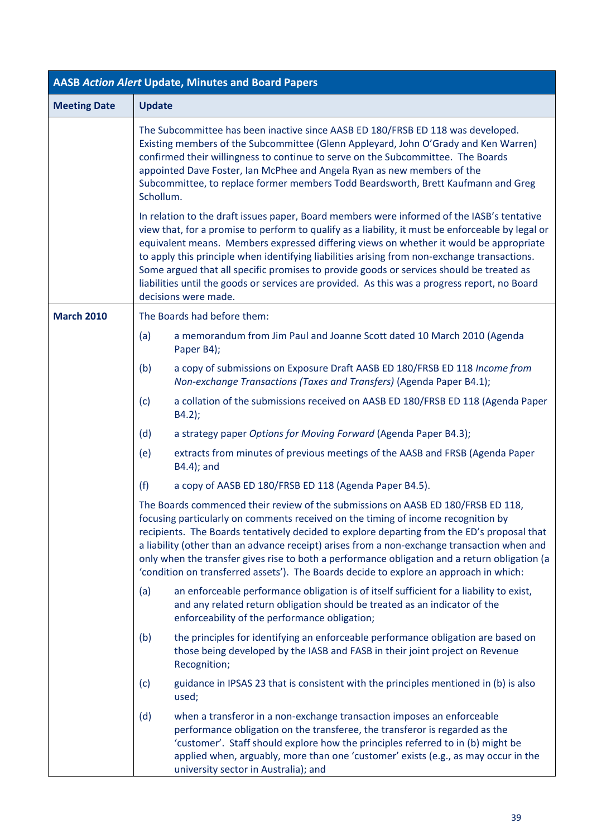| <b>AASB Action Alert Update, Minutes and Board Papers</b> |               |                                                                                                                                                                                                                                                                                                                                                                                                                                                                                                                                                                                                                |  |
|-----------------------------------------------------------|---------------|----------------------------------------------------------------------------------------------------------------------------------------------------------------------------------------------------------------------------------------------------------------------------------------------------------------------------------------------------------------------------------------------------------------------------------------------------------------------------------------------------------------------------------------------------------------------------------------------------------------|--|
| <b>Meeting Date</b>                                       | <b>Update</b> |                                                                                                                                                                                                                                                                                                                                                                                                                                                                                                                                                                                                                |  |
|                                                           | Schollum.     | The Subcommittee has been inactive since AASB ED 180/FRSB ED 118 was developed.<br>Existing members of the Subcommittee (Glenn Appleyard, John O'Grady and Ken Warren)<br>confirmed their willingness to continue to serve on the Subcommittee. The Boards<br>appointed Dave Foster, Ian McPhee and Angela Ryan as new members of the<br>Subcommittee, to replace former members Todd Beardsworth, Brett Kaufmann and Greg                                                                                                                                                                                     |  |
|                                                           |               | In relation to the draft issues paper, Board members were informed of the IASB's tentative<br>view that, for a promise to perform to qualify as a liability, it must be enforceable by legal or<br>equivalent means. Members expressed differing views on whether it would be appropriate<br>to apply this principle when identifying liabilities arising from non-exchange transactions.<br>Some argued that all specific promises to provide goods or services should be treated as<br>liabilities until the goods or services are provided. As this was a progress report, no Board<br>decisions were made. |  |
| <b>March 2010</b>                                         |               | The Boards had before them:                                                                                                                                                                                                                                                                                                                                                                                                                                                                                                                                                                                    |  |
|                                                           | (a)           | a memorandum from Jim Paul and Joanne Scott dated 10 March 2010 (Agenda<br>Paper B4);                                                                                                                                                                                                                                                                                                                                                                                                                                                                                                                          |  |
|                                                           | (b)           | a copy of submissions on Exposure Draft AASB ED 180/FRSB ED 118 Income from<br>Non-exchange Transactions (Taxes and Transfers) (Agenda Paper B4.1);                                                                                                                                                                                                                                                                                                                                                                                                                                                            |  |
|                                                           | (c)           | a collation of the submissions received on AASB ED 180/FRSB ED 118 (Agenda Paper<br>B4.2);                                                                                                                                                                                                                                                                                                                                                                                                                                                                                                                     |  |
|                                                           | (d)           | a strategy paper Options for Moving Forward (Agenda Paper B4.3);                                                                                                                                                                                                                                                                                                                                                                                                                                                                                                                                               |  |
|                                                           | (e)           | extracts from minutes of previous meetings of the AASB and FRSB (Agenda Paper<br>B4.4); and                                                                                                                                                                                                                                                                                                                                                                                                                                                                                                                    |  |
|                                                           | (f)           | a copy of AASB ED 180/FRSB ED 118 (Agenda Paper B4.5).                                                                                                                                                                                                                                                                                                                                                                                                                                                                                                                                                         |  |
|                                                           |               | The Boards commenced their review of the submissions on AASB ED 180/FRSB ED 118,<br>focusing particularly on comments received on the timing of income recognition by<br>recipients. The Boards tentatively decided to explore departing from the ED's proposal that<br>a liability (other than an advance receipt) arises from a non-exchange transaction when and<br>only when the transfer gives rise to both a performance obligation and a return obligation (a<br>'condition on transferred assets'). The Boards decide to explore an approach in which:                                                 |  |
|                                                           | (a)           | an enforceable performance obligation is of itself sufficient for a liability to exist,<br>and any related return obligation should be treated as an indicator of the<br>enforceability of the performance obligation;                                                                                                                                                                                                                                                                                                                                                                                         |  |
|                                                           | (b)           | the principles for identifying an enforceable performance obligation are based on<br>those being developed by the IASB and FASB in their joint project on Revenue<br>Recognition;                                                                                                                                                                                                                                                                                                                                                                                                                              |  |
|                                                           | (c)           | guidance in IPSAS 23 that is consistent with the principles mentioned in (b) is also<br>used;                                                                                                                                                                                                                                                                                                                                                                                                                                                                                                                  |  |
|                                                           | (d)           | when a transferor in a non-exchange transaction imposes an enforceable<br>performance obligation on the transferee, the transferor is regarded as the<br>'customer'. Staff should explore how the principles referred to in (b) might be<br>applied when, arguably, more than one 'customer' exists (e.g., as may occur in the<br>university sector in Australia); and                                                                                                                                                                                                                                         |  |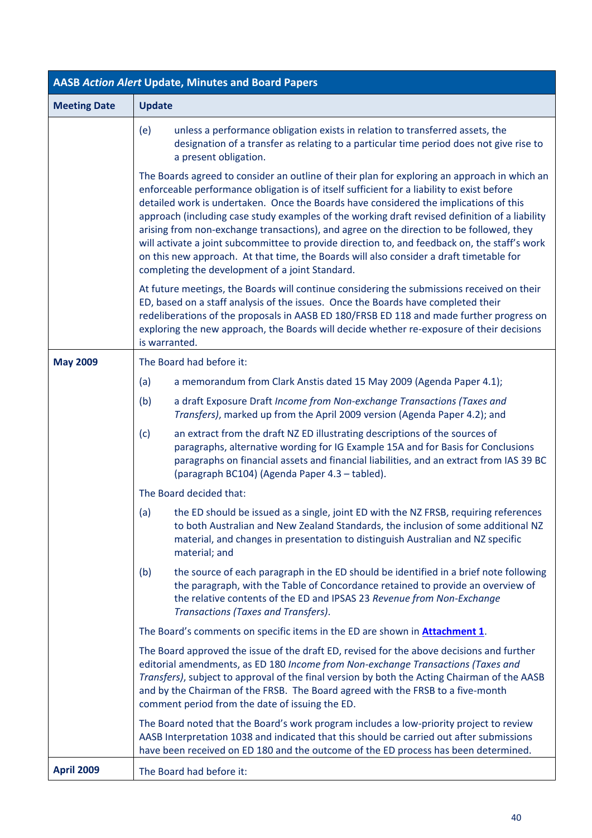| <b>AASB Action Alert Update, Minutes and Board Papers</b> |                                                                                                                                                                                                                                                                                                                                                                                                                                                                                                                                                                                                                                                                                                                                  |  |  |
|-----------------------------------------------------------|----------------------------------------------------------------------------------------------------------------------------------------------------------------------------------------------------------------------------------------------------------------------------------------------------------------------------------------------------------------------------------------------------------------------------------------------------------------------------------------------------------------------------------------------------------------------------------------------------------------------------------------------------------------------------------------------------------------------------------|--|--|
| <b>Meeting Date</b>                                       | <b>Update</b>                                                                                                                                                                                                                                                                                                                                                                                                                                                                                                                                                                                                                                                                                                                    |  |  |
|                                                           | unless a performance obligation exists in relation to transferred assets, the<br>(e)<br>designation of a transfer as relating to a particular time period does not give rise to<br>a present obligation.                                                                                                                                                                                                                                                                                                                                                                                                                                                                                                                         |  |  |
|                                                           | The Boards agreed to consider an outline of their plan for exploring an approach in which an<br>enforceable performance obligation is of itself sufficient for a liability to exist before<br>detailed work is undertaken. Once the Boards have considered the implications of this<br>approach (including case study examples of the working draft revised definition of a liability<br>arising from non-exchange transactions), and agree on the direction to be followed, they<br>will activate a joint subcommittee to provide direction to, and feedback on, the staff's work<br>on this new approach. At that time, the Boards will also consider a draft timetable for<br>completing the development of a joint Standard. |  |  |
|                                                           | At future meetings, the Boards will continue considering the submissions received on their<br>ED, based on a staff analysis of the issues. Once the Boards have completed their<br>redeliberations of the proposals in AASB ED 180/FRSB ED 118 and made further progress on<br>exploring the new approach, the Boards will decide whether re-exposure of their decisions<br>is warranted.                                                                                                                                                                                                                                                                                                                                        |  |  |
| <b>May 2009</b>                                           | The Board had before it:                                                                                                                                                                                                                                                                                                                                                                                                                                                                                                                                                                                                                                                                                                         |  |  |
|                                                           | (a)<br>a memorandum from Clark Anstis dated 15 May 2009 (Agenda Paper 4.1);                                                                                                                                                                                                                                                                                                                                                                                                                                                                                                                                                                                                                                                      |  |  |
|                                                           | a draft Exposure Draft Income from Non-exchange Transactions (Taxes and<br>(b)<br>Transfers), marked up from the April 2009 version (Agenda Paper 4.2); and                                                                                                                                                                                                                                                                                                                                                                                                                                                                                                                                                                      |  |  |
|                                                           | (c)<br>an extract from the draft NZ ED illustrating descriptions of the sources of<br>paragraphs, alternative wording for IG Example 15A and for Basis for Conclusions<br>paragraphs on financial assets and financial liabilities, and an extract from IAS 39 BC<br>(paragraph BC104) (Agenda Paper 4.3 - tabled).                                                                                                                                                                                                                                                                                                                                                                                                              |  |  |
|                                                           | The Board decided that:                                                                                                                                                                                                                                                                                                                                                                                                                                                                                                                                                                                                                                                                                                          |  |  |
|                                                           | the ED should be issued as a single, joint ED with the NZ FRSB, requiring references<br>(a)<br>to both Australian and New Zealand Standards, the inclusion of some additional NZ<br>material, and changes in presentation to distinguish Australian and NZ specific<br>material; and                                                                                                                                                                                                                                                                                                                                                                                                                                             |  |  |
|                                                           | the source of each paragraph in the ED should be identified in a brief note following<br>(b)<br>the paragraph, with the Table of Concordance retained to provide an overview of<br>the relative contents of the ED and IPSAS 23 Revenue from Non-Exchange<br>Transactions (Taxes and Transfers).                                                                                                                                                                                                                                                                                                                                                                                                                                 |  |  |
|                                                           | The Board's comments on specific items in the ED are shown in <b>Attachment 1</b> .                                                                                                                                                                                                                                                                                                                                                                                                                                                                                                                                                                                                                                              |  |  |
|                                                           | The Board approved the issue of the draft ED, revised for the above decisions and further<br>editorial amendments, as ED 180 Income from Non-exchange Transactions (Taxes and<br>Transfers), subject to approval of the final version by both the Acting Chairman of the AASB<br>and by the Chairman of the FRSB. The Board agreed with the FRSB to a five-month<br>comment period from the date of issuing the ED.                                                                                                                                                                                                                                                                                                              |  |  |
|                                                           | The Board noted that the Board's work program includes a low-priority project to review<br>AASB Interpretation 1038 and indicated that this should be carried out after submissions<br>have been received on ED 180 and the outcome of the ED process has been determined.                                                                                                                                                                                                                                                                                                                                                                                                                                                       |  |  |
| <b>April 2009</b>                                         | The Board had before it:                                                                                                                                                                                                                                                                                                                                                                                                                                                                                                                                                                                                                                                                                                         |  |  |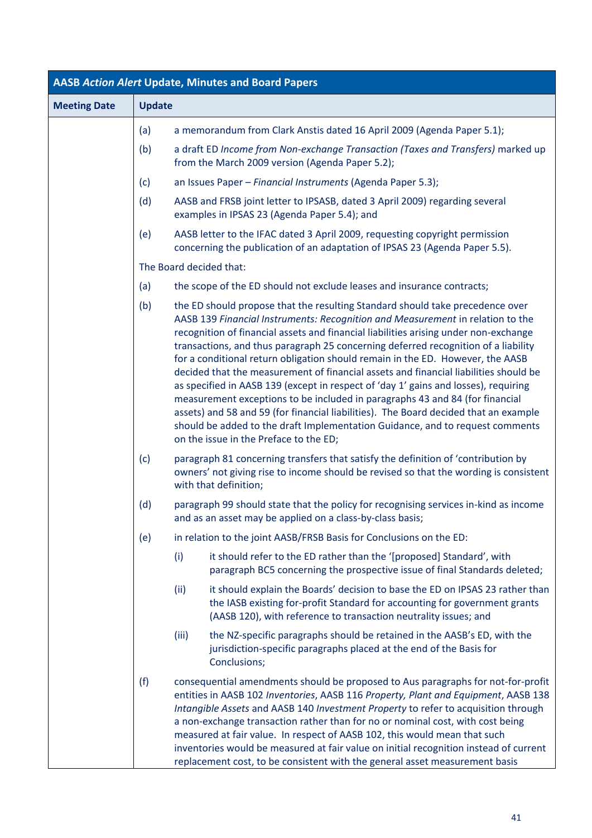| <b>AASB Action Alert Update, Minutes and Board Papers</b> |               |       |                                                                                                                                                                                                                                                                                                                                                                                                                                                                                                                                                                                                                                                                                                                                                                                                                                                                                                                   |
|-----------------------------------------------------------|---------------|-------|-------------------------------------------------------------------------------------------------------------------------------------------------------------------------------------------------------------------------------------------------------------------------------------------------------------------------------------------------------------------------------------------------------------------------------------------------------------------------------------------------------------------------------------------------------------------------------------------------------------------------------------------------------------------------------------------------------------------------------------------------------------------------------------------------------------------------------------------------------------------------------------------------------------------|
| <b>Meeting Date</b>                                       | <b>Update</b> |       |                                                                                                                                                                                                                                                                                                                                                                                                                                                                                                                                                                                                                                                                                                                                                                                                                                                                                                                   |
|                                                           | (a)           |       | a memorandum from Clark Anstis dated 16 April 2009 (Agenda Paper 5.1);                                                                                                                                                                                                                                                                                                                                                                                                                                                                                                                                                                                                                                                                                                                                                                                                                                            |
|                                                           | (b)           |       | a draft ED Income from Non-exchange Transaction (Taxes and Transfers) marked up<br>from the March 2009 version (Agenda Paper 5.2);                                                                                                                                                                                                                                                                                                                                                                                                                                                                                                                                                                                                                                                                                                                                                                                |
|                                                           | (c)           |       | an Issues Paper - Financial Instruments (Agenda Paper 5.3);                                                                                                                                                                                                                                                                                                                                                                                                                                                                                                                                                                                                                                                                                                                                                                                                                                                       |
|                                                           | (d)           |       | AASB and FRSB joint letter to IPSASB, dated 3 April 2009) regarding several<br>examples in IPSAS 23 (Agenda Paper 5.4); and                                                                                                                                                                                                                                                                                                                                                                                                                                                                                                                                                                                                                                                                                                                                                                                       |
|                                                           | (e)           |       | AASB letter to the IFAC dated 3 April 2009, requesting copyright permission<br>concerning the publication of an adaptation of IPSAS 23 (Agenda Paper 5.5).                                                                                                                                                                                                                                                                                                                                                                                                                                                                                                                                                                                                                                                                                                                                                        |
|                                                           |               |       | The Board decided that:                                                                                                                                                                                                                                                                                                                                                                                                                                                                                                                                                                                                                                                                                                                                                                                                                                                                                           |
|                                                           | (a)           |       | the scope of the ED should not exclude leases and insurance contracts;                                                                                                                                                                                                                                                                                                                                                                                                                                                                                                                                                                                                                                                                                                                                                                                                                                            |
|                                                           | (b)           |       | the ED should propose that the resulting Standard should take precedence over<br>AASB 139 Financial Instruments: Recognition and Measurement in relation to the<br>recognition of financial assets and financial liabilities arising under non-exchange<br>transactions, and thus paragraph 25 concerning deferred recognition of a liability<br>for a conditional return obligation should remain in the ED. However, the AASB<br>decided that the measurement of financial assets and financial liabilities should be<br>as specified in AASB 139 (except in respect of 'day 1' gains and losses), requiring<br>measurement exceptions to be included in paragraphs 43 and 84 (for financial<br>assets) and 58 and 59 (for financial liabilities). The Board decided that an example<br>should be added to the draft Implementation Guidance, and to request comments<br>on the issue in the Preface to the ED; |
|                                                           | (c)           |       | paragraph 81 concerning transfers that satisfy the definition of 'contribution by<br>owners' not giving rise to income should be revised so that the wording is consistent<br>with that definition;                                                                                                                                                                                                                                                                                                                                                                                                                                                                                                                                                                                                                                                                                                               |
|                                                           | (d)           |       | paragraph 99 should state that the policy for recognising services in-kind as income<br>and as an asset may be applied on a class-by-class basis;                                                                                                                                                                                                                                                                                                                                                                                                                                                                                                                                                                                                                                                                                                                                                                 |
|                                                           | (e)           |       | in relation to the joint AASB/FRSB Basis for Conclusions on the ED:                                                                                                                                                                                                                                                                                                                                                                                                                                                                                                                                                                                                                                                                                                                                                                                                                                               |
|                                                           |               | (i)   | it should refer to the ED rather than the '[proposed] Standard', with<br>paragraph BC5 concerning the prospective issue of final Standards deleted;                                                                                                                                                                                                                                                                                                                                                                                                                                                                                                                                                                                                                                                                                                                                                               |
|                                                           |               | (ii)  | it should explain the Boards' decision to base the ED on IPSAS 23 rather than<br>the IASB existing for-profit Standard for accounting for government grants<br>(AASB 120), with reference to transaction neutrality issues; and                                                                                                                                                                                                                                                                                                                                                                                                                                                                                                                                                                                                                                                                                   |
|                                                           |               | (iii) | the NZ-specific paragraphs should be retained in the AASB's ED, with the<br>jurisdiction-specific paragraphs placed at the end of the Basis for<br>Conclusions;                                                                                                                                                                                                                                                                                                                                                                                                                                                                                                                                                                                                                                                                                                                                                   |
|                                                           | (f)           |       | consequential amendments should be proposed to Aus paragraphs for not-for-profit<br>entities in AASB 102 Inventories, AASB 116 Property, Plant and Equipment, AASB 138<br>Intangible Assets and AASB 140 Investment Property to refer to acquisition through<br>a non-exchange transaction rather than for no or nominal cost, with cost being<br>measured at fair value. In respect of AASB 102, this would mean that such<br>inventories would be measured at fair value on initial recognition instead of current<br>replacement cost, to be consistent with the general asset measurement basis                                                                                                                                                                                                                                                                                                               |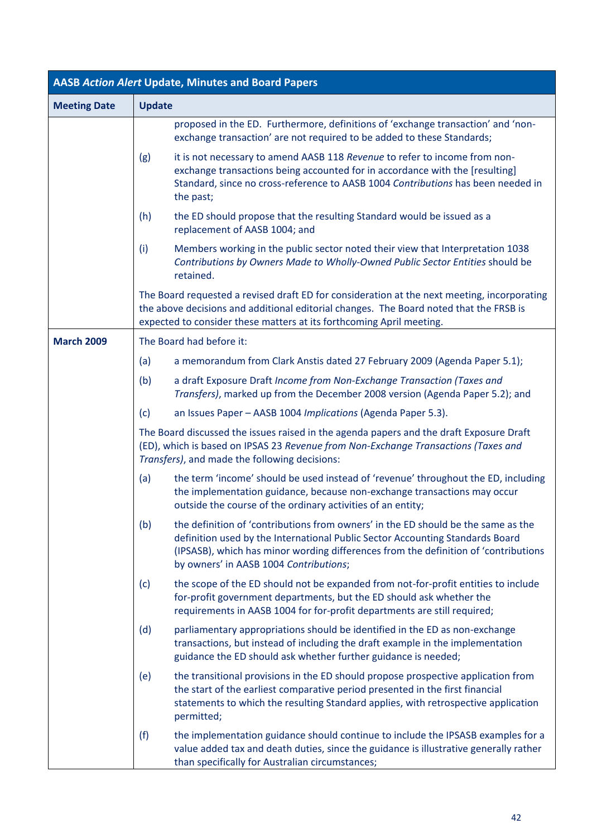| <b>AASB Action Alert Update, Minutes and Board Papers</b> |                                                                                                                                                                                                                                                                                                            |  |  |
|-----------------------------------------------------------|------------------------------------------------------------------------------------------------------------------------------------------------------------------------------------------------------------------------------------------------------------------------------------------------------------|--|--|
| <b>Meeting Date</b>                                       | <b>Update</b>                                                                                                                                                                                                                                                                                              |  |  |
|                                                           | proposed in the ED. Furthermore, definitions of 'exchange transaction' and 'non-<br>exchange transaction' are not required to be added to these Standards;                                                                                                                                                 |  |  |
|                                                           | it is not necessary to amend AASB 118 Revenue to refer to income from non-<br>(g)<br>exchange transactions being accounted for in accordance with the [resulting]<br>Standard, since no cross-reference to AASB 1004 Contributions has been needed in<br>the past;                                         |  |  |
|                                                           | (h)<br>the ED should propose that the resulting Standard would be issued as a<br>replacement of AASB 1004; and                                                                                                                                                                                             |  |  |
|                                                           | (i)<br>Members working in the public sector noted their view that Interpretation 1038<br>Contributions by Owners Made to Wholly-Owned Public Sector Entities should be<br>retained.                                                                                                                        |  |  |
|                                                           | The Board requested a revised draft ED for consideration at the next meeting, incorporating<br>the above decisions and additional editorial changes. The Board noted that the FRSB is<br>expected to consider these matters at its forthcoming April meeting.                                              |  |  |
| <b>March 2009</b>                                         | The Board had before it:                                                                                                                                                                                                                                                                                   |  |  |
|                                                           | a memorandum from Clark Anstis dated 27 February 2009 (Agenda Paper 5.1);<br>(a)                                                                                                                                                                                                                           |  |  |
|                                                           | a draft Exposure Draft Income from Non-Exchange Transaction (Taxes and<br>(b)<br>Transfers), marked up from the December 2008 version (Agenda Paper 5.2); and                                                                                                                                              |  |  |
|                                                           | (c)<br>an Issues Paper - AASB 1004 Implications (Agenda Paper 5.3).                                                                                                                                                                                                                                        |  |  |
|                                                           | The Board discussed the issues raised in the agenda papers and the draft Exposure Draft<br>(ED), which is based on IPSAS 23 Revenue from Non-Exchange Transactions (Taxes and<br>Transfers), and made the following decisions:                                                                             |  |  |
|                                                           | the term 'income' should be used instead of 'revenue' throughout the ED, including<br>(a)<br>the implementation guidance, because non-exchange transactions may occur<br>outside the course of the ordinary activities of an entity;                                                                       |  |  |
|                                                           | (b)<br>the definition of 'contributions from owners' in the ED should be the same as the<br>definition used by the International Public Sector Accounting Standards Board<br>(IPSASB), which has minor wording differences from the definition of 'contributions<br>by owners' in AASB 1004 Contributions; |  |  |
|                                                           | the scope of the ED should not be expanded from not-for-profit entities to include<br>(c)<br>for-profit government departments, but the ED should ask whether the<br>requirements in AASB 1004 for for-profit departments are still required;                                                              |  |  |
|                                                           | (d)<br>parliamentary appropriations should be identified in the ED as non-exchange<br>transactions, but instead of including the draft example in the implementation<br>guidance the ED should ask whether further guidance is needed;                                                                     |  |  |
|                                                           | (e)<br>the transitional provisions in the ED should propose prospective application from<br>the start of the earliest comparative period presented in the first financial<br>statements to which the resulting Standard applies, with retrospective application<br>permitted;                              |  |  |
|                                                           | the implementation guidance should continue to include the IPSASB examples for a<br>(f)<br>value added tax and death duties, since the guidance is illustrative generally rather<br>than specifically for Australian circumstances;                                                                        |  |  |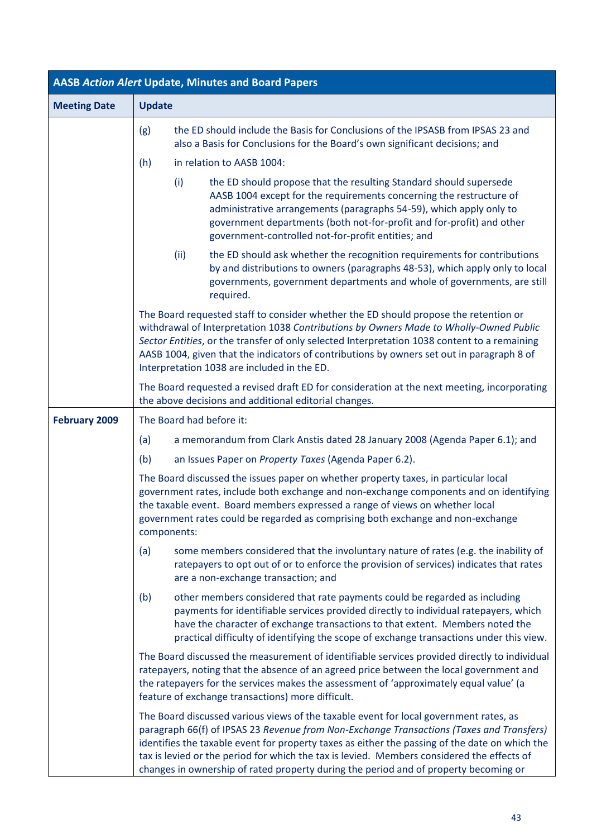| <b>AASB Action Alert Update, Minutes and Board Papers</b> |                                                                                                                                                                                                                                                                                                                                                                                                                                                                           |  |
|-----------------------------------------------------------|---------------------------------------------------------------------------------------------------------------------------------------------------------------------------------------------------------------------------------------------------------------------------------------------------------------------------------------------------------------------------------------------------------------------------------------------------------------------------|--|
| <b>Meeting Date</b>                                       | <b>Update</b>                                                                                                                                                                                                                                                                                                                                                                                                                                                             |  |
|                                                           | the ED should include the Basis for Conclusions of the IPSASB from IPSAS 23 and<br>(g)<br>also a Basis for Conclusions for the Board's own significant decisions; and                                                                                                                                                                                                                                                                                                     |  |
|                                                           | (h)<br>in relation to AASB 1004:                                                                                                                                                                                                                                                                                                                                                                                                                                          |  |
|                                                           | (i)<br>the ED should propose that the resulting Standard should supersede<br>AASB 1004 except for the requirements concerning the restructure of<br>administrative arrangements (paragraphs 54-59), which apply only to<br>government departments (both not-for-profit and for-profit) and other<br>government-controlled not-for-profit entities; and                                                                                                                    |  |
|                                                           | (ii)<br>the ED should ask whether the recognition requirements for contributions<br>by and distributions to owners (paragraphs 48-53), which apply only to local<br>governments, government departments and whole of governments, are still<br>required.                                                                                                                                                                                                                  |  |
|                                                           | The Board requested staff to consider whether the ED should propose the retention or<br>withdrawal of Interpretation 1038 Contributions by Owners Made to Wholly-Owned Public<br>Sector Entities, or the transfer of only selected Interpretation 1038 content to a remaining<br>AASB 1004, given that the indicators of contributions by owners set out in paragraph 8 of<br>Interpretation 1038 are included in the ED.                                                 |  |
|                                                           | The Board requested a revised draft ED for consideration at the next meeting, incorporating<br>the above decisions and additional editorial changes.                                                                                                                                                                                                                                                                                                                      |  |
| <b>February 2009</b>                                      | The Board had before it:                                                                                                                                                                                                                                                                                                                                                                                                                                                  |  |
|                                                           | a memorandum from Clark Anstis dated 28 January 2008 (Agenda Paper 6.1); and<br>(a)                                                                                                                                                                                                                                                                                                                                                                                       |  |
|                                                           | (b)<br>an Issues Paper on Property Taxes (Agenda Paper 6.2).                                                                                                                                                                                                                                                                                                                                                                                                              |  |
|                                                           | The Board discussed the issues paper on whether property taxes, in particular local<br>government rates, include both exchange and non-exchange components and on identifying<br>the taxable event. Board members expressed a range of views on whether local<br>government rates could be regarded as comprising both exchange and non-exchange<br>components:                                                                                                           |  |
|                                                           | some members considered that the involuntary nature of rates (e.g. the inability of<br>(a)<br>ratepayers to opt out of or to enforce the provision of services) indicates that rates<br>are a non-exchange transaction; and                                                                                                                                                                                                                                               |  |
|                                                           | other members considered that rate payments could be regarded as including<br>(b)<br>payments for identifiable services provided directly to individual ratepayers, which<br>have the character of exchange transactions to that extent. Members noted the<br>practical difficulty of identifying the scope of exchange transactions under this view.                                                                                                                     |  |
|                                                           | The Board discussed the measurement of identifiable services provided directly to individual<br>ratepayers, noting that the absence of an agreed price between the local government and<br>the ratepayers for the services makes the assessment of 'approximately equal value' (a<br>feature of exchange transactions) more difficult.                                                                                                                                    |  |
|                                                           | The Board discussed various views of the taxable event for local government rates, as<br>paragraph 66(f) of IPSAS 23 Revenue from Non-Exchange Transactions (Taxes and Transfers)<br>identifies the taxable event for property taxes as either the passing of the date on which the<br>tax is levied or the period for which the tax is levied. Members considered the effects of<br>changes in ownership of rated property during the period and of property becoming or |  |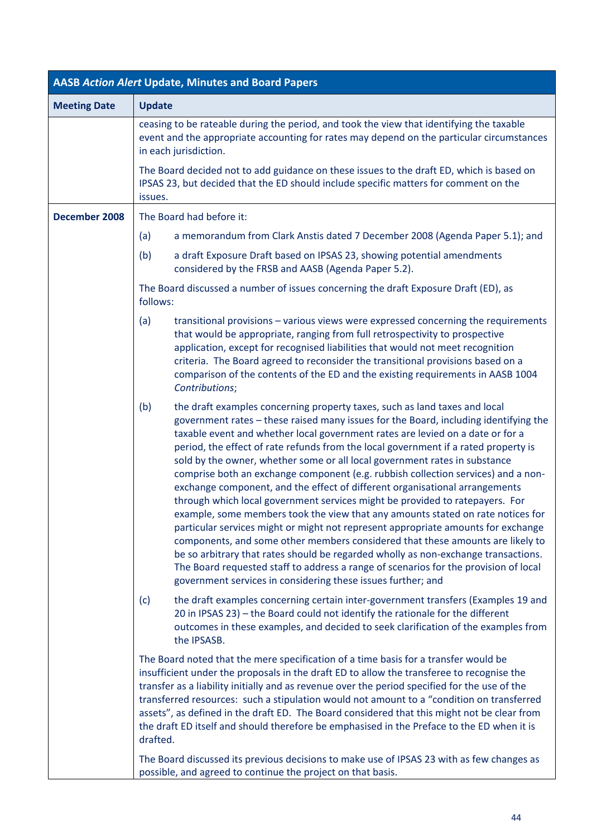| <b>AASB Action Alert Update, Minutes and Board Papers</b> |                                                                                                                                                                                                                                                                                                                                                                                                                                                                                                                                                                                                                                                                                                                                                                                                                                                                                                                                                                                                                                                                                                                                                                                              |  |  |
|-----------------------------------------------------------|----------------------------------------------------------------------------------------------------------------------------------------------------------------------------------------------------------------------------------------------------------------------------------------------------------------------------------------------------------------------------------------------------------------------------------------------------------------------------------------------------------------------------------------------------------------------------------------------------------------------------------------------------------------------------------------------------------------------------------------------------------------------------------------------------------------------------------------------------------------------------------------------------------------------------------------------------------------------------------------------------------------------------------------------------------------------------------------------------------------------------------------------------------------------------------------------|--|--|
| <b>Meeting Date</b>                                       | <b>Update</b>                                                                                                                                                                                                                                                                                                                                                                                                                                                                                                                                                                                                                                                                                                                                                                                                                                                                                                                                                                                                                                                                                                                                                                                |  |  |
|                                                           | ceasing to be rateable during the period, and took the view that identifying the taxable<br>event and the appropriate accounting for rates may depend on the particular circumstances<br>in each jurisdiction.                                                                                                                                                                                                                                                                                                                                                                                                                                                                                                                                                                                                                                                                                                                                                                                                                                                                                                                                                                               |  |  |
|                                                           | The Board decided not to add guidance on these issues to the draft ED, which is based on<br>IPSAS 23, but decided that the ED should include specific matters for comment on the<br>issues.                                                                                                                                                                                                                                                                                                                                                                                                                                                                                                                                                                                                                                                                                                                                                                                                                                                                                                                                                                                                  |  |  |
| December 2008                                             | The Board had before it:                                                                                                                                                                                                                                                                                                                                                                                                                                                                                                                                                                                                                                                                                                                                                                                                                                                                                                                                                                                                                                                                                                                                                                     |  |  |
|                                                           | (a)<br>a memorandum from Clark Anstis dated 7 December 2008 (Agenda Paper 5.1); and                                                                                                                                                                                                                                                                                                                                                                                                                                                                                                                                                                                                                                                                                                                                                                                                                                                                                                                                                                                                                                                                                                          |  |  |
|                                                           | a draft Exposure Draft based on IPSAS 23, showing potential amendments<br>(b)<br>considered by the FRSB and AASB (Agenda Paper 5.2).                                                                                                                                                                                                                                                                                                                                                                                                                                                                                                                                                                                                                                                                                                                                                                                                                                                                                                                                                                                                                                                         |  |  |
|                                                           | The Board discussed a number of issues concerning the draft Exposure Draft (ED), as<br>follows:                                                                                                                                                                                                                                                                                                                                                                                                                                                                                                                                                                                                                                                                                                                                                                                                                                                                                                                                                                                                                                                                                              |  |  |
|                                                           | transitional provisions - various views were expressed concerning the requirements<br>(a)<br>that would be appropriate, ranging from full retrospectivity to prospective<br>application, except for recognised liabilities that would not meet recognition<br>criteria. The Board agreed to reconsider the transitional provisions based on a<br>comparison of the contents of the ED and the existing requirements in AASB 1004<br>Contributions;                                                                                                                                                                                                                                                                                                                                                                                                                                                                                                                                                                                                                                                                                                                                           |  |  |
|                                                           | (b)<br>the draft examples concerning property taxes, such as land taxes and local<br>government rates - these raised many issues for the Board, including identifying the<br>taxable event and whether local government rates are levied on a date or for a<br>period, the effect of rate refunds from the local government if a rated property is<br>sold by the owner, whether some or all local government rates in substance<br>comprise both an exchange component (e.g. rubbish collection services) and a non-<br>exchange component, and the effect of different organisational arrangements<br>through which local government services might be provided to ratepayers. For<br>example, some members took the view that any amounts stated on rate notices for<br>particular services might or might not represent appropriate amounts for exchange<br>components, and some other members considered that these amounts are likely to<br>be so arbitrary that rates should be regarded wholly as non-exchange transactions.<br>The Board requested staff to address a range of scenarios for the provision of local<br>government services in considering these issues further; and |  |  |
|                                                           | the draft examples concerning certain inter-government transfers (Examples 19 and<br>(c)<br>20 in IPSAS 23) - the Board could not identify the rationale for the different<br>outcomes in these examples, and decided to seek clarification of the examples from<br>the IPSASB.                                                                                                                                                                                                                                                                                                                                                                                                                                                                                                                                                                                                                                                                                                                                                                                                                                                                                                              |  |  |
|                                                           | The Board noted that the mere specification of a time basis for a transfer would be<br>insufficient under the proposals in the draft ED to allow the transferee to recognise the<br>transfer as a liability initially and as revenue over the period specified for the use of the<br>transferred resources: such a stipulation would not amount to a "condition on transferred<br>assets", as defined in the draft ED. The Board considered that this might not be clear from<br>the draft ED itself and should therefore be emphasised in the Preface to the ED when it is<br>drafted.                                                                                                                                                                                                                                                                                                                                                                                                                                                                                                                                                                                                      |  |  |
|                                                           | The Board discussed its previous decisions to make use of IPSAS 23 with as few changes as<br>possible, and agreed to continue the project on that basis.                                                                                                                                                                                                                                                                                                                                                                                                                                                                                                                                                                                                                                                                                                                                                                                                                                                                                                                                                                                                                                     |  |  |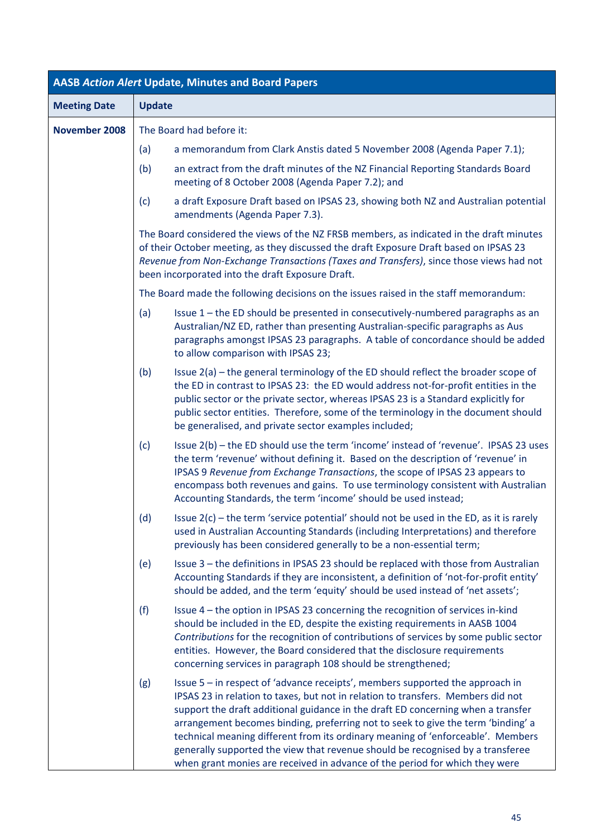| <b>AASB Action Alert Update, Minutes and Board Papers</b> |                                                                                                                                                                                                                                                                                                                                                                                                                                                                                                                                                                                                      |  |  |
|-----------------------------------------------------------|------------------------------------------------------------------------------------------------------------------------------------------------------------------------------------------------------------------------------------------------------------------------------------------------------------------------------------------------------------------------------------------------------------------------------------------------------------------------------------------------------------------------------------------------------------------------------------------------------|--|--|
| <b>Meeting Date</b>                                       | <b>Update</b>                                                                                                                                                                                                                                                                                                                                                                                                                                                                                                                                                                                        |  |  |
| November 2008                                             | The Board had before it:                                                                                                                                                                                                                                                                                                                                                                                                                                                                                                                                                                             |  |  |
|                                                           | a memorandum from Clark Anstis dated 5 November 2008 (Agenda Paper 7.1);<br>(a)                                                                                                                                                                                                                                                                                                                                                                                                                                                                                                                      |  |  |
|                                                           | (b)<br>an extract from the draft minutes of the NZ Financial Reporting Standards Board<br>meeting of 8 October 2008 (Agenda Paper 7.2); and                                                                                                                                                                                                                                                                                                                                                                                                                                                          |  |  |
|                                                           | (c)<br>a draft Exposure Draft based on IPSAS 23, showing both NZ and Australian potential<br>amendments (Agenda Paper 7.3).                                                                                                                                                                                                                                                                                                                                                                                                                                                                          |  |  |
|                                                           | The Board considered the views of the NZ FRSB members, as indicated in the draft minutes<br>of their October meeting, as they discussed the draft Exposure Draft based on IPSAS 23<br>Revenue from Non-Exchange Transactions (Taxes and Transfers), since those views had not<br>been incorporated into the draft Exposure Draft.                                                                                                                                                                                                                                                                    |  |  |
|                                                           | The Board made the following decisions on the issues raised in the staff memorandum:                                                                                                                                                                                                                                                                                                                                                                                                                                                                                                                 |  |  |
|                                                           | Issue 1 - the ED should be presented in consecutively-numbered paragraphs as an<br>(a)<br>Australian/NZ ED, rather than presenting Australian-specific paragraphs as Aus<br>paragraphs amongst IPSAS 23 paragraphs. A table of concordance should be added<br>to allow comparison with IPSAS 23;                                                                                                                                                                                                                                                                                                     |  |  |
|                                                           | (b)<br>Issue 2(a) – the general terminology of the ED should reflect the broader scope of<br>the ED in contrast to IPSAS 23: the ED would address not-for-profit entities in the<br>public sector or the private sector, whereas IPSAS 23 is a Standard explicitly for<br>public sector entities. Therefore, some of the terminology in the document should<br>be generalised, and private sector examples included;                                                                                                                                                                                 |  |  |
|                                                           | Issue 2(b) - the ED should use the term 'income' instead of 'revenue'. IPSAS 23 uses<br>(c)<br>the term 'revenue' without defining it. Based on the description of 'revenue' in<br>IPSAS 9 Revenue from Exchange Transactions, the scope of IPSAS 23 appears to<br>encompass both revenues and gains. To use terminology consistent with Australian<br>Accounting Standards, the term 'income' should be used instead;                                                                                                                                                                               |  |  |
|                                                           | Issue $2(c)$ – the term 'service potential' should not be used in the ED, as it is rarely<br>(d)<br>used in Australian Accounting Standards (including Interpretations) and therefore<br>previously has been considered generally to be a non-essential term;                                                                                                                                                                                                                                                                                                                                        |  |  |
|                                                           | Issue 3 - the definitions in IPSAS 23 should be replaced with those from Australian<br>(e)<br>Accounting Standards if they are inconsistent, a definition of 'not-for-profit entity'<br>should be added, and the term 'equity' should be used instead of 'net assets';                                                                                                                                                                                                                                                                                                                               |  |  |
|                                                           | (f)<br>Issue 4 – the option in IPSAS 23 concerning the recognition of services in-kind<br>should be included in the ED, despite the existing requirements in AASB 1004<br>Contributions for the recognition of contributions of services by some public sector<br>entities. However, the Board considered that the disclosure requirements<br>concerning services in paragraph 108 should be strengthened;                                                                                                                                                                                           |  |  |
|                                                           | Issue 5 - in respect of 'advance receipts', members supported the approach in<br>(g)<br>IPSAS 23 in relation to taxes, but not in relation to transfers. Members did not<br>support the draft additional guidance in the draft ED concerning when a transfer<br>arrangement becomes binding, preferring not to seek to give the term 'binding' a<br>technical meaning different from its ordinary meaning of 'enforceable'. Members<br>generally supported the view that revenue should be recognised by a transferee<br>when grant monies are received in advance of the period for which they were |  |  |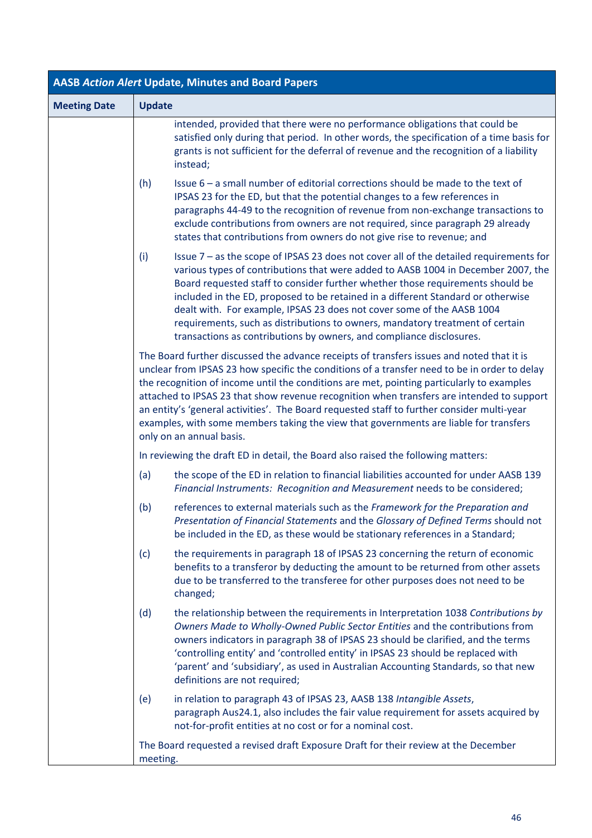| <b>AASB Action Alert Update, Minutes and Board Papers</b> |                                                                                                                                                                                                                                                                                                                                                                                                                                                                                                                                                                                                        |  |  |
|-----------------------------------------------------------|--------------------------------------------------------------------------------------------------------------------------------------------------------------------------------------------------------------------------------------------------------------------------------------------------------------------------------------------------------------------------------------------------------------------------------------------------------------------------------------------------------------------------------------------------------------------------------------------------------|--|--|
| <b>Meeting Date</b>                                       | <b>Update</b>                                                                                                                                                                                                                                                                                                                                                                                                                                                                                                                                                                                          |  |  |
|                                                           | intended, provided that there were no performance obligations that could be<br>satisfied only during that period. In other words, the specification of a time basis for<br>grants is not sufficient for the deferral of revenue and the recognition of a liability<br>instead;                                                                                                                                                                                                                                                                                                                         |  |  |
|                                                           | Issue 6 – a small number of editorial corrections should be made to the text of<br>(h)<br>IPSAS 23 for the ED, but that the potential changes to a few references in<br>paragraphs 44-49 to the recognition of revenue from non-exchange transactions to<br>exclude contributions from owners are not required, since paragraph 29 already<br>states that contributions from owners do not give rise to revenue; and                                                                                                                                                                                   |  |  |
|                                                           | Issue $7$ – as the scope of IPSAS 23 does not cover all of the detailed requirements for<br>(i)<br>various types of contributions that were added to AASB 1004 in December 2007, the<br>Board requested staff to consider further whether those requirements should be<br>included in the ED, proposed to be retained in a different Standard or otherwise<br>dealt with. For example, IPSAS 23 does not cover some of the AASB 1004<br>requirements, such as distributions to owners, mandatory treatment of certain<br>transactions as contributions by owners, and compliance disclosures.          |  |  |
|                                                           | The Board further discussed the advance receipts of transfers issues and noted that it is<br>unclear from IPSAS 23 how specific the conditions of a transfer need to be in order to delay<br>the recognition of income until the conditions are met, pointing particularly to examples<br>attached to IPSAS 23 that show revenue recognition when transfers are intended to support<br>an entity's 'general activities'. The Board requested staff to further consider multi-year<br>examples, with some members taking the view that governments are liable for transfers<br>only on an annual basis. |  |  |
|                                                           | In reviewing the draft ED in detail, the Board also raised the following matters:                                                                                                                                                                                                                                                                                                                                                                                                                                                                                                                      |  |  |
|                                                           | the scope of the ED in relation to financial liabilities accounted for under AASB 139<br>(a)<br>Financial Instruments: Recognition and Measurement needs to be considered;                                                                                                                                                                                                                                                                                                                                                                                                                             |  |  |
|                                                           | (b)<br>references to external materials such as the Framework for the Preparation and<br>Presentation of Financial Statements and the Glossary of Defined Terms should not<br>be included in the ED, as these would be stationary references in a Standard;                                                                                                                                                                                                                                                                                                                                            |  |  |
|                                                           | the requirements in paragraph 18 of IPSAS 23 concerning the return of economic<br>(c)<br>benefits to a transferor by deducting the amount to be returned from other assets<br>due to be transferred to the transferee for other purposes does not need to be<br>changed;                                                                                                                                                                                                                                                                                                                               |  |  |
|                                                           | (d)<br>the relationship between the requirements in Interpretation 1038 Contributions by<br>Owners Made to Wholly-Owned Public Sector Entities and the contributions from<br>owners indicators in paragraph 38 of IPSAS 23 should be clarified, and the terms<br>'controlling entity' and 'controlled entity' in IPSAS 23 should be replaced with<br>'parent' and 'subsidiary', as used in Australian Accounting Standards, so that new<br>definitions are not required;                                                                                                                               |  |  |
|                                                           | in relation to paragraph 43 of IPSAS 23, AASB 138 Intangible Assets,<br>(e)<br>paragraph Aus24.1, also includes the fair value requirement for assets acquired by<br>not-for-profit entities at no cost or for a nominal cost.                                                                                                                                                                                                                                                                                                                                                                         |  |  |
|                                                           | The Board requested a revised draft Exposure Draft for their review at the December<br>meeting.                                                                                                                                                                                                                                                                                                                                                                                                                                                                                                        |  |  |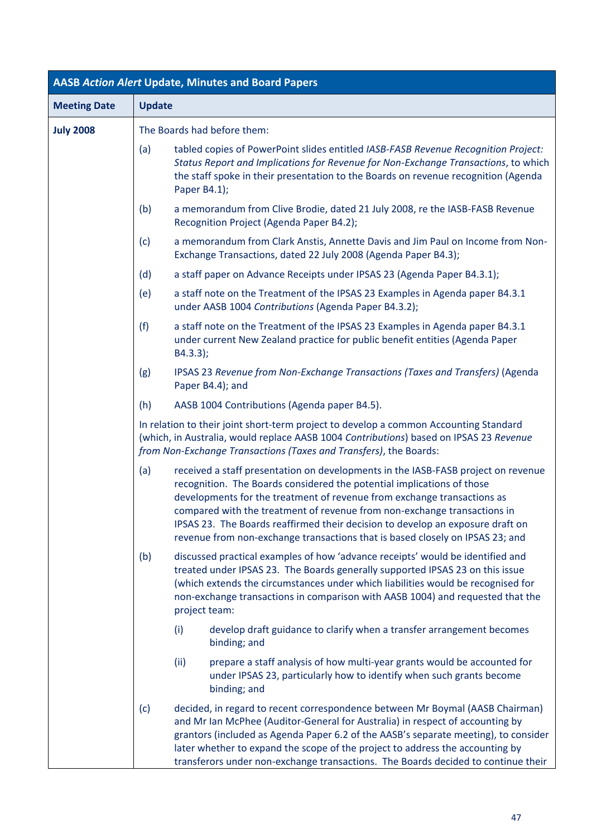| <b>AASB Action Alert Update, Minutes and Board Papers</b> |                                                                                                                                                                                                                                                                                                                                                                                                                                                                                              |  |  |  |
|-----------------------------------------------------------|----------------------------------------------------------------------------------------------------------------------------------------------------------------------------------------------------------------------------------------------------------------------------------------------------------------------------------------------------------------------------------------------------------------------------------------------------------------------------------------------|--|--|--|
| <b>Meeting Date</b>                                       | <b>Update</b>                                                                                                                                                                                                                                                                                                                                                                                                                                                                                |  |  |  |
| <b>July 2008</b>                                          | The Boards had before them:                                                                                                                                                                                                                                                                                                                                                                                                                                                                  |  |  |  |
|                                                           | (a)<br>tabled copies of PowerPoint slides entitled IASB-FASB Revenue Recognition Project:<br>Status Report and Implications for Revenue for Non-Exchange Transactions, to which<br>the staff spoke in their presentation to the Boards on revenue recognition (Agenda<br>Paper B4.1);                                                                                                                                                                                                        |  |  |  |
|                                                           | (b)<br>a memorandum from Clive Brodie, dated 21 July 2008, re the IASB-FASB Revenue<br>Recognition Project (Agenda Paper B4.2);                                                                                                                                                                                                                                                                                                                                                              |  |  |  |
|                                                           | a memorandum from Clark Anstis, Annette Davis and Jim Paul on Income from Non-<br>(c)<br>Exchange Transactions, dated 22 July 2008 (Agenda Paper B4.3);                                                                                                                                                                                                                                                                                                                                      |  |  |  |
|                                                           | (d)<br>a staff paper on Advance Receipts under IPSAS 23 (Agenda Paper B4.3.1);                                                                                                                                                                                                                                                                                                                                                                                                               |  |  |  |
|                                                           | a staff note on the Treatment of the IPSAS 23 Examples in Agenda paper B4.3.1<br>(e)<br>under AASB 1004 Contributions (Agenda Paper B4.3.2);                                                                                                                                                                                                                                                                                                                                                 |  |  |  |
|                                                           | (f)<br>a staff note on the Treatment of the IPSAS 23 Examples in Agenda paper B4.3.1<br>under current New Zealand practice for public benefit entities (Agenda Paper<br>B4.3.3);                                                                                                                                                                                                                                                                                                             |  |  |  |
|                                                           | IPSAS 23 Revenue from Non-Exchange Transactions (Taxes and Transfers) (Agenda<br>(g)<br>Paper B4.4); and                                                                                                                                                                                                                                                                                                                                                                                     |  |  |  |
|                                                           | (h)<br>AASB 1004 Contributions (Agenda paper B4.5).                                                                                                                                                                                                                                                                                                                                                                                                                                          |  |  |  |
|                                                           | In relation to their joint short-term project to develop a common Accounting Standard<br>(which, in Australia, would replace AASB 1004 Contributions) based on IPSAS 23 Revenue<br>from Non-Exchange Transactions (Taxes and Transfers), the Boards:                                                                                                                                                                                                                                         |  |  |  |
|                                                           | received a staff presentation on developments in the IASB-FASB project on revenue<br>(a)<br>recognition. The Boards considered the potential implications of those<br>developments for the treatment of revenue from exchange transactions as<br>compared with the treatment of revenue from non-exchange transactions in<br>IPSAS 23. The Boards reaffirmed their decision to develop an exposure draft on<br>revenue from non-exchange transactions that is based closely on IPSAS 23; and |  |  |  |
|                                                           | discussed practical examples of how 'advance receipts' would be identified and<br>(b)<br>treated under IPSAS 23. The Boards generally supported IPSAS 23 on this issue<br>(which extends the circumstances under which liabilities would be recognised for<br>non-exchange transactions in comparison with AASB 1004) and requested that the<br>project team:                                                                                                                                |  |  |  |
|                                                           | develop draft guidance to clarify when a transfer arrangement becomes<br>(i)<br>binding; and                                                                                                                                                                                                                                                                                                                                                                                                 |  |  |  |
|                                                           | (ii)<br>prepare a staff analysis of how multi-year grants would be accounted for<br>under IPSAS 23, particularly how to identify when such grants become<br>binding; and                                                                                                                                                                                                                                                                                                                     |  |  |  |
|                                                           | decided, in regard to recent correspondence between Mr Boymal (AASB Chairman)<br>(c)<br>and Mr Ian McPhee (Auditor-General for Australia) in respect of accounting by<br>grantors (included as Agenda Paper 6.2 of the AASB's separate meeting), to consider<br>later whether to expand the scope of the project to address the accounting by<br>transferors under non-exchange transactions. The Boards decided to continue their                                                           |  |  |  |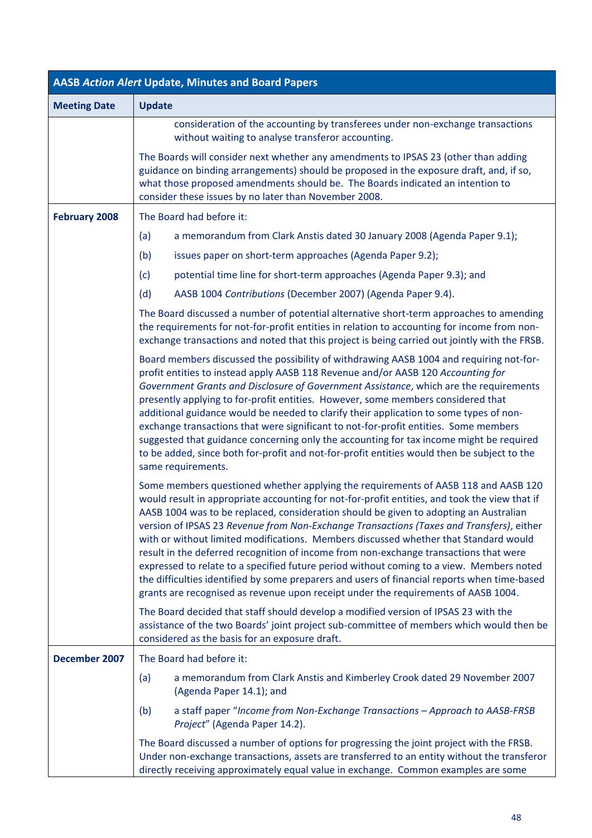| <b>AASB Action Alert Update, Minutes and Board Papers</b> |                                                                                                                                                                                                                                                                                                                                                                                                                                                                                                                                                                                                                                                                                                                                                                                                                                             |  |
|-----------------------------------------------------------|---------------------------------------------------------------------------------------------------------------------------------------------------------------------------------------------------------------------------------------------------------------------------------------------------------------------------------------------------------------------------------------------------------------------------------------------------------------------------------------------------------------------------------------------------------------------------------------------------------------------------------------------------------------------------------------------------------------------------------------------------------------------------------------------------------------------------------------------|--|
| <b>Meeting Date</b>                                       | <b>Update</b>                                                                                                                                                                                                                                                                                                                                                                                                                                                                                                                                                                                                                                                                                                                                                                                                                               |  |
|                                                           | consideration of the accounting by transferees under non-exchange transactions<br>without waiting to analyse transferor accounting.                                                                                                                                                                                                                                                                                                                                                                                                                                                                                                                                                                                                                                                                                                         |  |
|                                                           | The Boards will consider next whether any amendments to IPSAS 23 (other than adding<br>guidance on binding arrangements) should be proposed in the exposure draft, and, if so,<br>what those proposed amendments should be. The Boards indicated an intention to<br>consider these issues by no later than November 2008.                                                                                                                                                                                                                                                                                                                                                                                                                                                                                                                   |  |
| <b>February 2008</b>                                      | The Board had before it:                                                                                                                                                                                                                                                                                                                                                                                                                                                                                                                                                                                                                                                                                                                                                                                                                    |  |
|                                                           | (a)<br>a memorandum from Clark Anstis dated 30 January 2008 (Agenda Paper 9.1);                                                                                                                                                                                                                                                                                                                                                                                                                                                                                                                                                                                                                                                                                                                                                             |  |
|                                                           | (b)<br>issues paper on short-term approaches (Agenda Paper 9.2);                                                                                                                                                                                                                                                                                                                                                                                                                                                                                                                                                                                                                                                                                                                                                                            |  |
|                                                           | potential time line for short-term approaches (Agenda Paper 9.3); and<br>(c)                                                                                                                                                                                                                                                                                                                                                                                                                                                                                                                                                                                                                                                                                                                                                                |  |
|                                                           | (d)<br>AASB 1004 Contributions (December 2007) (Agenda Paper 9.4).                                                                                                                                                                                                                                                                                                                                                                                                                                                                                                                                                                                                                                                                                                                                                                          |  |
|                                                           | The Board discussed a number of potential alternative short-term approaches to amending<br>the requirements for not-for-profit entities in relation to accounting for income from non-<br>exchange transactions and noted that this project is being carried out jointly with the FRSB.                                                                                                                                                                                                                                                                                                                                                                                                                                                                                                                                                     |  |
|                                                           | Board members discussed the possibility of withdrawing AASB 1004 and requiring not-for-<br>profit entities to instead apply AASB 118 Revenue and/or AASB 120 Accounting for<br>Government Grants and Disclosure of Government Assistance, which are the requirements<br>presently applying to for-profit entities. However, some members considered that<br>additional guidance would be needed to clarify their application to some types of non-<br>exchange transactions that were significant to not-for-profit entities. Some members<br>suggested that guidance concerning only the accounting for tax income might be required<br>to be added, since both for-profit and not-for-profit entities would then be subject to the<br>same requirements.                                                                                  |  |
|                                                           | Some members questioned whether applying the requirements of AASB 118 and AASB 120<br>would result in appropriate accounting for not-for-profit entities, and took the view that if<br>AASB 1004 was to be replaced, consideration should be given to adopting an Australian<br>version of IPSAS 23 Revenue from Non-Exchange Transactions (Taxes and Transfers), either<br>with or without limited modifications. Members discussed whether that Standard would<br>result in the deferred recognition of income from non-exchange transactions that were<br>expressed to relate to a specified future period without coming to a view. Members noted<br>the difficulties identified by some preparers and users of financial reports when time-based<br>grants are recognised as revenue upon receipt under the requirements of AASB 1004. |  |
|                                                           | The Board decided that staff should develop a modified version of IPSAS 23 with the<br>assistance of the two Boards' joint project sub-committee of members which would then be<br>considered as the basis for an exposure draft.                                                                                                                                                                                                                                                                                                                                                                                                                                                                                                                                                                                                           |  |
| December 2007                                             | The Board had before it:                                                                                                                                                                                                                                                                                                                                                                                                                                                                                                                                                                                                                                                                                                                                                                                                                    |  |
|                                                           | a memorandum from Clark Anstis and Kimberley Crook dated 29 November 2007<br>(a)<br>(Agenda Paper 14.1); and                                                                                                                                                                                                                                                                                                                                                                                                                                                                                                                                                                                                                                                                                                                                |  |
|                                                           | (b)<br>a staff paper "Income from Non-Exchange Transactions - Approach to AASB-FRSB<br>Project" (Agenda Paper 14.2).                                                                                                                                                                                                                                                                                                                                                                                                                                                                                                                                                                                                                                                                                                                        |  |
|                                                           | The Board discussed a number of options for progressing the joint project with the FRSB.<br>Under non-exchange transactions, assets are transferred to an entity without the transferor<br>directly receiving approximately equal value in exchange. Common examples are some                                                                                                                                                                                                                                                                                                                                                                                                                                                                                                                                                               |  |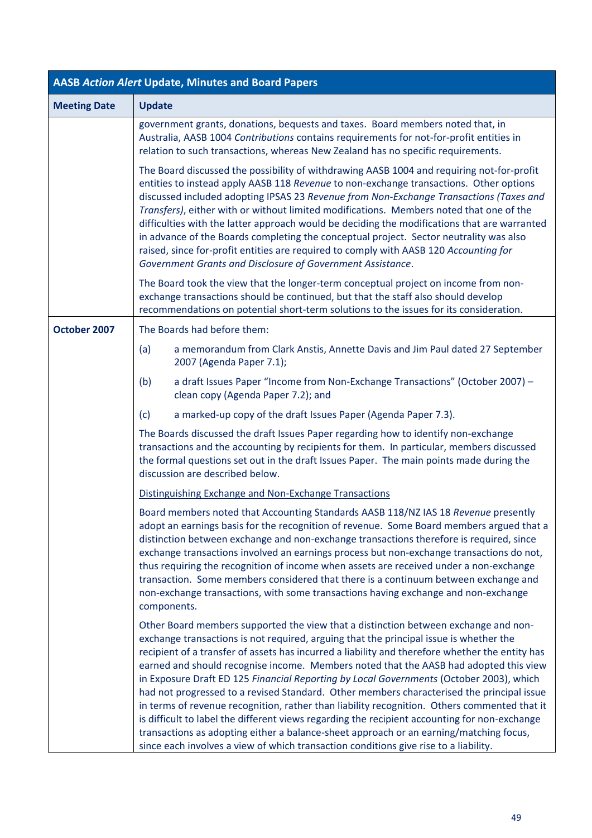| AASB Action Alert Update, Minutes and Board Papers |                                                                                                                                                                                                                                                                                                                                                                                                                                                                                                                                                                                                                                                                                                                                                                                                                                                                                                                                                      |  |  |  |
|----------------------------------------------------|------------------------------------------------------------------------------------------------------------------------------------------------------------------------------------------------------------------------------------------------------------------------------------------------------------------------------------------------------------------------------------------------------------------------------------------------------------------------------------------------------------------------------------------------------------------------------------------------------------------------------------------------------------------------------------------------------------------------------------------------------------------------------------------------------------------------------------------------------------------------------------------------------------------------------------------------------|--|--|--|
| <b>Meeting Date</b>                                | <b>Update</b>                                                                                                                                                                                                                                                                                                                                                                                                                                                                                                                                                                                                                                                                                                                                                                                                                                                                                                                                        |  |  |  |
|                                                    | government grants, donations, bequests and taxes. Board members noted that, in<br>Australia, AASB 1004 Contributions contains requirements for not-for-profit entities in<br>relation to such transactions, whereas New Zealand has no specific requirements.                                                                                                                                                                                                                                                                                                                                                                                                                                                                                                                                                                                                                                                                                        |  |  |  |
|                                                    | The Board discussed the possibility of withdrawing AASB 1004 and requiring not-for-profit<br>entities to instead apply AASB 118 Revenue to non-exchange transactions. Other options<br>discussed included adopting IPSAS 23 Revenue from Non-Exchange Transactions (Taxes and<br>Transfers), either with or without limited modifications. Members noted that one of the<br>difficulties with the latter approach would be deciding the modifications that are warranted<br>in advance of the Boards completing the conceptual project. Sector neutrality was also<br>raised, since for-profit entities are required to comply with AASB 120 Accounting for<br>Government Grants and Disclosure of Government Assistance.                                                                                                                                                                                                                            |  |  |  |
|                                                    | The Board took the view that the longer-term conceptual project on income from non-<br>exchange transactions should be continued, but that the staff also should develop<br>recommendations on potential short-term solutions to the issues for its consideration.                                                                                                                                                                                                                                                                                                                                                                                                                                                                                                                                                                                                                                                                                   |  |  |  |
| October 2007                                       | The Boards had before them:                                                                                                                                                                                                                                                                                                                                                                                                                                                                                                                                                                                                                                                                                                                                                                                                                                                                                                                          |  |  |  |
|                                                    | a memorandum from Clark Anstis, Annette Davis and Jim Paul dated 27 September<br>(a)<br>2007 (Agenda Paper 7.1);                                                                                                                                                                                                                                                                                                                                                                                                                                                                                                                                                                                                                                                                                                                                                                                                                                     |  |  |  |
|                                                    | a draft Issues Paper "Income from Non-Exchange Transactions" (October 2007) -<br>(b)<br>clean copy (Agenda Paper 7.2); and                                                                                                                                                                                                                                                                                                                                                                                                                                                                                                                                                                                                                                                                                                                                                                                                                           |  |  |  |
|                                                    | (c)<br>a marked-up copy of the draft Issues Paper (Agenda Paper 7.3).                                                                                                                                                                                                                                                                                                                                                                                                                                                                                                                                                                                                                                                                                                                                                                                                                                                                                |  |  |  |
|                                                    | The Boards discussed the draft Issues Paper regarding how to identify non-exchange<br>transactions and the accounting by recipients for them. In particular, members discussed<br>the formal questions set out in the draft Issues Paper. The main points made during the<br>discussion are described below.                                                                                                                                                                                                                                                                                                                                                                                                                                                                                                                                                                                                                                         |  |  |  |
|                                                    | Distinguishing Exchange and Non-Exchange Transactions                                                                                                                                                                                                                                                                                                                                                                                                                                                                                                                                                                                                                                                                                                                                                                                                                                                                                                |  |  |  |
|                                                    | Board members noted that Accounting Standards AASB 118/NZ IAS 18 Revenue presently<br>adopt an earnings basis for the recognition of revenue. Some Board members argued that a<br>distinction between exchange and non-exchange transactions therefore is required, since<br>exchange transactions involved an earnings process but non-exchange transactions do not,<br>thus requiring the recognition of income when assets are received under a non-exchange<br>transaction. Some members considered that there is a continuum between exchange and<br>non-exchange transactions, with some transactions having exchange and non-exchange<br>components.                                                                                                                                                                                                                                                                                          |  |  |  |
|                                                    | Other Board members supported the view that a distinction between exchange and non-<br>exchange transactions is not required, arguing that the principal issue is whether the<br>recipient of a transfer of assets has incurred a liability and therefore whether the entity has<br>earned and should recognise income. Members noted that the AASB had adopted this view<br>in Exposure Draft ED 125 Financial Reporting by Local Governments (October 2003), which<br>had not progressed to a revised Standard. Other members characterised the principal issue<br>in terms of revenue recognition, rather than liability recognition. Others commented that it<br>is difficult to label the different views regarding the recipient accounting for non-exchange<br>transactions as adopting either a balance-sheet approach or an earning/matching focus,<br>since each involves a view of which transaction conditions give rise to a liability. |  |  |  |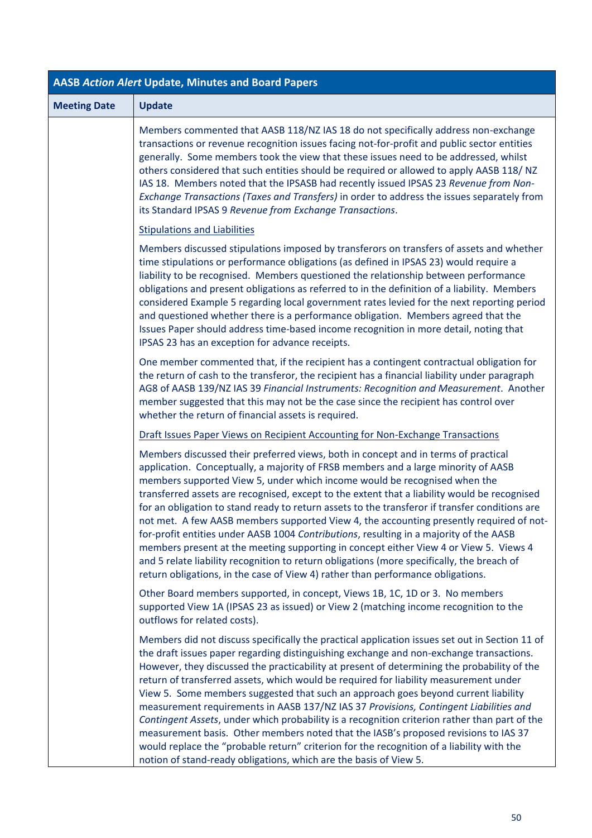| <b>AASB Action Alert Update, Minutes and Board Papers</b> |                                                                                                                                                                                                                                                                                                                                                                                                                                                                                                                                                                                                                                                                                                                                                                                                                                                                                                                            |  |  |  |
|-----------------------------------------------------------|----------------------------------------------------------------------------------------------------------------------------------------------------------------------------------------------------------------------------------------------------------------------------------------------------------------------------------------------------------------------------------------------------------------------------------------------------------------------------------------------------------------------------------------------------------------------------------------------------------------------------------------------------------------------------------------------------------------------------------------------------------------------------------------------------------------------------------------------------------------------------------------------------------------------------|--|--|--|
| <b>Meeting Date</b>                                       | <b>Update</b>                                                                                                                                                                                                                                                                                                                                                                                                                                                                                                                                                                                                                                                                                                                                                                                                                                                                                                              |  |  |  |
|                                                           | Members commented that AASB 118/NZ IAS 18 do not specifically address non-exchange<br>transactions or revenue recognition issues facing not-for-profit and public sector entities<br>generally. Some members took the view that these issues need to be addressed, whilst<br>others considered that such entities should be required or allowed to apply AASB 118/ NZ<br>IAS 18. Members noted that the IPSASB had recently issued IPSAS 23 Revenue from Non-<br>Exchange Transactions (Taxes and Transfers) in order to address the issues separately from<br>its Standard IPSAS 9 Revenue from Exchange Transactions.                                                                                                                                                                                                                                                                                                    |  |  |  |
|                                                           | <b>Stipulations and Liabilities</b>                                                                                                                                                                                                                                                                                                                                                                                                                                                                                                                                                                                                                                                                                                                                                                                                                                                                                        |  |  |  |
|                                                           | Members discussed stipulations imposed by transferors on transfers of assets and whether<br>time stipulations or performance obligations (as defined in IPSAS 23) would require a<br>liability to be recognised. Members questioned the relationship between performance<br>obligations and present obligations as referred to in the definition of a liability. Members<br>considered Example 5 regarding local government rates levied for the next reporting period<br>and questioned whether there is a performance obligation. Members agreed that the<br>Issues Paper should address time-based income recognition in more detail, noting that<br>IPSAS 23 has an exception for advance receipts.                                                                                                                                                                                                                    |  |  |  |
|                                                           | One member commented that, if the recipient has a contingent contractual obligation for<br>the return of cash to the transferor, the recipient has a financial liability under paragraph<br>AG8 of AASB 139/NZ IAS 39 Financial Instruments: Recognition and Measurement. Another<br>member suggested that this may not be the case since the recipient has control over<br>whether the return of financial assets is required.                                                                                                                                                                                                                                                                                                                                                                                                                                                                                            |  |  |  |
|                                                           | Draft Issues Paper Views on Recipient Accounting for Non-Exchange Transactions                                                                                                                                                                                                                                                                                                                                                                                                                                                                                                                                                                                                                                                                                                                                                                                                                                             |  |  |  |
|                                                           | Members discussed their preferred views, both in concept and in terms of practical<br>application. Conceptually, a majority of FRSB members and a large minority of AASB<br>members supported View 5, under which income would be recognised when the<br>transferred assets are recognised, except to the extent that a liability would be recognised<br>for an obligation to stand ready to return assets to the transferor if transfer conditions are<br>not met. A few AASB members supported View 4, the accounting presently required of not-<br>for-profit entities under AASB 1004 Contributions, resulting in a majority of the AASB<br>members present at the meeting supporting in concept either View 4 or View 5. Views 4<br>and 5 relate liability recognition to return obligations (more specifically, the breach of<br>return obligations, in the case of View 4) rather than performance obligations.     |  |  |  |
|                                                           | Other Board members supported, in concept, Views 1B, 1C, 1D or 3. No members<br>supported View 1A (IPSAS 23 as issued) or View 2 (matching income recognition to the<br>outflows for related costs).                                                                                                                                                                                                                                                                                                                                                                                                                                                                                                                                                                                                                                                                                                                       |  |  |  |
|                                                           | Members did not discuss specifically the practical application issues set out in Section 11 of<br>the draft issues paper regarding distinguishing exchange and non-exchange transactions.<br>However, they discussed the practicability at present of determining the probability of the<br>return of transferred assets, which would be required for liability measurement under<br>View 5. Some members suggested that such an approach goes beyond current liability<br>measurement requirements in AASB 137/NZ IAS 37 Provisions, Contingent Liabilities and<br>Contingent Assets, under which probability is a recognition criterion rather than part of the<br>measurement basis. Other members noted that the IASB's proposed revisions to IAS 37<br>would replace the "probable return" criterion for the recognition of a liability with the<br>notion of stand-ready obligations, which are the basis of View 5. |  |  |  |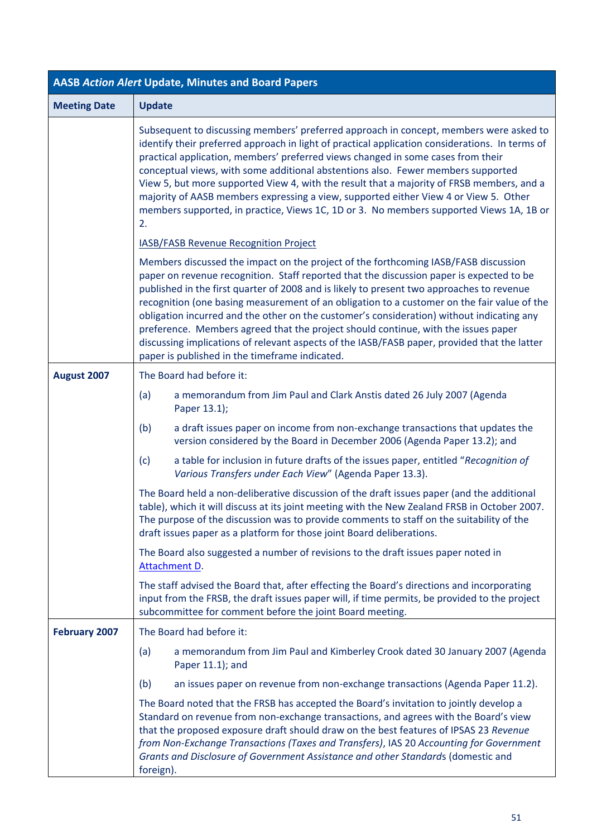| <b>AASB Action Alert Update, Minutes and Board Papers</b> |                                                                                                                                                                                                                                                                                                                                                                                                                                                                                                                                                                                                                                                                                                                  |  |  |  |
|-----------------------------------------------------------|------------------------------------------------------------------------------------------------------------------------------------------------------------------------------------------------------------------------------------------------------------------------------------------------------------------------------------------------------------------------------------------------------------------------------------------------------------------------------------------------------------------------------------------------------------------------------------------------------------------------------------------------------------------------------------------------------------------|--|--|--|
| <b>Meeting Date</b>                                       | <b>Update</b>                                                                                                                                                                                                                                                                                                                                                                                                                                                                                                                                                                                                                                                                                                    |  |  |  |
|                                                           | Subsequent to discussing members' preferred approach in concept, members were asked to<br>identify their preferred approach in light of practical application considerations. In terms of<br>practical application, members' preferred views changed in some cases from their<br>conceptual views, with some additional abstentions also. Fewer members supported<br>View 5, but more supported View 4, with the result that a majority of FRSB members, and a<br>majority of AASB members expressing a view, supported either View 4 or View 5. Other<br>members supported, in practice, Views 1C, 1D or 3. No members supported Views 1A, 1B or<br>2.                                                          |  |  |  |
|                                                           | <b>IASB/FASB Revenue Recognition Project</b>                                                                                                                                                                                                                                                                                                                                                                                                                                                                                                                                                                                                                                                                     |  |  |  |
|                                                           | Members discussed the impact on the project of the forthcoming IASB/FASB discussion<br>paper on revenue recognition. Staff reported that the discussion paper is expected to be<br>published in the first quarter of 2008 and is likely to present two approaches to revenue<br>recognition (one basing measurement of an obligation to a customer on the fair value of the<br>obligation incurred and the other on the customer's consideration) without indicating any<br>preference. Members agreed that the project should continue, with the issues paper<br>discussing implications of relevant aspects of the IASB/FASB paper, provided that the latter<br>paper is published in the timeframe indicated. |  |  |  |
| August 2007                                               | The Board had before it:                                                                                                                                                                                                                                                                                                                                                                                                                                                                                                                                                                                                                                                                                         |  |  |  |
|                                                           | a memorandum from Jim Paul and Clark Anstis dated 26 July 2007 (Agenda<br>(a)<br>Paper 13.1);                                                                                                                                                                                                                                                                                                                                                                                                                                                                                                                                                                                                                    |  |  |  |
|                                                           | a draft issues paper on income from non-exchange transactions that updates the<br>(b)<br>version considered by the Board in December 2006 (Agenda Paper 13.2); and                                                                                                                                                                                                                                                                                                                                                                                                                                                                                                                                               |  |  |  |
|                                                           | a table for inclusion in future drafts of the issues paper, entitled "Recognition of<br>(c)<br>Various Transfers under Each View" (Agenda Paper 13.3).                                                                                                                                                                                                                                                                                                                                                                                                                                                                                                                                                           |  |  |  |
|                                                           | The Board held a non-deliberative discussion of the draft issues paper (and the additional<br>table), which it will discuss at its joint meeting with the New Zealand FRSB in October 2007.<br>The purpose of the discussion was to provide comments to staff on the suitability of the<br>draft issues paper as a platform for those joint Board deliberations.                                                                                                                                                                                                                                                                                                                                                 |  |  |  |
|                                                           | The Board also suggested a number of revisions to the draft issues paper noted in<br>Attachment D.                                                                                                                                                                                                                                                                                                                                                                                                                                                                                                                                                                                                               |  |  |  |
|                                                           | The staff advised the Board that, after effecting the Board's directions and incorporating<br>input from the FRSB, the draft issues paper will, if time permits, be provided to the project<br>subcommittee for comment before the joint Board meeting.                                                                                                                                                                                                                                                                                                                                                                                                                                                          |  |  |  |
| <b>February 2007</b>                                      | The Board had before it:                                                                                                                                                                                                                                                                                                                                                                                                                                                                                                                                                                                                                                                                                         |  |  |  |
|                                                           | a memorandum from Jim Paul and Kimberley Crook dated 30 January 2007 (Agenda<br>(a)<br>Paper 11.1); and                                                                                                                                                                                                                                                                                                                                                                                                                                                                                                                                                                                                          |  |  |  |
|                                                           | (b)<br>an issues paper on revenue from non-exchange transactions (Agenda Paper 11.2).                                                                                                                                                                                                                                                                                                                                                                                                                                                                                                                                                                                                                            |  |  |  |
|                                                           | The Board noted that the FRSB has accepted the Board's invitation to jointly develop a<br>Standard on revenue from non-exchange transactions, and agrees with the Board's view<br>that the proposed exposure draft should draw on the best features of IPSAS 23 Revenue<br>from Non-Exchange Transactions (Taxes and Transfers), IAS 20 Accounting for Government<br>Grants and Disclosure of Government Assistance and other Standards (domestic and<br>foreign).                                                                                                                                                                                                                                               |  |  |  |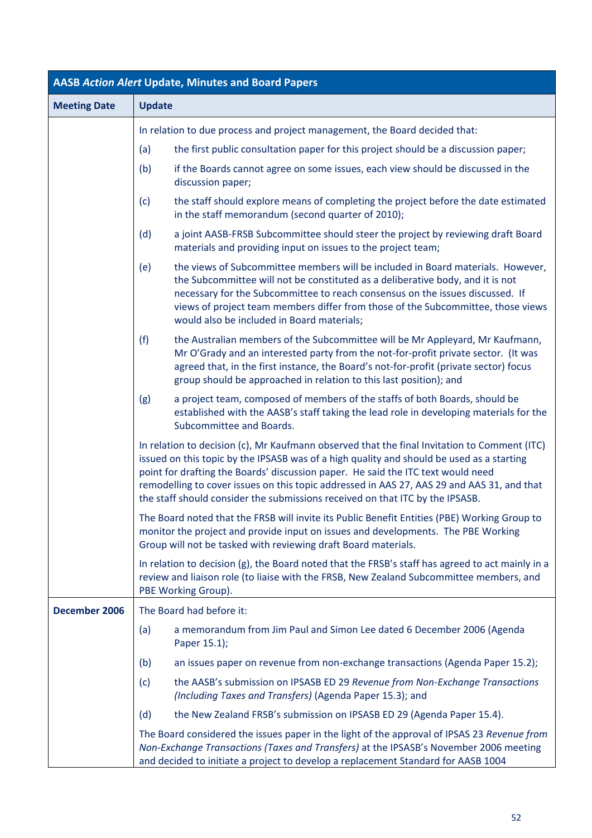| <b>AASB Action Alert Update, Minutes and Board Papers</b> |                                                                                                                                                                                                                                                                                                                                                                                                                                                              |  |  |  |  |
|-----------------------------------------------------------|--------------------------------------------------------------------------------------------------------------------------------------------------------------------------------------------------------------------------------------------------------------------------------------------------------------------------------------------------------------------------------------------------------------------------------------------------------------|--|--|--|--|
| <b>Meeting Date</b>                                       | <b>Update</b>                                                                                                                                                                                                                                                                                                                                                                                                                                                |  |  |  |  |
|                                                           | In relation to due process and project management, the Board decided that:                                                                                                                                                                                                                                                                                                                                                                                   |  |  |  |  |
|                                                           | the first public consultation paper for this project should be a discussion paper;<br>(a)                                                                                                                                                                                                                                                                                                                                                                    |  |  |  |  |
|                                                           | (b)<br>if the Boards cannot agree on some issues, each view should be discussed in the<br>discussion paper;                                                                                                                                                                                                                                                                                                                                                  |  |  |  |  |
|                                                           | the staff should explore means of completing the project before the date estimated<br>(c)<br>in the staff memorandum (second quarter of 2010);                                                                                                                                                                                                                                                                                                               |  |  |  |  |
|                                                           | (d)<br>a joint AASB-FRSB Subcommittee should steer the project by reviewing draft Board<br>materials and providing input on issues to the project team;                                                                                                                                                                                                                                                                                                      |  |  |  |  |
|                                                           | the views of Subcommittee members will be included in Board materials. However,<br>(e)<br>the Subcommittee will not be constituted as a deliberative body, and it is not<br>necessary for the Subcommittee to reach consensus on the issues discussed. If<br>views of project team members differ from those of the Subcommittee, those views<br>would also be included in Board materials;                                                                  |  |  |  |  |
|                                                           | (f)<br>the Australian members of the Subcommittee will be Mr Appleyard, Mr Kaufmann,<br>Mr O'Grady and an interested party from the not-for-profit private sector. (It was<br>agreed that, in the first instance, the Board's not-for-profit (private sector) focus<br>group should be approached in relation to this last position); and                                                                                                                    |  |  |  |  |
|                                                           | a project team, composed of members of the staffs of both Boards, should be<br>(g)<br>established with the AASB's staff taking the lead role in developing materials for the<br>Subcommittee and Boards.                                                                                                                                                                                                                                                     |  |  |  |  |
|                                                           | In relation to decision (c), Mr Kaufmann observed that the final Invitation to Comment (ITC)<br>issued on this topic by the IPSASB was of a high quality and should be used as a starting<br>point for drafting the Boards' discussion paper. He said the ITC text would need<br>remodelling to cover issues on this topic addressed in AAS 27, AAS 29 and AAS 31, and that<br>the staff should consider the submissions received on that ITC by the IPSASB. |  |  |  |  |
|                                                           | The Board noted that the FRSB will invite its Public Benefit Entities (PBE) Working Group to<br>monitor the project and provide input on issues and developments. The PBE Working<br>Group will not be tasked with reviewing draft Board materials.                                                                                                                                                                                                          |  |  |  |  |
|                                                           | In relation to decision (g), the Board noted that the FRSB's staff has agreed to act mainly in a<br>review and liaison role (to liaise with the FRSB, New Zealand Subcommittee members, and<br>PBE Working Group).                                                                                                                                                                                                                                           |  |  |  |  |
| December 2006                                             | The Board had before it:                                                                                                                                                                                                                                                                                                                                                                                                                                     |  |  |  |  |
|                                                           | a memorandum from Jim Paul and Simon Lee dated 6 December 2006 (Agenda<br>(a)<br>Paper 15.1);                                                                                                                                                                                                                                                                                                                                                                |  |  |  |  |
|                                                           | an issues paper on revenue from non-exchange transactions (Agenda Paper 15.2);<br>(b)                                                                                                                                                                                                                                                                                                                                                                        |  |  |  |  |
|                                                           | the AASB's submission on IPSASB ED 29 Revenue from Non-Exchange Transactions<br>(c)<br>(Including Taxes and Transfers) (Agenda Paper 15.3); and                                                                                                                                                                                                                                                                                                              |  |  |  |  |
|                                                           | (d)<br>the New Zealand FRSB's submission on IPSASB ED 29 (Agenda Paper 15.4).                                                                                                                                                                                                                                                                                                                                                                                |  |  |  |  |
|                                                           | The Board considered the issues paper in the light of the approval of IPSAS 23 Revenue from<br>Non-Exchange Transactions (Taxes and Transfers) at the IPSASB's November 2006 meeting<br>and decided to initiate a project to develop a replacement Standard for AASB 1004                                                                                                                                                                                    |  |  |  |  |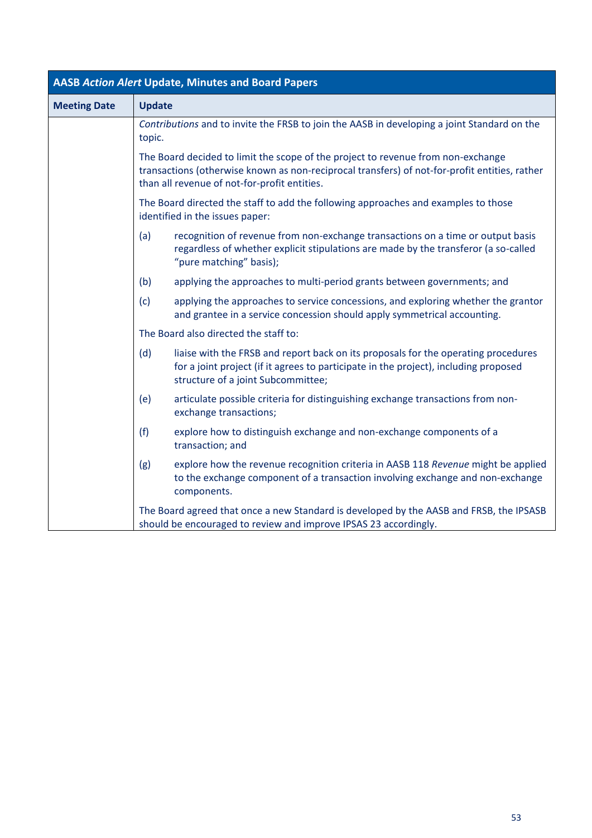| <b>AASB Action Alert Update, Minutes and Board Papers</b> |                                                                                                                                                                                                                                   |                                                                                                                                                                                                                  |  |  |
|-----------------------------------------------------------|-----------------------------------------------------------------------------------------------------------------------------------------------------------------------------------------------------------------------------------|------------------------------------------------------------------------------------------------------------------------------------------------------------------------------------------------------------------|--|--|
| <b>Meeting Date</b>                                       | <b>Update</b>                                                                                                                                                                                                                     |                                                                                                                                                                                                                  |  |  |
|                                                           | Contributions and to invite the FRSB to join the AASB in developing a joint Standard on the<br>topic.                                                                                                                             |                                                                                                                                                                                                                  |  |  |
|                                                           | The Board decided to limit the scope of the project to revenue from non-exchange<br>transactions (otherwise known as non-reciprocal transfers) of not-for-profit entities, rather<br>than all revenue of not-for-profit entities. |                                                                                                                                                                                                                  |  |  |
|                                                           | The Board directed the staff to add the following approaches and examples to those<br>identified in the issues paper:                                                                                                             |                                                                                                                                                                                                                  |  |  |
|                                                           | (a)                                                                                                                                                                                                                               | recognition of revenue from non-exchange transactions on a time or output basis<br>regardless of whether explicit stipulations are made by the transferor (a so-called<br>"pure matching" basis);                |  |  |
|                                                           | (b)                                                                                                                                                                                                                               | applying the approaches to multi-period grants between governments; and                                                                                                                                          |  |  |
|                                                           | (c)                                                                                                                                                                                                                               | applying the approaches to service concessions, and exploring whether the grantor<br>and grantee in a service concession should apply symmetrical accounting.                                                    |  |  |
|                                                           |                                                                                                                                                                                                                                   | The Board also directed the staff to:                                                                                                                                                                            |  |  |
|                                                           | (d)                                                                                                                                                                                                                               | liaise with the FRSB and report back on its proposals for the operating procedures<br>for a joint project (if it agrees to participate in the project), including proposed<br>structure of a joint Subcommittee; |  |  |
|                                                           | (e)                                                                                                                                                                                                                               | articulate possible criteria for distinguishing exchange transactions from non-<br>exchange transactions;                                                                                                        |  |  |
|                                                           | (f)                                                                                                                                                                                                                               | explore how to distinguish exchange and non-exchange components of a<br>transaction; and                                                                                                                         |  |  |
|                                                           | (g)                                                                                                                                                                                                                               | explore how the revenue recognition criteria in AASB 118 Revenue might be applied<br>to the exchange component of a transaction involving exchange and non-exchange<br>components.                               |  |  |
|                                                           | The Board agreed that once a new Standard is developed by the AASB and FRSB, the IPSASB<br>should be encouraged to review and improve IPSAS 23 accordingly.                                                                       |                                                                                                                                                                                                                  |  |  |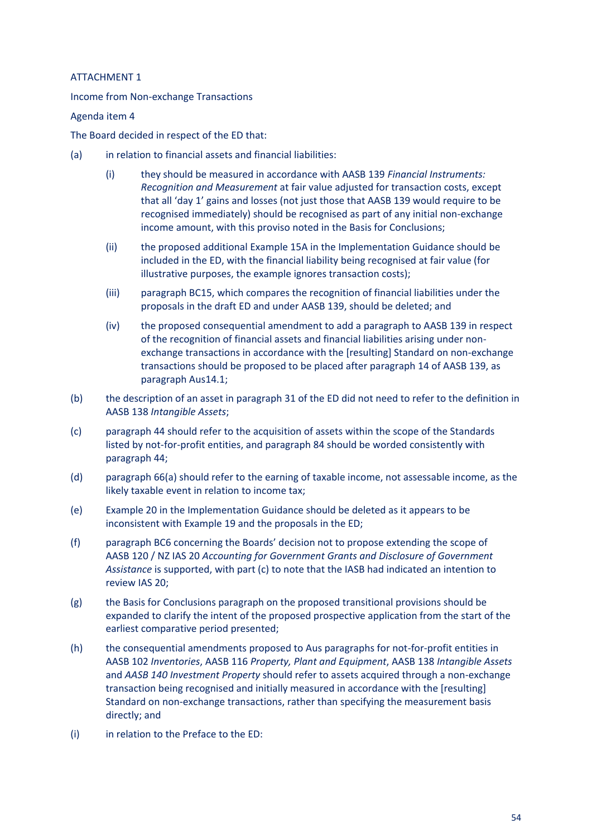### <span id="page-53-0"></span>ATTACHMENT 1

Income from Non-exchange Transactions

### Agenda item 4

The Board decided in respect of the ED that:

- (a) in relation to financial assets and financial liabilities:
	- (i) they should be measured in accordance with AASB 139 *Financial Instruments: Recognition and Measurement* at fair value adjusted for transaction costs, except that all 'day 1' gains and losses (not just those that AASB 139 would require to be recognised immediately) should be recognised as part of any initial non-exchange income amount, with this proviso noted in the Basis for Conclusions;
	- (ii) the proposed additional Example 15A in the Implementation Guidance should be included in the ED, with the financial liability being recognised at fair value (for illustrative purposes, the example ignores transaction costs);
	- (iii) paragraph BC15, which compares the recognition of financial liabilities under the proposals in the draft ED and under AASB 139, should be deleted; and
	- (iv) the proposed consequential amendment to add a paragraph to AASB 139 in respect of the recognition of financial assets and financial liabilities arising under nonexchange transactions in accordance with the [resulting] Standard on non-exchange transactions should be proposed to be placed after paragraph 14 of AASB 139, as paragraph Aus14.1;
- (b) the description of an asset in paragraph 31 of the ED did not need to refer to the definition in AASB 138 *Intangible Assets*;
- (c) paragraph 44 should refer to the acquisition of assets within the scope of the Standards listed by not-for-profit entities, and paragraph 84 should be worded consistently with paragraph 44;
- (d) paragraph 66(a) should refer to the earning of taxable income, not assessable income, as the likely taxable event in relation to income tax;
- (e) Example 20 in the Implementation Guidance should be deleted as it appears to be inconsistent with Example 19 and the proposals in the ED;
- (f) paragraph BC6 concerning the Boards' decision not to propose extending the scope of AASB 120 / NZ IAS 20 *Accounting for Government Grants and Disclosure of Government Assistance* is supported, with part (c) to note that the IASB had indicated an intention to review IAS 20;
- (g) the Basis for Conclusions paragraph on the proposed transitional provisions should be expanded to clarify the intent of the proposed prospective application from the start of the earliest comparative period presented;
- (h) the consequential amendments proposed to Aus paragraphs for not-for-profit entities in AASB 102 *Inventories*, AASB 116 *Property, Plant and Equipment*, AASB 138 *Intangible Assets* and *AASB 140 Investment Property* should refer to assets acquired through a non-exchange transaction being recognised and initially measured in accordance with the [resulting] Standard on non-exchange transactions, rather than specifying the measurement basis directly; and
- (i) in relation to the Preface to the ED: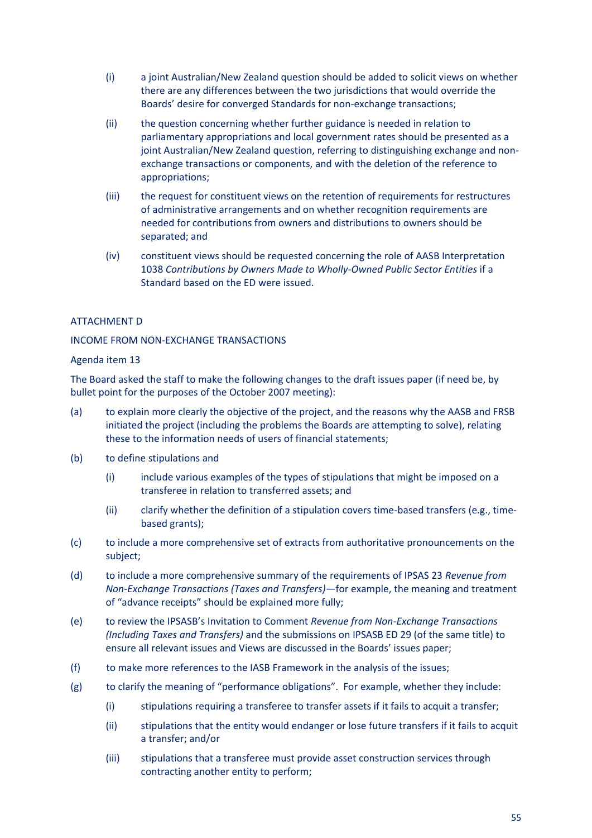- (i) a joint Australian/New Zealand question should be added to solicit views on whether there are any differences between the two jurisdictions that would override the Boards' desire for converged Standards for non-exchange transactions;
- (ii) the question concerning whether further guidance is needed in relation to parliamentary appropriations and local government rates should be presented as a joint Australian/New Zealand question, referring to distinguishing exchange and nonexchange transactions or components, and with the deletion of the reference to appropriations;
- (iii) the request for constituent views on the retention of requirements for restructures of administrative arrangements and on whether recognition requirements are needed for contributions from owners and distributions to owners should be separated; and
- (iv) constituent views should be requested concerning the role of AASB Interpretation 1038 *Contributions by Owners Made to Wholly-Owned Public Sector Entities* if a Standard based on the ED were issued.

### <span id="page-54-0"></span>ATTACHMENT D

### INCOME FROM NON-EXCHANGE TRANSACTIONS

### Agenda item 13

The Board asked the staff to make the following changes to the draft issues paper (if need be, by bullet point for the purposes of the October 2007 meeting):

- (a) to explain more clearly the objective of the project, and the reasons why the AASB and FRSB initiated the project (including the problems the Boards are attempting to solve), relating these to the information needs of users of financial statements;
- (b) to define stipulations and
	- (i) include various examples of the types of stipulations that might be imposed on a transferee in relation to transferred assets; and
	- (ii) clarify whether the definition of a stipulation covers time-based transfers (e.g., timebased grants);
- (c) to include a more comprehensive set of extracts from authoritative pronouncements on the subject;
- (d) to include a more comprehensive summary of the requirements of IPSAS 23 *Revenue from Non-Exchange Transactions (Taxes and Transfers)*—for example, the meaning and treatment of "advance receipts" should be explained more fully;
- (e) to review the IPSASB's Invitation to Comment *Revenue from Non-Exchange Transactions (Including Taxes and Transfers)* and the submissions on IPSASB ED 29 (of the same title) to ensure all relevant issues and Views are discussed in the Boards' issues paper;
- (f) to make more references to the IASB Framework in the analysis of the issues;
- (g) to clarify the meaning of "performance obligations". For example, whether they include:
	- (i) stipulations requiring a transferee to transfer assets if it fails to acquit a transfer;
	- (ii) stipulations that the entity would endanger or lose future transfers if it fails to acquit a transfer; and/or
	- (iii) stipulations that a transferee must provide asset construction services through contracting another entity to perform;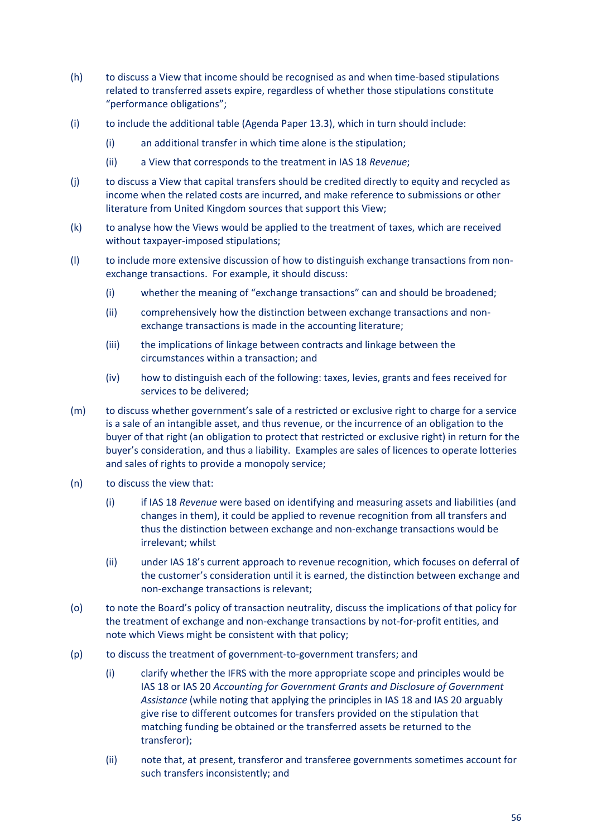- (h) to discuss a View that income should be recognised as and when time-based stipulations related to transferred assets expire, regardless of whether those stipulations constitute "performance obligations";
- (i) to include the additional table (Agenda Paper 13.3), which in turn should include:
	- (i) an additional transfer in which time alone is the stipulation;
	- (ii) a View that corresponds to the treatment in IAS 18 *Revenue*;
- (j) to discuss a View that capital transfers should be credited directly to equity and recycled as income when the related costs are incurred, and make reference to submissions or other literature from United Kingdom sources that support this View;
- (k) to analyse how the Views would be applied to the treatment of taxes, which are received without taxpayer-imposed stipulations;
- (l) to include more extensive discussion of how to distinguish exchange transactions from nonexchange transactions. For example, it should discuss:
	- (i) whether the meaning of "exchange transactions" can and should be broadened;
	- (ii) comprehensively how the distinction between exchange transactions and nonexchange transactions is made in the accounting literature;
	- (iii) the implications of linkage between contracts and linkage between the circumstances within a transaction; and
	- (iv) how to distinguish each of the following: taxes, levies, grants and fees received for services to be delivered;
- (m) to discuss whether government's sale of a restricted or exclusive right to charge for a service is a sale of an intangible asset, and thus revenue, or the incurrence of an obligation to the buyer of that right (an obligation to protect that restricted or exclusive right) in return for the buyer's consideration, and thus a liability. Examples are sales of licences to operate lotteries and sales of rights to provide a monopoly service;
- (n) to discuss the view that:
	- (i) if IAS 18 *Revenue* were based on identifying and measuring assets and liabilities (and changes in them), it could be applied to revenue recognition from all transfers and thus the distinction between exchange and non-exchange transactions would be irrelevant; whilst
	- (ii) under IAS 18's current approach to revenue recognition, which focuses on deferral of the customer's consideration until it is earned, the distinction between exchange and non-exchange transactions is relevant;
- (o) to note the Board's policy of transaction neutrality, discuss the implications of that policy for the treatment of exchange and non-exchange transactions by not-for-profit entities, and note which Views might be consistent with that policy;
- (p) to discuss the treatment of government-to-government transfers; and
	- (i) clarify whether the IFRS with the more appropriate scope and principles would be IAS 18 or IAS 20 *Accounting for Government Grants and Disclosure of Government Assistance* (while noting that applying the principles in IAS 18 and IAS 20 arguably give rise to different outcomes for transfers provided on the stipulation that matching funding be obtained or the transferred assets be returned to the transferor);
	- (ii) note that, at present, transferor and transferee governments sometimes account for such transfers inconsistently; and